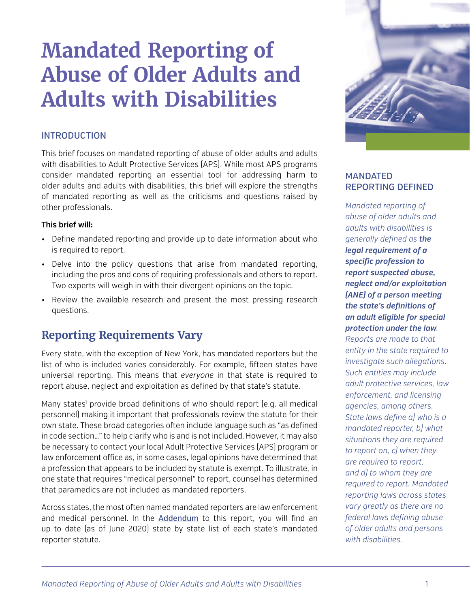# **Mandated Reporting of Abuse of Older Adults and Adults with Disabilities**

# INTRODUCTION

This brief focuses on mandated reporting of abuse of older adults and adults with disabilities to Adult Protective Services (APS). While most APS programs consider mandated reporting an essential tool for addressing harm to older adults and adults with disabilities, this brief will explore the strengths of mandated reporting as well as the criticisms and questions raised by other professionals.

### **This brief will:**

- Define mandated reporting and provide up to date information about who is required to report.
- Delve into the policy questions that arise from mandated reporting, including the pros and cons of requiring professionals and others to report. Two experts will weigh in with their divergent opinions on the topic.
- Review the available research and present the most pressing research questions.

# **Reporting Requirements Vary**

Every state, with the exception of New York, has mandated reporters but the list of who is included varies considerably. For example, fifteen states have universal reporting. This means that *everyone* in that state is required to report abuse, neglect and exploitation as defined by that state's statute.

Many states' provide broad definitions of who should report [e.g. all medical personnel) making it important that professionals review the statute for their own state. These broad categories often include language such as "as defined in code section…" to help clarify who is and is not included. However, it may also be necessary to contact your local Adult Protective Services (APS) program or law enforcement office as, in some cases, legal opinions have determined that a profession that appears to be included by statute is exempt. To illustrate, in one state that requires "medical personnel" to report, counsel has determined that paramedics are not included as mandated reporters.

Across states, the most often named mandated reporters are law enforcement and medical personnel. In the [Addendum](#page-8-0) to this report, you will find an up to date (as of June 2020) state by state list of each state's mandated reporter statute.



### MANDATED REPORTING DEFINED

*Mandated reporting of abuse of older adults and adults with disabilities is generally defined as the legal requirement of a specific profession to report suspected abuse, neglect and/or exploitation (ANE) of a person meeting the state's definitions of an adult eligible for special protection under the law. Reports are made to that entity in the state required to investigate such allegations. Such entities may include adult protective services, law enforcement, and licensing agencies, among others. State laws define a) who is a mandated reporter, b) what situations they are required to report on, c) when they are required to report, and d) to whom they are required to report. Mandated reporting laws across states vary greatly as there are no federal laws defining abuse of older adults and persons with disabilities.*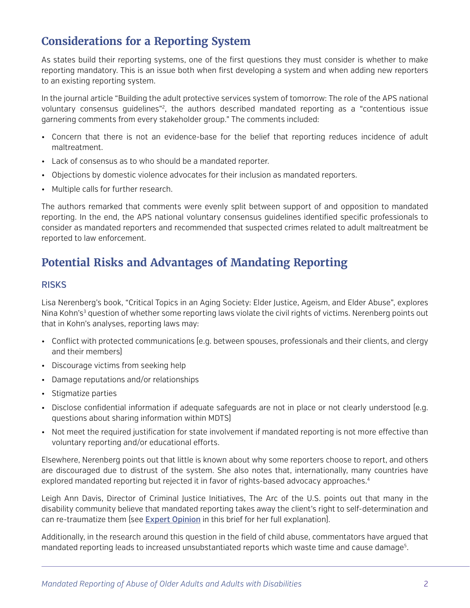# **Considerations for a Reporting System**

As states build their reporting systems, one of the first questions they must consider is whether to make reporting mandatory. This is an issue both when first developing a system and when adding new reporters to an existing reporting system.

In the journal article "Building the adult protective services system of tomorrow: The role of the APS national voluntary consensus guidelines"2 , the authors described mandated reporting as a "contentious issue garnering comments from every stakeholder group." The comments included:

- Concern that there is not an evidence-base for the belief that reporting reduces incidence of adult maltreatment.
- Lack of consensus as to who should be a mandated reporter.
- Objections by domestic violence advocates for their inclusion as mandated reporters.
- Multiple calls for further research.

The authors remarked that comments were evenly split between support of and opposition to mandated reporting. In the end, the APS national voluntary consensus guidelines identified specific professionals to consider as mandated reporters and recommended that suspected crimes related to adult maltreatment be reported to law enforcement.

# **Potential Risks and Advantages of Mandating Reporting**

# **RISKS**

Lisa Nerenberg's book, "Critical Topics in an Aging Society: Elder Justice, Ageism, and Elder Abuse", explores Nina Kohn's<sup>3</sup> question of whether some reporting laws violate the civil rights of victims. Nerenberg points out that in Kohn's analyses, reporting laws may:

- Conflict with protected communications (e.g. between spouses, professionals and their clients, and clergy and their members)
- Discourage victims from seeking help
- Damage reputations and/or relationships
- Stigmatize parties
- Disclose confidential information if adequate safeguards are not in place or not clearly understood (e.g. questions about sharing information within MDTS)
- Not meet the required justification for state involvement if mandated reporting is not more effective than voluntary reporting and/or educational efforts.

Elsewhere, Nerenberg points out that little is known about why some reporters choose to report, and others are discouraged due to distrust of the system. She also notes that, internationally, many countries have explored mandated reporting but rejected it in favor of rights-based advocacy approaches.<sup>4</sup>

Leigh Ann Davis, Director of Criminal Justice Initiatives, The Arc of the U.S. points out that many in the disability community believe that mandated reporting takes away the client's right to self-determination and can re-traumatize them [see **[Expert Opinion](#page-3-0)** in this brief for her full explanation].

Additionally, in the research around this question in the field of child abuse, commentators have argued that mandated reporting leads to increased unsubstantiated reports which waste time and cause damage5.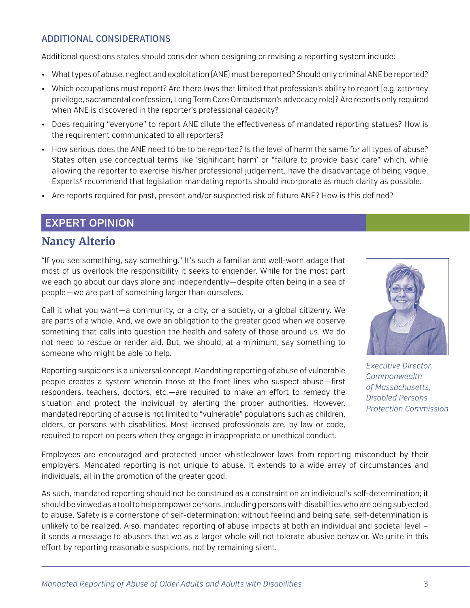# ADDITIONAL CONSIDERATIONS

Additional questions states should consider when designing or revising a reporting system include:

- What types of abuse, neglect and exploitation (ANE) must be reported? Should only criminal ANE be reported?
- Which occupations must report? Are there laws that limited that profession's ability to report (e.g. attorney privilege, sacramental confession, Long Term Care Ombudsman's advocacy role)? Are reports only required when ANE is discovered in the reporter's professional capacity?
- Does requiring "everyone" to report ANE dilute the effectiveness of mandated reporting statues? How is the requirement communicated to all reporters?
- How serious does the ANE need to be to be reported? Is the level of harm the same for all types of abuse? States often use conceptual terms like 'significant harm' or "failure to provide basic care" which, while allowing the reporter to exercise his/her professional judgement, have the disadvantage of being vague. Experts<sup>6</sup> recommend that legislation mandating reports should incorporate as much clarity as possible.
- Are reports required for past, present and/or suspected risk of future ANE? How is this defined?

# **EXPERT OPINION**

# **Nancy Alterio**

"If you see something, say something." It's such a familiar and well-worn adage that most of us overlook the responsibility it seeks to engender. While for the most part we each go about our days alone and independently—despite often being in a sea of people—we are part of something larger than ourselves.

Call it what you want—a community, or a city, or a society, or a global citizenry. We are parts of a whole. And, we owe an obligation to the greater good when we observe something that calls into question the health and safety of those around us. We do not need to rescue or render aid. But, we should, at a minimum, say something to someone who might be able to help.

Reporting suspicions is a universal concept. Mandating reporting of abuse of vulnerable people creates a system wherein those at the front lines who suspect abuse—first responders, teachers, doctors, etc.—are required to make an effort to remedy the situation and protect the individual by alerting the proper authorities. However, mandated reporting of abuse is not limited to "vulnerable" populations such as children, elders, or persons with disabilities. Most licensed professionals are, by law or code, required to report on peers when they engage in inappropriate or unethical conduct.



*Executive Director, Commonwealth of Massachusetts, Disabled Persons Protection Commission*

Employees are encouraged and protected under whistleblower laws from reporting misconduct by their employers. Mandated reporting is not unique to abuse. It extends to a wide array of circumstances and individuals, all in the promotion of the greater good.

As such, mandated reporting should not be construed as a constraint on an individual's self-determination; it should be viewed as a tool to help empower persons, including persons with disabilities who are being subjected to abuse. Safety is a cornerstone of self-determination; without feeling and being safe, self-determination is unlikely to be realized. Also, mandated reporting of abuse impacts at both an individual and societal level it sends a message to abusers that we as a larger whole will not tolerate abusive behavior. We unite in this effort by reporting reasonable suspicions, not by remaining silent.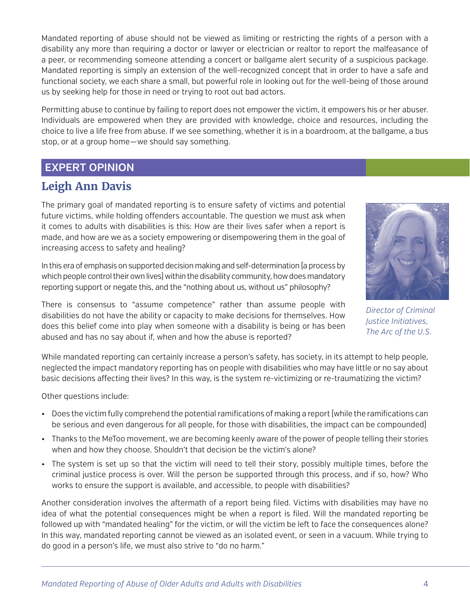<span id="page-3-0"></span>Mandated reporting of abuse should not be viewed as limiting or restricting the rights of a person with a disability any more than requiring a doctor or lawyer or electrician or realtor to report the malfeasance of a peer, or recommending someone attending a concert or ballgame alert security of a suspicious package. Mandated reporting is simply an extension of the well-recognized concept that in order to have a safe and functional society, we each share a small, but powerful role in looking out for the well-being of those around us by seeking help for those in need or trying to root out bad actors.

Permitting abuse to continue by failing to report does not empower the victim, it empowers his or her abuser. Individuals are empowered when they are provided with knowledge, choice and resources, including the choice to live a life free from abuse. If we see something, whether it is in a boardroom, at the ballgame, a bus stop, or at a group home—we should say something.

# **EXPERT OPINION**

# **Leigh Ann Davis**

The primary goal of mandated reporting is to ensure safety of victims and potential future victims, while holding offenders accountable. The question we must ask when it comes to adults with disabilities is this: How are their lives safer when a report is made, and how are we as a society empowering or disempowering them in the goal of increasing access to safety and healing?

In this era of emphasis on supported decision making and self-determination (a process by which people control their own lives) within the disability community, how does mandatory reporting support or negate this, and the "nothing about us, without us" philosophy?



*Director of Criminal Justice Initiatives, The Arc of the U.S.*

There is consensus to "assume competence" rather than assume people with disabilities do not have the ability or capacity to make decisions for themselves. How does this belief come into play when someone with a disability is being or has been abused and has no say about if, when and how the abuse is reported?

While mandated reporting can certainly increase a person's safety, has society, in its attempt to help people, neglected the impact mandatory reporting has on people with disabilities who may have little or no say about basic decisions affecting their lives? In this way, is the system re-victimizing or re-traumatizing the victim?

Other questions include:

- Does the victim fully comprehend the potential ramifications of making a report (while the ramifications can be serious and even dangerous for all people, for those with disabilities, the impact can be compounded)
- Thanks to the MeToo movement, we are becoming keenly aware of the power of people telling their stories when and how they choose. Shouldn't that decision be the victim's alone?
- The system is set up so that the victim will need to tell their story, possibly multiple times, before the criminal justice process is over. Will the person be supported through this process, and if so, how? Who works to ensure the support is available, and accessible, to people with disabilities?

Another consideration involves the aftermath of a report being filed. Victims with disabilities may have no idea of what the potential consequences might be when a report is filed. Will the mandated reporting be followed up with "mandated healing" for the victim, or will the victim be left to face the consequences alone? In this way, mandated reporting cannot be viewed as an isolated event, or seen in a vacuum. While trying to do good in a person's life, we must also strive to "do no harm."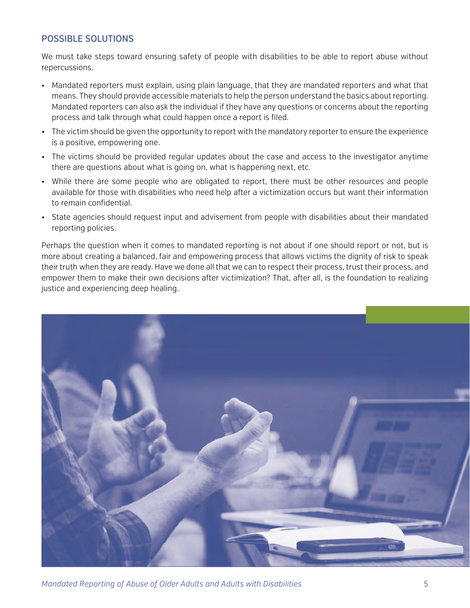# POSSIBLE SOLUTIONS

We must take steps toward ensuring safety of people with disabilities to be able to report abuse without repercussions.

- Mandated reporters must explain, using plain language, that they are mandated reporters and what that means. They should provide accessible materials to help the person understand the basics about reporting. Mandated reporters can also ask the individual if they have any questions or concerns about the reporting process and talk through what could happen once a report is filed.
- The victim should be given the opportunity to report with the mandatory reporter to ensure the experience is a positive, empowering one.
- The victims should be provided regular updates about the case and access to the investigator anytime there are questions about what is going on, what is happening next, etc.
- While there are some people who are obligated to report, there must be other resources and people available for those with disabilities who need help after a victimization occurs but want their information to remain confidential.
- State agencies should request input and advisement from people with disabilities about their mandated reporting policies.

Perhaps the question when it comes to mandated reporting is not about if one should report or not, but is more about creating a balanced, fair and empowering process that allows victims the dignity of risk to speak their truth when they are ready. Have we done all that we can to respect their process, trust their process, and empower them to make their own decisions after victimization? That, after all, is the foundation to realizing justice and experiencing deep healing.

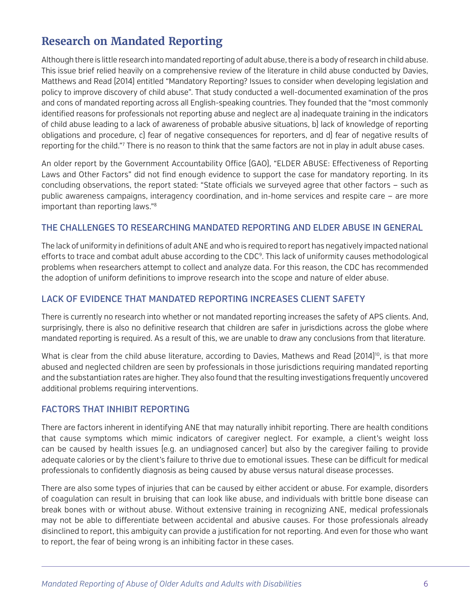# **Research on Mandated Reporting**

Although there is little research into mandated reporting of adult abuse, there is a body of research in child abuse. This issue brief relied heavily on a comprehensive review of the literature in child abuse conducted by Davies, Matthews and Read (2014) entitled "Mandatory Reporting? Issues to consider when developing legislation and policy to improve discovery of child abuse". That study conducted a well-documented examination of the pros and cons of mandated reporting across all English-speaking countries. They founded that the "most commonly identified reasons for professionals not reporting abuse and neglect are a) inadequate training in the indicators of child abuse leading to a lack of awareness of probable abusive situations, b) lack of knowledge of reporting obligations and procedure, c) fear of negative consequences for reporters, and d) fear of negative results of reporting for the child."<sup>7</sup> There is no reason to think that the same factors are not in play in adult abuse cases.

An older report by the Government Accountability Office (GAO), "ELDER ABUSE: Effectiveness of Reporting Laws and Other Factors" did not find enough evidence to support the case for mandatory reporting. In its concluding observations, the report stated: "State officials we surveyed agree that other factors — such as public awareness campaigns, interagency coordination, and in-home services and respite care — are more important than reporting laws."8

# THE CHALLENGES TO RESEARCHING MANDATED REPORTING AND ELDER ABUSE IN GENERAL

The lack of uniformity in definitions of adult ANE and who is required to report has negatively impacted national efforts to trace and combat adult abuse according to the CDC9. This lack of uniformity causes methodological problems when researchers attempt to collect and analyze data. For this reason, the CDC has recommended the adoption of uniform definitions to improve research into the scope and nature of elder abuse.

# LACK OF EVIDENCE THAT MANDATED REPORTING INCREASES CLIENT SAFETY

There is currently no research into whether or not mandated reporting increases the safety of APS clients. And, surprisingly, there is also no definitive research that children are safer in jurisdictions across the globe where mandated reporting is required. As a result of this, we are unable to draw any conclusions from that literature.

What is clear from the child abuse literature, according to Davies, Mathews and Read (2014)<sup>10</sup>, is that more abused and neglected children are seen by professionals in those jurisdictions requiring mandated reporting and the substantiation rates are higher. They also found that the resulting investigations frequently uncovered additional problems requiring interventions.

# FACTORS THAT INHIBIT REPORTING

There are factors inherent in identifying ANE that may naturally inhibit reporting. There are health conditions that cause symptoms which mimic indicators of caregiver neglect. For example, a client's weight loss can be caused by health issues (e.g. an undiagnosed cancer) but also by the caregiver failing to provide adequate calories or by the client's failure to thrive due to emotional issues. These can be difficult for medical professionals to confidently diagnosis as being caused by abuse versus natural disease processes.

There are also some types of injuries that can be caused by either accident or abuse. For example, disorders of coagulation can result in bruising that can look like abuse, and individuals with brittle bone disease can break bones with or without abuse. Without extensive training in recognizing ANE, medical professionals may not be able to differentiate between accidental and abusive causes. For those professionals already disinclined to report, this ambiguity can provide a justification for not reporting. And even for those who want to report, the fear of being wrong is an inhibiting factor in these cases.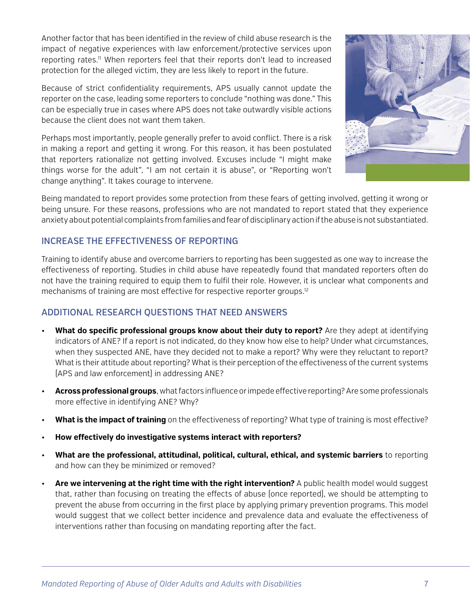Another factor that has been identified in the review of child abuse research is the impact of negative experiences with law enforcement/protective services upon reporting rates.11 When reporters feel that their reports don't lead to increased protection for the alleged victim, they are less likely to report in the future.

Because of strict confidentiality requirements, APS usually cannot update the reporter on the case, leading some reporters to conclude "nothing was done." This can be especially true in cases where APS does not take outwardly visible actions because the client does not want them taken.

Perhaps most importantly, people generally prefer to avoid conflict. There is a risk in making a report and getting it wrong. For this reason, it has been postulated that reporters rationalize not getting involved. Excuses include "I might make things worse for the adult", "I am not certain it is abuse", or "Reporting won't change anything". It takes courage to intervene.



Being mandated to report provides some protection from these fears of getting involved, getting it wrong or being unsure. For these reasons, professions who are not mandated to report stated that they experience anxiety about potential complaints from families and fear of disciplinary action if the abuse is not substantiated.

# INCREASE THE EFFECTIVENESS OF REPORTING

Training to identify abuse and overcome barriers to reporting has been suggested as one way to increase the effectiveness of reporting. Studies in child abuse have repeatedly found that mandated reporters often do not have the training required to equip them to fulfil their role. However, it is unclear what components and mechanisms of training are most effective for respective reporter groups.12

# ADDITIONAL RESEARCH QUESTIONS THAT NEED ANSWERS

- **What do specific professional groups know about their duty to report?** Are they adept at identifying indicators of ANE? If a report is not indicated, do they know how else to help? Under what circumstances, when they suspected ANE, have they decided not to make a report? Why were they reluctant to report? What is their attitude about reporting? What is their perception of the effectiveness of the current systems (APS and law enforcement) in addressing ANE?
- **Across professional groups**, what factors influence or impede effective reporting? Are some professionals more effective in identifying ANE? Why?
- **What is the impact of training** on the effectiveness of reporting? What type of training is most effective?
- **How effectively do investigative systems interact with reporters?**
- **What are the professional, attitudinal, political, cultural, ethical, and systemic barriers** to reporting and how can they be minimized or removed?
- **Are we intervening at the right time with the right intervention?** A public health model would suggest that, rather than focusing on treating the effects of abuse (once reported), we should be attempting to prevent the abuse from occurring in the first place by applying primary prevention programs. This model would suggest that we collect better incidence and prevalence data and evaluate the effectiveness of interventions rather than focusing on mandating reporting after the fact.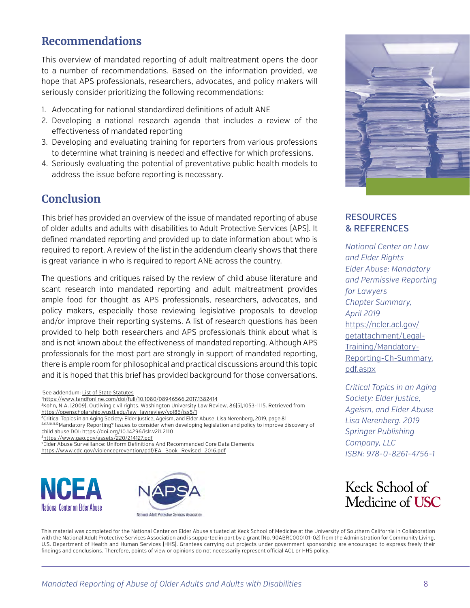# **Recommendations**

This overview of mandated reporting of adult maltreatment opens the door to a number of recommendations. Based on the information provided, we hope that APS professionals, researchers, advocates, and policy makers will seriously consider prioritizing the following recommendations:

- 1. Advocating for national standardized definitions of adult ANE
- 2. Developing a national research agenda that includes a review of the effectiveness of mandated reporting
- 3. Developing and evaluating training for reporters from various professions to determine what training is needed and effective for which professions.
- 4. Seriously evaluating the potential of preventative public health models to address the issue before reporting is necessary.

# **Conclusion**

This brief has provided an overview of the issue of mandated reporting of abuse of older adults and adults with disabilities to Adult Protective Services (APS). It defined mandated reporting and provided up to date information about who is required to report. A review of the list in the addendum clearly shows that there is great variance in who is required to report ANE across the country.

The questions and critiques raised by the review of child abuse literature and scant research into mandated reporting and adult maltreatment provides ample food for thought as APS professionals, researchers, advocates, and policy makers, especially those reviewing legislative proposals to develop and/or improve their reporting systems. A list of research questions has been provided to help both researchers and APS professionals think about what is and is not known about the effectiveness of mandated reporting. Although APS professionals for the most part are strongly in support of mandated reporting, there is ample room for philosophical and practical discussions around this topic and it is hoped that this brief has provided background for those conversations.

2 <https://www.tandfonline.com/doi/full/10.1080/08946566.2017.1382414>

3Kohn, N.A. (2009). Outliving civil rights. Washington University Law Review, 86(5),1053-1115. Retrieved from [https://openscholarship.wustl.edu/law\\_lawreview/vol86/iss5/1](https://openscholarship.wustl.edu/law_lawreview/vol86/iss5/1)

4Critical Topics in an Aging Society: Elder Justice, Ageism, and Elder Abuse, Lisa Nerenberg, 2019, page 81 5,6,7,10,11,12Mandatory Reporting? Issues to consider when developing legislation and policy to improve discovery of child abuse DOI:<https://doi.org/10.14296/islr.v2i1.2110>

8<https://www.gao.gov/assets/220/214127.pdf>

9Elder Abuse Surveillance: Uniform Definitions And Recommended Core Data Elements [https://www.cdc.gov/violenceprevention/pdf/EA\\_Book\\_Revised\\_2016.pdf](https://www.cdc.gov/violenceprevention/pdf/EA_Book_Revised_2016.pdf)







# **RESOURCES** & REFERENCES

*National Center on Law and Elder Rights Elder Abuse: Mandatory and Permissive Reporting for Lawyers Chapter Summary, April 2019*  [https://ncler.acl.gov/](https://ncler.acl.gov/getattachment/Legal-Training/Mandatory-Reporting-Ch-Summary.pdf.aspx) [getattachment/Legal-](https://ncler.acl.gov/getattachment/Legal-Training/Mandatory-Reporting-Ch-Summary.pdf.aspx)[Training/Mandatory-](https://ncler.acl.gov/getattachment/Legal-Training/Mandatory-Reporting-Ch-Summary.pdf.aspx)[Reporting-Ch-Summary.](https://ncler.acl.gov/getattachment/Legal-Training/Mandatory-Reporting-Ch-Summary.pdf.aspx) [pdf.aspx](https://ncler.acl.gov/getattachment/Legal-Training/Mandatory-Reporting-Ch-Summary.pdf.aspx)

*Critical Topics in an Aging Society: Elder Justice, Ageism, and Elder Abuse Lisa Nerenberg. 2019 Springer Publishing Company, LLC ISBN: 978-0-8261-4756-1*



This material was completed for the National Center on Elder Abuse situated at Keck School of Medicine at the University of Southern California in Collaboration with the National Adult Protective Services Association and is supported in part by a grant (No. 90ABRC000101-02) from the Administration for Community Living, U.S. Department of Health and Human Services (HHS). Grantees carrying out projects under government sponsorship are encouraged to express freely their findings and conclusions. Therefore, points of view or opinions do not necessarily represent official ACL or HHS policy.

<sup>1</sup> See addendum: [List of State Statutes](#page-8-0)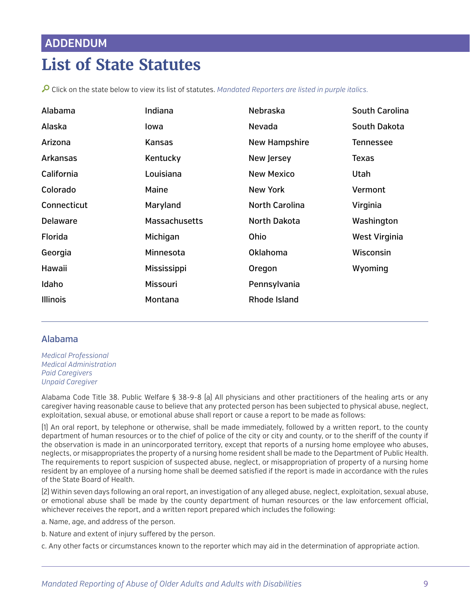# <span id="page-8-0"></span>**ADDENDUM**

# **List of State Statutes**

s Click on the state below to view its list of statutes. *Mandated Reporters are listed in purple italics.*

| Alabama         | Indiana       | <b>Nebraska</b>       | <b>South Carolina</b> |
|-----------------|---------------|-----------------------|-----------------------|
| Alaska          | lowa          | Nevada                | <b>South Dakota</b>   |
| Arizona         | <b>Kansas</b> | <b>New Hampshire</b>  | <b>Tennessee</b>      |
| <b>Arkansas</b> | Kentucky      | New Jersey            | Texas                 |
| California      | Louisiana     | <b>New Mexico</b>     | Utah                  |
| Colorado        | Maine         | <b>New York</b>       | Vermont               |
| Connecticut     | Maryland      | <b>North Carolina</b> | Virginia              |
| <b>Delaware</b> | Massachusetts | <b>North Dakota</b>   | Washington            |
| Florida         | Michigan      | Ohio                  | <b>West Virginia</b>  |
| Georgia         | Minnesota     | <b>Oklahoma</b>       | Wisconsin             |
| Hawaii          | Mississippi   | Oregon                | Wyoming               |
| Idaho           | Missouri      | Pennsylvania          |                       |
| Illinois        | Montana       | Rhode Island          |                       |

### <span id="page-8-1"></span>Alabama

*Medical Professional Medical Administration Paid Caregivers Unpaid Caregiver*

Alabama Code Title 38. Public Welfare § 38-9-8 (a) All physicians and other practitioners of the healing arts or any caregiver having reasonable cause to believe that any protected person has been subjected to physical abuse, neglect, exploitation, sexual abuse, or emotional abuse shall report or cause a report to be made as follows:

(1) An oral report, by telephone or otherwise, shall be made immediately, followed by a written report, to the county department of human resources or to the chief of police of the city or city and county, or to the sheriff of the county if the observation is made in an unincorporated territory, except that reports of a nursing home employee who abuses, neglects, or misappropriates the property of a nursing home resident shall be made to the Department of Public Health. The requirements to report suspicion of suspected abuse, neglect, or misappropriation of property of a nursing home resident by an employee of a nursing home shall be deemed satisfied if the report is made in accordance with the rules of the State Board of Health.

(2) Within seven days following an oral report, an investigation of any alleged abuse, neglect, exploitation, sexual abuse, or emotional abuse shall be made by the county department of human resources or the law enforcement official, whichever receives the report, and a written report prepared which includes the following:

a. Name, age, and address of the person.

b. Nature and extent of injury suffered by the person.

c. Any other facts or circumstances known to the reporter which may aid in the determination of appropriate action.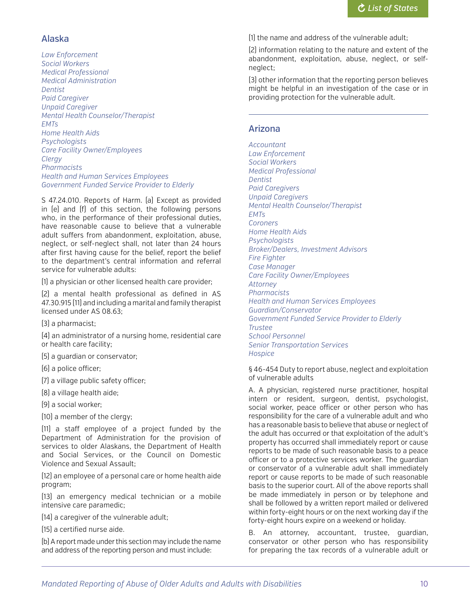### <span id="page-9-0"></span>Alaska

*Law Enforcement Social Workers Medical Professional Medical Administration Dentist Paid Caregiver Unpaid Caregiver Mental Health Counselor/Therapist EMTs Home Health Aids Psychologists Care Facility Owner/Employees Clergy Pharmacists Health and Human Services Employees Government Funded Service Provider to Elderly*

S 47.24.010. Reports of Harm. (a) Except as provided in (e) and (f) of this section, the following persons who, in the performance of their professional duties, have reasonable cause to believe that a vulnerable adult suffers from abandonment, exploitation, abuse, neglect, or self-neglect shall, not later than 24 hours after first having cause for the belief, report the belief to the department's central information and referral service for vulnerable adults:

(1) a physician or other licensed health care provider;

(2) a mental health professional as defined in AS 47.30.915 (11) and including a marital and family therapist licensed under AS 08.63;

(3) a pharmacist;

(4) an administrator of a nursing home, residential care or health care facility;

(5) a guardian or conservator;

(6) a police officer;

(7) a village public safety officer;

(8) a village health aide;

(9) a social worker;

(10) a member of the clergy;

(11) a staff employee of a project funded by the Department of Administration for the provision of services to older Alaskans, the Department of Health and Social Services, or the Council on Domestic Violence and Sexual Assault;

(12) an employee of a personal care or home health aide program;

(13) an emergency medical technician or a mobile intensive care paramedic;

(14) a caregiver of the vulnerable adult;

(15) a certified nurse aide.

(b) A report made under this section may include the name and address of the reporting person and must include:

(1) the name and address of the vulnerable adult;

(2) information relating to the nature and extent of the abandonment, exploitation, abuse, neglect, or selfneglect;

(3) other information that the reporting person believes might be helpful in an investigation of the case or in providing protection for the vulnerable adult.

#### <span id="page-9-1"></span>Arizona

*Accountant Law Enforcement Social Workers Medical Professional Dentist Paid Caregivers Unpaid Caregivers Mental Health Counselor/Therapist EMTs Coroners Home Health Aids Psychologists Broker/Dealers, Investment Advisors Fire Fighter Case Manager Care Facility Owner/Employees Attorney Pharmacists Health and Human Services Employees Guardian/Conservator Government Funded Service Provider to Elderly Trustee School Personnel Senior Transportation Services Hospice*

§ 46-454 Duty to report abuse, neglect and exploitation of vulnerable adults

A. A physician, registered nurse practitioner, hospital intern or resident, surgeon, dentist, psychologist, social worker, peace officer or other person who has responsibility for the care of a vulnerable adult and who has a reasonable basis to believe that abuse or neglect of the adult has occurred or that exploitation of the adult's property has occurred shall immediately report or cause reports to be made of such reasonable basis to a peace officer or to a protective services worker. The guardian or conservator of a vulnerable adult shall immediately report or cause reports to be made of such reasonable basis to the superior court. All of the above reports shall be made immediately in person or by telephone and shall be followed by a written report mailed or delivered within forty-eight hours or on the next working day if the forty-eight hours expire on a weekend or holiday.

B. An attorney, accountant, trustee, guardian, conservator or other person who has responsibility for preparing the tax records of a vulnerable adult or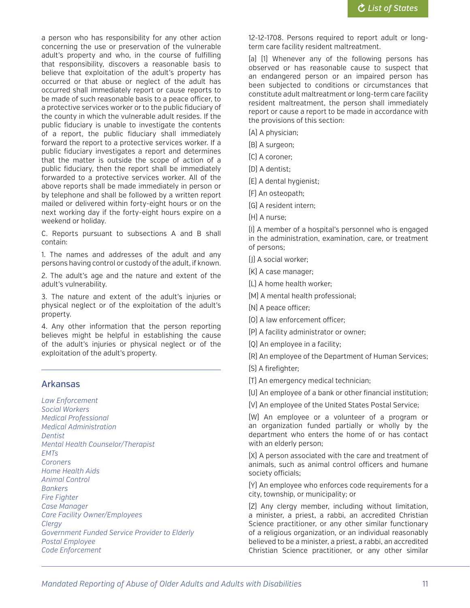a person who has responsibility for any other action concerning the use or preservation of the vulnerable adult's property and who, in the course of fulfilling that responsibility, discovers a reasonable basis to believe that exploitation of the adult's property has occurred or that abuse or neglect of the adult has occurred shall immediately report or cause reports to be made of such reasonable basis to a peace officer, to a protective services worker or to the public fiduciary of the county in which the vulnerable adult resides. If the public fiduciary is unable to investigate the contents of a report, the public fiduciary shall immediately forward the report to a protective services worker. If a public fiduciary investigates a report and determines that the matter is outside the scope of action of a public fiduciary, then the report shall be immediately forwarded to a protective services worker. All of the above reports shall be made immediately in person or by telephone and shall be followed by a written report mailed or delivered within forty-eight hours or on the next working day if the forty-eight hours expire on a weekend or holiday.

C. Reports pursuant to subsections A and B shall contain:

1. The names and addresses of the adult and any persons having control or custody of the adult, if known.

2. The adult's age and the nature and extent of the adult's vulnerability.

3. The nature and extent of the adult's injuries or physical neglect or of the exploitation of the adult's property.

4. Any other information that the person reporting believes might be helpful in establishing the cause of the adult's injuries or physical neglect or of the exploitation of the adult's property.

#### <span id="page-10-0"></span>Arkansas

*Law Enforcement Social Workers Medical Professional Medical Administration Dentist Mental Health Counselor/Therapist EMTs Coroners Home Health Aids Animal Control Bankers Fire Fighter Case Manager Care Facility Owner/Employees Clergy Government Funded Service Provider to Elderly Postal Employee Code Enforcement*

12-12-1708. Persons required to report adult or longterm care facility resident maltreatment.

(a) (1) Whenever any of the following persons has observed or has reasonable cause to suspect that an endangered person or an impaired person has been subjected to conditions or circumstances that constitute adult maltreatment or long-term care facility resident maltreatment, the person shall immediately report or cause a report to be made in accordance with the provisions of this section:

- (A) A physician;
- (B) A surgeon;
- (C) A coroner;
- (D) A dentist;
- (E) A dental hygienist;
- (F) An osteopath;
- (G) A resident intern;
- (H) A nurse;

(I) A member of a hospital's personnel who is engaged in the administration, examination, care, or treatment of persons;

- (J) A social worker;
- (K) A case manager;
- (L) A home health worker;
- (M) A mental health professional;
- (N) A peace officer;
- (O) A law enforcement officer;
- (P) A facility administrator or owner;
- (Q) An employee in a facility;
- (R) An employee of the Department of Human Services;
- (S) A firefighter;
- (T) An emergency medical technician;
- (U) An employee of a bank or other financial institution;
- (V) An employee of the United States Postal Service;

(W) An employee or a volunteer of a program or an organization funded partially or wholly by the department who enters the home of or has contact with an elderly person;

(X) A person associated with the care and treatment of animals, such as animal control officers and humane society officials;

(Y) An employee who enforces code requirements for a city, township, or municipality; or

(Z) Any clergy member, including without limitation, a minister, a priest, a rabbi, an accredited Christian Science practitioner, or any other similar functionary of a religious organization, or an individual reasonably believed to be a minister, a priest, a rabbi, an accredited Christian Science practitioner, or any other similar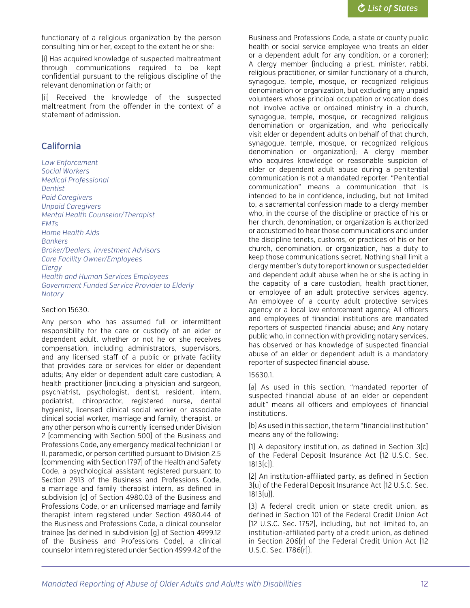functionary of a religious organization by the person consulting him or her, except to the extent he or she:

(i) Has acquired knowledge of suspected maltreatment through communications required to be kept confidential pursuant to the religious discipline of the relevant denomination or faith; or

(ii) Received the knowledge of the suspected maltreatment from the offender in the context of a statement of admission.

### <span id="page-11-0"></span>California

*Law Enforcement Social Workers Medical Professional Dentist Paid Caregivers Unpaid Caregivers Mental Health Counselor/Therapist EMTs Home Health Aids Bankers Broker/Dealers, Investment Advisors Care Facility Owner/Employees Clergy Health and Human Services Employees Government Funded Service Provider to Elderly Notary*

#### Section 15630.

Any person who has assumed full or intermittent responsibility for the care or custody of an elder or dependent adult, whether or not he or she receives compensation, including administrators, supervisors, and any licensed staff of a public or private facility that provides care or services for elder or dependent adults; Any elder or dependent adult care custodian; A health practitioner (including a physician and surgeon, psychiatrist, psychologist, dentist, resident, intern, podiatrist, chiropractor, registered nurse, dental hygienist, licensed clinical social worker or associate clinical social worker, marriage and family, therapist, or any other person who is currently licensed under Division 2 (commencing with Section 500) of the Business and Professions Code, any emergency medical technician I or II, paramedic, or person certified pursuant to Division 2.5 (commencing with Section 1797) of the Health and Safety Code, a psychological assistant registered pursuant to Section 2913 of the Business and Professions Code, a marriage and family therapist intern, as defined in subdivision (c) of Section 4980.03 of the Business and Professions Code, or an unlicensed marriage and family therapist intern registered under Section 4980.44 of the Business and Professions Code, a clinical counselor trainee (as defined in subdivision (g) of Section 4999.12 of the Business and Professions Code), a clinical counselor intern registered under Section 4999.42 of the

Business and Professions Code, a state or county public health or social service employee who treats an elder or a dependent adult for any condition, or a coroner); A clergy member (including a priest, minister, rabbi, religious practitioner, or similar functionary of a church, synagogue, temple, mosque, or recognized religious denomination or organization, but excluding any unpaid volunteers whose principal occupation or vocation does not involve active or ordained ministry in a church, synagogue, temple, mosque, or recognized religious denomination or organization, and who periodically visit elder or dependent adults on behalf of that church, synagogue, temple, mosque, or recognized religious denomination or organization); A clergy member who acquires knowledge or reasonable suspicion of elder or dependent adult abuse during a penitential communication is not a mandated reporter. "Penitential communication" means a communication that is intended to be in confidence, including, but not limited to, a sacramental confession made to a clergy member who, in the course of the discipline or practice of his or her church, denomination, or organization is authorized or accustomed to hear those communications and under the discipline tenets, customs, or practices of his or her church, denomination, or organization, has a duty to keep those communications secret. Nothing shall limit a clergy member's duty to report known or suspected elder and dependent adult abuse when he or she is acting in the capacity of a care custodian, health practitioner, or employee of an adult protective services agency. An employee of a county adult protective services agency or a local law enforcement agency; All officers and employees of financial institutions are mandated reporters of suspected financial abuse; and Any notary public who, in connection with providing notary services, has observed or has knowledge of suspected financial abuse of an elder or dependent adult is a mandatory reporter of suspected financial abuse.

#### 15630.1.

(a) As used in this section, "mandated reporter of suspected financial abuse of an elder or dependent adult" means all officers and employees of financial institutions.

(b) As used in this section, the term "financial institution" means any of the following:

(1) A depository institution, as defined in Section 3(c) of the Federal Deposit Insurance Act (12 U.S.C. Sec. 1813(c)).

(2) An institution-affiliated party, as defined in Section 3(u) of the Federal Deposit Insurance Act (12 U.S.C. Sec. 1813(u)).

(3) A federal credit union or state credit union, as defined in Section 101 of the Federal Credit Union Act (12 U.S.C. Sec. 1752), including, but not limited to, an institution-affiliated party of a credit union, as defined in Section 206(r) of the Federal Credit Union Act (12 U.S.C. Sec. 1786(r)).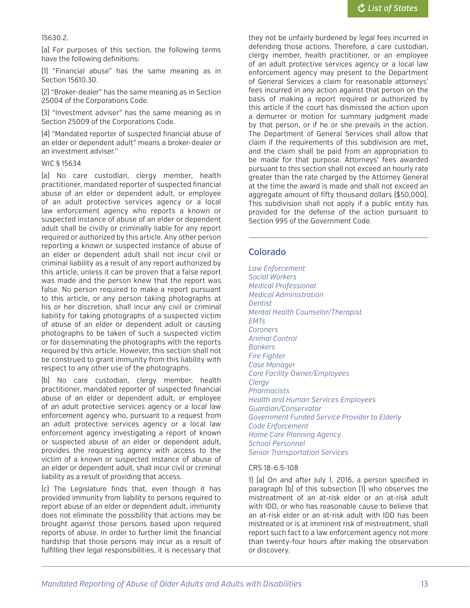#### 15630.2.

(a) For purposes of this section, the following terms have the following definitions:

(1) "Financial abuse" has the same meaning as in Section 15610.30.

(2) "Broker-dealer" has the same meaning as in Section 25004 of the Corporations Code.

(3) "Investment adviser" has the same meaning as in Section 25009 of the Corporations Code.

(4) "Mandated reporter of suspected financial abuse of an elder or dependent adult" means a broker-dealer or an investment adviser.''

#### WIC § 15634

(a) No care custodian, clergy member, health practitioner, mandated reporter of suspected financial abuse of an elder or dependent adult, or employee of an adult protective services agency or a local law enforcement agency who reports a known or suspected instance of abuse of an elder or dependent adult shall be civilly or criminally liable for any report required or authorized by this article. Any other person reporting a known or suspected instance of abuse of an elder or dependent adult shall not incur civil or criminal liability as a result of any report authorized by this article, unless it can be proven that a false report was made and the person knew that the report was false. No person required to make a report pursuant to this article, or any person taking photographs at his or her discretion, shall incur any civil or criminal liability for taking photographs of a suspected victim of abuse of an elder or dependent adult or causing photographs to be taken of such a suspected victim or for disseminating the photographs with the reports required by this article. However, this section shall not be construed to grant immunity from this liability with respect to any other use of the photographs.

(b) No care custodian, clergy member, health practitioner, mandated reporter of suspected financial abuse of an elder or dependent adult, or employee of an adult protective services agency or a local law enforcement agency who, pursuant to a request from an adult protective services agency or a local law enforcement agency investigating a report of known or suspected abuse of an elder or dependent adult, provides the requesting agency with access to the victim of a known or suspected instance of abuse of an elder or dependent adult, shall incur civil or criminal liability as a result of providing that access.

(c) The Legislature finds that, even though it has provided immunity from liability to persons required to report abuse of an elder or dependent adult, immunity does not eliminate the possibility that actions may be brought against those persons based upon required reports of abuse. In order to further limit the financial hardship that those persons may incur as a result of fulfilling their legal responsibilities, it is necessary that they not be unfairly burdened by legal fees incurred in defending those actions. Therefore, a care custodian, clergy member, health practitioner, or an employee of an adult protective services agency or a local law enforcement agency may present to the Department of General Services a claim for reasonable attorneys' fees incurred in any action against that person on the basis of making a report required or authorized by this article if the court has dismissed the action upon a demurrer or motion for summary judgment made by that person, or if he or she prevails in the action. The Department of General Services shall allow that claim if the requirements of this subdivision are met, and the claim shall be paid from an appropriation to be made for that purpose. Attorneys' fees awarded pursuant to this section shall not exceed an hourly rate greater than the rate charged by the Attorney General at the time the award is made and shall not exceed an aggregate amount of fifty thousand dollars (\$50,000). This subdivision shall not apply if a public entity has provided for the defense of the action pursuant to Section 995 of the Government Code.

#### <span id="page-12-0"></span>Colorado

*Law Enforcement Social Workers Medical Professional Medical Administration Dentist Mental Health Counselor/Therapist EMTs Coroners Animal Control Bankers Fire Fighter Case Manager Care Facility Owner/Employees Clergy Pharmacists Health and Human Services Employees Guardian/Conservator Government Funded Service Provider to Elderly Code Enforcement Home Care Planning Agency School Personnel Senior Transportation Services*

#### CRS 18-6.5-108

1) (a) On and after July 1, 2016, a person specified in paragraph (b) of this subsection (1) who observes the mistreatment of an at-risk elder or an at-risk adult with IDD, or who has reasonable cause to believe that an at-risk elder or an at-risk adult with IDD has been mistreated or is at imminent risk of mistreatment, shall report such fact to a law enforcement agency not more than twenty-four hours after making the observation or discovery.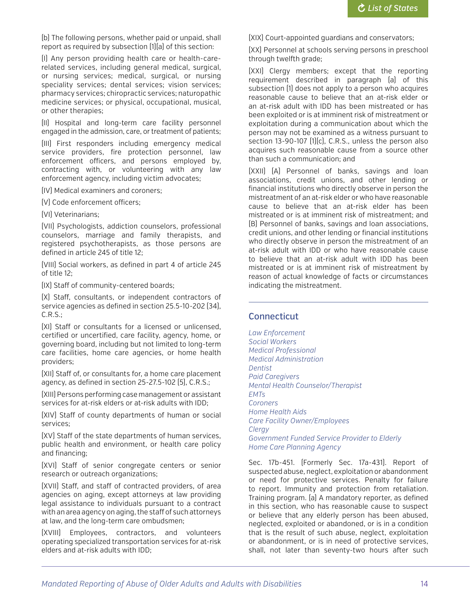(b) The following persons, whether paid or unpaid, shall report as required by subsection (1)(a) of this section:

(I) Any person providing health care or health-carerelated services, including general medical, surgical, or nursing services; medical, surgical, or nursing speciality services; dental services; vision services; pharmacy services; chiropractic services; naturopathic medicine services; or physical, occupational, musical, or other therapies;

(II) Hospital and long-term care facility personnel engaged in the admission, care, or treatment of patients;

(III) First responders including emergency medical service providers, fire protection personnel, law enforcement officers, and persons employed by, contracting with, or volunteering with any law enforcement agency, including victim advocates;

(IV) Medical examiners and coroners;

(V) Code enforcement officers;

(VI) Veterinarians;

(VII) Psychologists, addiction counselors, professional counselors, marriage and family therapists, and registered psychotherapists, as those persons are defined in article 245 of title 12;

(VIII) Social workers, as defined in part 4 of article 245 of title 12;

(IX) Staff of community-centered boards;

(X) Staff, consultants, or independent contractors of service agencies as defined in section 25.5-10-202 (34), C.R.S.;

(XI) Staff or consultants for a licensed or unlicensed, certified or uncertified, care facility, agency, home, or governing board, including but not limited to long-term care facilities, home care agencies, or home health providers;

(XII) Staff of, or consultants for, a home care placement agency, as defined in section 25-27.5-102 (5), C.R.S.;

(XIII) Persons performing case management or assistant services for at-risk elders or at-risk adults with IDD;

(XIV) Staff of county departments of human or social services;

(XV) Staff of the state departments of human services, public health and environment, or health care policy and financing;

(XVI) Staff of senior congregate centers or senior research or outreach organizations;

(XVII) Staff, and staff of contracted providers, of area agencies on aging, except attorneys at law providing legal assistance to individuals pursuant to a contract with an area agency on aging, the staff of such attorneys at law, and the long-term care ombudsmen;

(XVIII) Employees, contractors, and volunteers operating specialized transportation services for at-risk elders and at-risk adults with IDD;

(XIX) Court-appointed guardians and conservators;

(XX) Personnel at schools serving persons in preschool through twelfth grade;

(XXI) Clergy members; except that the reporting requirement described in paragraph (a) of this subsection [1] does not apply to a person who acquires reasonable cause to believe that an at-risk elder or an at-risk adult with IDD has been mistreated or has been exploited or is at imminent risk of mistreatment or exploitation during a communication about which the person may not be examined as a witness pursuant to section 13-90-107 [1][c], C.R.S., unless the person also acquires such reasonable cause from a source other than such a communication; and

(XXII) (A) Personnel of banks, savings and loan associations, credit unions, and other lending or financial institutions who directly observe in person the mistreatment of an at-risk elder or who have reasonable cause to believe that an at-risk elder has been mistreated or is at imminent risk of mistreatment; and (B) Personnel of banks, savings and loan associations, credit unions, and other lending or financial institutions who directly observe in person the mistreatment of an at-risk adult with IDD or who have reasonable cause to believe that an at-risk adult with IDD has been mistreated or is at imminent risk of mistreatment by reason of actual knowledge of facts or circumstances indicating the mistreatment.

### <span id="page-13-0"></span>**Connecticut**

*Law Enforcement Social Workers Medical Professional Medical Administration Dentist Paid Caregivers Mental Health Counselor/Therapist EMTs Coroners Home Health Aids Care Facility Owner/Employees Clergy Government Funded Service Provider to Elderly Home Care Planning Agency*

Sec. 17b-451. (Formerly Sec. 17a-431). Report of suspected abuse, neglect, exploitation or abandonment or need for protective services. Penalty for failure to report. Immunity and protection from retaliation. Training program. (a) A mandatory reporter, as defined in this section, who has reasonable cause to suspect or believe that any elderly person has been abused, neglected, exploited or abandoned, or is in a condition that is the result of such abuse, neglect, exploitation or abandonment, or is in need of protective services, shall, not later than seventy-two hours after such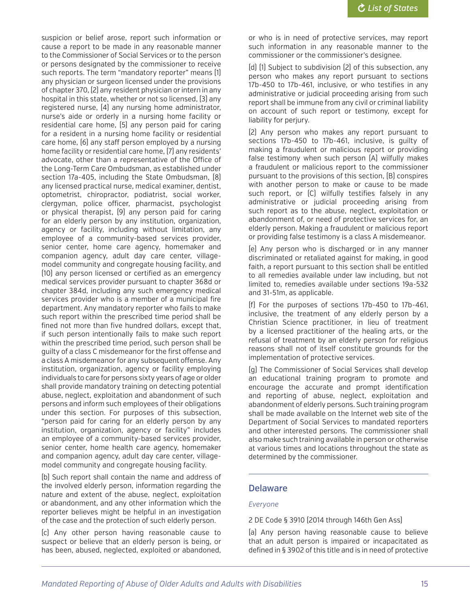suspicion or belief arose, report such information or cause a report to be made in any reasonable manner to the Commissioner of Social Services or to the person or persons designated by the commissioner to receive such reports. The term "mandatory reporter" means (1) any physician or surgeon licensed under the provisions of chapter 370, (2) any resident physician or intern in any hospital in this state, whether or not so licensed, (3) any registered nurse, (4) any nursing home administrator, nurse's aide or orderly in a nursing home facility or residential care home, (5) any person paid for caring for a resident in a nursing home facility or residential care home, (6) any staff person employed by a nursing home facility or residential care home, (7) any residents' advocate, other than a representative of the Office of the Long-Term Care Ombudsman, as established under section 17a-405, including the State Ombudsman, (8) any licensed practical nurse, medical examiner, dentist, optometrist, chiropractor, podiatrist, social worker, clergyman, police officer, pharmacist, psychologist or physical therapist, (9) any person paid for caring for an elderly person by any institution, organization, agency or facility, including without limitation, any employee of a community-based services provider, senior center, home care agency, homemaker and companion agency, adult day care center, villagemodel community and congregate housing facility, and (10) any person licensed or certified as an emergency medical services provider pursuant to chapter 368d or chapter 384d, including any such emergency medical services provider who is a member of a municipal fire department. Any mandatory reporter who fails to make such report within the prescribed time period shall be fined not more than five hundred dollars, except that, if such person intentionally fails to make such report within the prescribed time period, such person shall be guilty of a class C misdemeanor for the first offense and a class A misdemeanor for any subsequent offense. Any institution, organization, agency or facility employing individuals to care for persons sixty years of age or older shall provide mandatory training on detecting potential abuse, neglect, exploitation and abandonment of such persons and inform such employees of their obligations under this section. For purposes of this subsection, "person paid for caring for an elderly person by any institution, organization, agency or facility" includes an employee of a community-based services provider, senior center, home health care agency, homemaker and companion agency, adult day care center, villagemodel community and congregate housing facility.

(b) Such report shall contain the name and address of the involved elderly person, information regarding the nature and extent of the abuse, neglect, exploitation or abandonment, and any other information which the reporter believes might be helpful in an investigation of the case and the protection of such elderly person.

(c) Any other person having reasonable cause to suspect or believe that an elderly person is being, or has been, abused, neglected, exploited or abandoned, or who is in need of protective services, may report such information in any reasonable manner to the commissioner or the commissioner's designee.

(d) (1) Subject to subdivision (2) of this subsection, any person who makes any report pursuant to sections 17b-450 to 17b-461, inclusive, or who testifies in any administrative or judicial proceeding arising from such report shall be immune from any civil or criminal liability on account of such report or testimony, except for liability for perjury.

(2) Any person who makes any report pursuant to sections 17b-450 to 17b-461, inclusive, is guilty of making a fraudulent or malicious report or providing false testimony when such person (A) wilfully makes a fraudulent or malicious report to the commissioner pursuant to the provisions of this section, (B) conspires with another person to make or cause to be made such report, or (C) wilfully testifies falsely in any administrative or judicial proceeding arising from such report as to the abuse, neglect, exploitation or abandonment of, or need of protective services for, an elderly person. Making a fraudulent or malicious report or providing false testimony is a class A misdemeanor.

(e) Any person who is discharged or in any manner discriminated or retaliated against for making, in good faith, a report pursuant to this section shall be entitled to all remedies available under law including, but not limited to, remedies available under sections 19a-532 and 31-51m, as applicable.

(f) For the purposes of sections 17b-450 to 17b-461, inclusive, the treatment of any elderly person by a Christian Science practitioner, in lieu of treatment by a licensed practitioner of the healing arts, or the refusal of treatment by an elderly person for religious reasons shall not of itself constitute grounds for the implementation of protective services.

(g) The Commissioner of Social Services shall develop an educational training program to promote and encourage the accurate and prompt identification and reporting of abuse, neglect, exploitation and abandonment of elderly persons. Such training program shall be made available on the Internet web site of the Department of Social Services to mandated reporters and other interested persons. The commissioner shall also make such training available in person or otherwise at various times and locations throughout the state as determined by the commissioner.

#### <span id="page-14-0"></span>Delaware

#### *Everyone*

2 DE Code § 3910 (2014 through 146th Gen Ass)

(a) Any person having reasonable cause to believe that an adult person is impaired or incapacitated as defined in § 3902 of this title and is in need of protective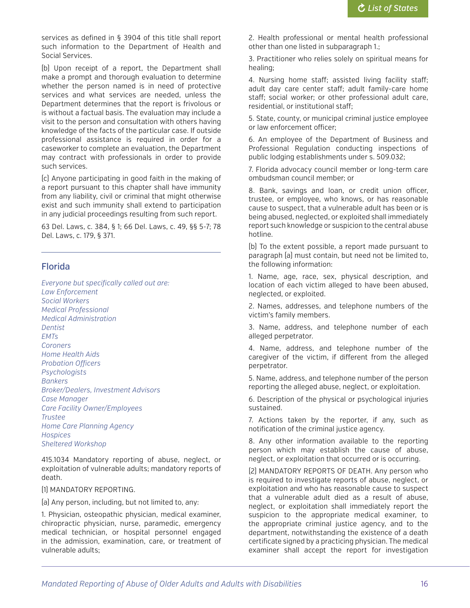services as defined in § 3904 of this title shall report such information to the Department of Health and Social Services.

(b) Upon receipt of a report, the Department shall make a prompt and thorough evaluation to determine whether the person named is in need of protective services and what services are needed, unless the Department determines that the report is frivolous or is without a factual basis. The evaluation may include a visit to the person and consultation with others having knowledge of the facts of the particular case. If outside professional assistance is required in order for a caseworker to complete an evaluation, the Department may contract with professionals in order to provide such services.

(c) Anyone participating in good faith in the making of a report pursuant to this chapter shall have immunity from any liability, civil or criminal that might otherwise exist and such immunity shall extend to participation in any judicial proceedings resulting from such report.

63 Del. Laws, c. 384, § 1; 66 Del. Laws, c. 49, §§ 5-7; 78 Del. Laws, c. 179, § 371.

### <span id="page-15-0"></span>Florida

*Everyone but specifically called out are: Law Enforcement Social Workers Medical Professional Medical Administration Dentist EMTs Coroners Home Health Aids Probation Officers Psychologists Bankers Broker/Dealers, Investment Advisors Case Manager Care Facility Owner/Employees Trustee Home Care Planning Agency Hospices Sheltered Workshop*

415.1034 Mandatory reporting of abuse, neglect, or exploitation of vulnerable adults; mandatory reports of death.

(1) MANDATORY REPORTING.

(a) Any person, including, but not limited to, any:

1. Physician, osteopathic physician, medical examiner, chiropractic physician, nurse, paramedic, emergency medical technician, or hospital personnel engaged in the admission, examination, care, or treatment of vulnerable adults;

2. Health professional or mental health professional other than one listed in subparagraph 1.;

3. Practitioner who relies solely on spiritual means for healing;

4. Nursing home staff; assisted living facility staff; adult day care center staff; adult family-care home staff; social worker; or other professional adult care, residential, or institutional staff;

5. State, county, or municipal criminal justice employee or law enforcement officer;

6. An employee of the Department of Business and Professional Regulation conducting inspections of public lodging establishments under s. 509.032;

7. Florida advocacy council member or long-term care ombudsman council member; or

8. Bank, savings and loan, or credit union officer, trustee, or employee, who knows, or has reasonable cause to suspect, that a vulnerable adult has been or is being abused, neglected, or exploited shall immediately report such knowledge or suspicion to the central abuse hotline.

(b) To the extent possible, a report made pursuant to paragraph (a) must contain, but need not be limited to, the following information:

1. Name, age, race, sex, physical description, and location of each victim alleged to have been abused, neglected, or exploited.

2. Names, addresses, and telephone numbers of the victim's family members.

3. Name, address, and telephone number of each alleged perpetrator.

4. Name, address, and telephone number of the caregiver of the victim, if different from the alleged perpetrator.

5. Name, address, and telephone number of the person reporting the alleged abuse, neglect, or exploitation.

6. Description of the physical or psychological injuries sustained.

7. Actions taken by the reporter, if any, such as notification of the criminal justice agency.

8. Any other information available to the reporting person which may establish the cause of abuse, neglect, or exploitation that occurred or is occurring.

(2) MANDATORY REPORTS OF DEATH. Any person who is required to investigate reports of abuse, neglect, or exploitation and who has reasonable cause to suspect that a vulnerable adult died as a result of abuse, neglect, or exploitation shall immediately report the suspicion to the appropriate medical examiner, to the appropriate criminal justice agency, and to the department, notwithstanding the existence of a death certificate signed by a practicing physician. The medical examiner shall accept the report for investigation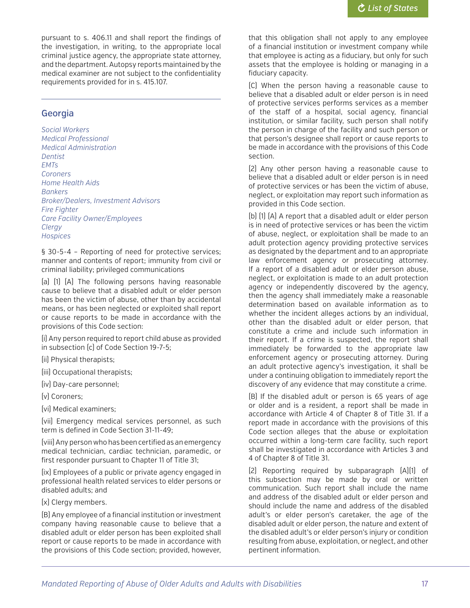pursuant to s. 406.11 and shall report the findings of the investigation, in writing, to the appropriate local criminal justice agency, the appropriate state attorney, and the department. Autopsy reports maintained by the medical examiner are not subject to the confidentiality requirements provided for in s. 415.107.

### <span id="page-16-0"></span>Georgia

*Social Workers Medical Professional Medical Administration Dentist EMTs Coroners Home Health Aids Bankers Broker/Dealers, Investment Advisors Fire Fighter Care Facility Owner/Employees Clergy Hospices* 

§ 30-5-4 – Reporting of need for protective services; manner and contents of report; immunity from civil or criminal liability; privileged communications

(a) (1) (A) The following persons having reasonable cause to believe that a disabled adult or elder person has been the victim of abuse, other than by accidental means, or has been neglected or exploited shall report or cause reports to be made in accordance with the provisions of this Code section:

(i) Any person required to report child abuse as provided in subsection (c) of Code Section 19-7-5;

(ii) Physical therapists;

(iii) Occupational therapists;

- (iv) Day-care personnel;
- (v) Coroners;

(vi) Medical examiners;

(vii) Emergency medical services personnel, as such term is defined in Code Section 31-11-49;

(viii) Any person who has been certified as an emergency medical technician, cardiac technician, paramedic, or first responder pursuant to Chapter 11 of Title 31;

(ix) Employees of a public or private agency engaged in professional health related services to elder persons or disabled adults; and

(x) Clergy members.

(B) Any employee of a financial institution or investment company having reasonable cause to believe that a disabled adult or elder person has been exploited shall report or cause reports to be made in accordance with the provisions of this Code section; provided, however,

that this obligation shall not apply to any employee of a financial institution or investment company while that employee is acting as a fiduciary, but only for such assets that the employee is holding or managing in a fiduciary capacity.

(C) When the person having a reasonable cause to believe that a disabled adult or elder person is in need of protective services performs services as a member of the staff of a hospital, social agency, financial institution, or similar facility, such person shall notify the person in charge of the facility and such person or that person's designee shall report or cause reports to be made in accordance with the provisions of this Code section.

(2) Any other person having a reasonable cause to believe that a disabled adult or elder person is in need of protective services or has been the victim of abuse, neglect, or exploitation may report such information as provided in this Code section.

(b) (1) (A) A report that a disabled adult or elder person is in need of protective services or has been the victim of abuse, neglect, or exploitation shall be made to an adult protection agency providing protective services as designated by the department and to an appropriate law enforcement agency or prosecuting attorney. If a report of a disabled adult or elder person abuse, neglect, or exploitation is made to an adult protection agency or independently discovered by the agency, then the agency shall immediately make a reasonable determination based on available information as to whether the incident alleges actions by an individual, other than the disabled adult or elder person, that constitute a crime and include such information in their report. If a crime is suspected, the report shall immediately be forwarded to the appropriate law enforcement agency or prosecuting attorney. During an adult protective agency's investigation, it shall be under a continuing obligation to immediately report the discovery of any evidence that may constitute a crime.

(B) If the disabled adult or person is 65 years of age or older and is a resident, a report shall be made in accordance with Article 4 of Chapter 8 of Title 31. If a report made in accordance with the provisions of this Code section alleges that the abuse or exploitation occurred within a long-term care facility, such report shall be investigated in accordance with Articles 3 and 4 of Chapter 8 of Title 31.

(2) Reporting required by subparagraph (A)(1) of this subsection may be made by oral or written communication. Such report shall include the name and address of the disabled adult or elder person and should include the name and address of the disabled adult's or elder person's caretaker, the age of the disabled adult or elder person, the nature and extent of the disabled adult's or elder person's injury or condition resulting from abuse, exploitation, or neglect, and other pertinent information.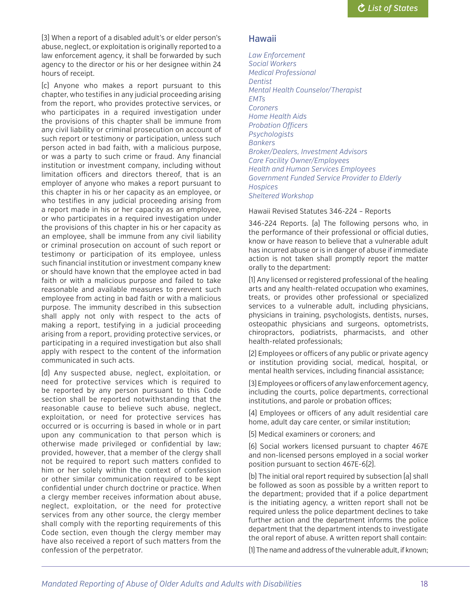(3) When a report of a disabled adult's or elder person's abuse, neglect, or exploitation is originally reported to a law enforcement agency, it shall be forwarded by such agency to the director or his or her designee within 24 hours of receipt.

(c) Anyone who makes a report pursuant to this chapter, who testifies in any judicial proceeding arising from the report, who provides protective services, or who participates in a required investigation under the provisions of this chapter shall be immune from any civil liability or criminal prosecution on account of such report or testimony or participation, unless such person acted in bad faith, with a malicious purpose, or was a party to such crime or fraud. Any financial institution or investment company, including without limitation officers and directors thereof, that is an employer of anyone who makes a report pursuant to this chapter in his or her capacity as an employee, or who testifies in any judicial proceeding arising from a report made in his or her capacity as an employee, or who participates in a required investigation under the provisions of this chapter in his or her capacity as an employee, shall be immune from any civil liability or criminal prosecution on account of such report or testimony or participation of its employee, unless such financial institution or investment company knew or should have known that the employee acted in bad faith or with a malicious purpose and failed to take reasonable and available measures to prevent such employee from acting in bad faith or with a malicious purpose. The immunity described in this subsection shall apply not only with respect to the acts of making a report, testifying in a judicial proceeding arising from a report, providing protective services, or participating in a required investigation but also shall apply with respect to the content of the information communicated in such acts.

(d) Any suspected abuse, neglect, exploitation, or need for protective services which is required to be reported by any person pursuant to this Code section shall be reported notwithstanding that the reasonable cause to believe such abuse, neglect, exploitation, or need for protective services has occurred or is occurring is based in whole or in part upon any communication to that person which is otherwise made privileged or confidential by law; provided, however, that a member of the clergy shall not be required to report such matters confided to him or her solely within the context of confession or other similar communication required to be kept confidential under church doctrine or practice. When a clergy member receives information about abuse, neglect, exploitation, or the need for protective services from any other source, the clergy member shall comply with the reporting requirements of this Code section, even though the clergy member may have also received a report of such matters from the confession of the perpetrator.

### <span id="page-17-0"></span>Hawaii

*Law Enforcement Social Workers Medical Professional Dentist Mental Health Counselor/Therapist EMTs Coroners Home Health Aids Probation Officers Psychologists Bankers Broker/Dealers, Investment Advisors Care Facility Owner/Employees Health and Human Services Employees Government Funded Service Provider to Elderly Hospices Sheltered Workshop*

Hawaii Revised Statutes 346-224 – Reports

346-224 Reports. (a) The following persons who, in the performance of their professional or official duties, know or have reason to believe that a vulnerable adult has incurred abuse or is in danger of abuse if immediate action is not taken shall promptly report the matter orally to the department:

(1) Any licensed or registered professional of the healing arts and any health-related occupation who examines, treats, or provides other professional or specialized services to a vulnerable adult, including physicians, physicians in training, psychologists, dentists, nurses, osteopathic physicians and surgeons, optometrists, chiropractors, podiatrists, pharmacists, and other health-related professionals;

(2) Employees or officers of any public or private agency or institution providing social, medical, hospital, or mental health services, including financial assistance;

(3) Employees or officers of any law enforcement agency, including the courts, police departments, correctional institutions, and parole or probation offices;

(4) Employees or officers of any adult residential care home, adult day care center, or similar institution;

(5) Medical examiners or coroners; and

(6) Social workers licensed pursuant to chapter 467E and non-licensed persons employed in a social worker position pursuant to section 467E-6(2).

(b) The initial oral report required by subsection (a) shall be followed as soon as possible by a written report to the department; provided that if a police department is the initiating agency, a written report shall not be required unless the police department declines to take further action and the department informs the police department that the department intends to investigate the oral report of abuse. A written report shall contain:

(1) The name and address of the vulnerable adult, if known;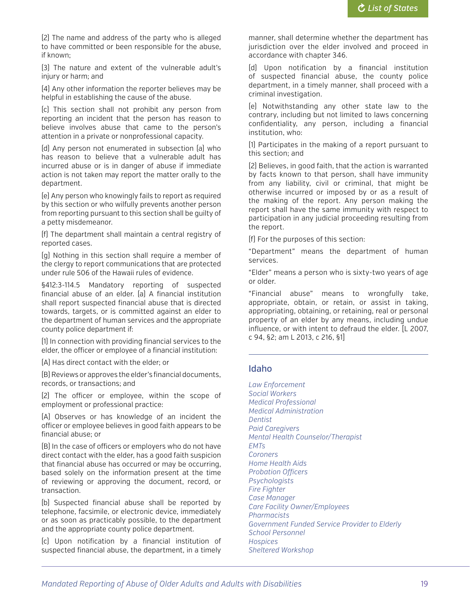(2) The name and address of the party who is alleged to have committed or been responsible for the abuse, if known;

(3) The nature and extent of the vulnerable adult's injury or harm; and

(4) Any other information the reporter believes may be helpful in establishing the cause of the abuse.

(c) This section shall not prohibit any person from reporting an incident that the person has reason to believe involves abuse that came to the person's attention in a private or nonprofessional capacity.

(d) Any person not enumerated in subsection (a) who has reason to believe that a vulnerable adult has incurred abuse or is in danger of abuse if immediate action is not taken may report the matter orally to the department.

(e) Any person who knowingly fails to report as required by this section or who wilfully prevents another person from reporting pursuant to this section shall be guilty of a petty misdemeanor.

(f) The department shall maintain a central registry of reported cases.

(g) Nothing in this section shall require a member of the clergy to report communications that are protected under rule 506 of the Hawaii rules of evidence.

§412:3-114.5 Mandatory reporting of suspected financial abuse of an elder. (a) A financial institution shall report suspected financial abuse that is directed towards, targets, or is committed against an elder to the department of human services and the appropriate county police department if:

(1) In connection with providing financial services to the elder, the officer or employee of a financial institution:

(A) Has direct contact with the elder; or

(B) Reviews or approves the elder's financial documents, records, or transactions; and

(2) The officer or employee, within the scope of employment or professional practice:

(A) Observes or has knowledge of an incident the officer or employee believes in good faith appears to be financial abuse; or

(B) In the case of officers or employers who do not have direct contact with the elder, has a good faith suspicion that financial abuse has occurred or may be occurring, based solely on the information present at the time of reviewing or approving the document, record, or transaction.

(b) Suspected financial abuse shall be reported by telephone, facsimile, or electronic device, immediately or as soon as practicably possible, to the department and the appropriate county police department.

(c) Upon notification by a financial institution of suspected financial abuse, the department, in a timely

manner, shall determine whether the department has jurisdiction over the elder involved and proceed in accordance with chapter 346.

(d) Upon notification by a financial institution of suspected financial abuse, the county police department, in a timely manner, shall proceed with a criminal investigation.

(e) Notwithstanding any other state law to the contrary, including but not limited to laws concerning confidentiality, any person, including a financial institution, who:

(1) Participates in the making of a report pursuant to this section; and

(2) Believes, in good faith, that the action is warranted by facts known to that person, shall have immunity from any liability, civil or criminal, that might be otherwise incurred or imposed by or as a result of the making of the report. Any person making the report shall have the same immunity with respect to participation in any judicial proceeding resulting from the report.

(f) For the purposes of this section:

"Department" means the department of human services.

"Elder" means a person who is sixty-two years of age or older.

"Financial abuse" means to wrongfully take, appropriate, obtain, or retain, or assist in taking, appropriating, obtaining, or retaining, real or personal property of an elder by any means, including undue influence, or with intent to defraud the elder. [L 2007, c 94, §2; am L 2013, c 216, §1]

#### <span id="page-18-0"></span>Idaho

*Law Enforcement Social Workers Medical Professional Medical Administration Dentist Paid Caregivers Mental Health Counselor/Therapist EMTs Coroners Home Health Aids Probation Officers Psychologists Fire Fighter Case Manager Care Facility Owner/Employees Pharmacists Government Funded Service Provider to Elderly School Personnel Hospices Sheltered Workshop*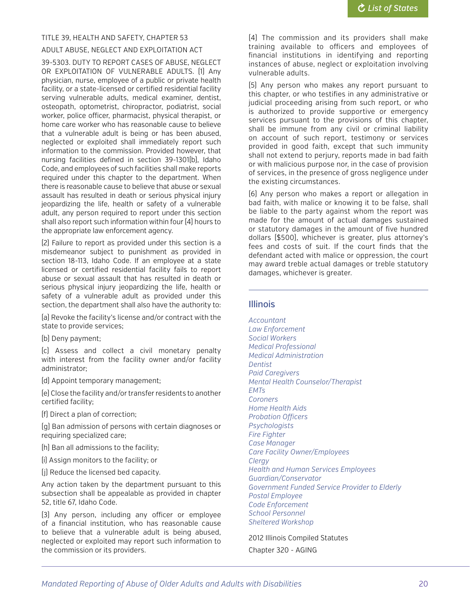#### TITLE 39, HEALTH AND SAFETY, CHAPTER 53

#### ADULT ABUSE, NEGLECT AND EXPLOITATION ACT

39-5303. DUTY TO REPORT CASES OF ABUSE, NEGLECT OR EXPLOITATION OF VULNERABLE ADULTS. (1) Any physician, nurse, employee of a public or private health facility, or a state-licensed or certified residential facility serving vulnerable adults, medical examiner, dentist, osteopath, optometrist, chiropractor, podiatrist, social worker, police officer, pharmacist, physical therapist, or home care worker who has reasonable cause to believe that a vulnerable adult is being or has been abused, neglected or exploited shall immediately report such information to the commission. Provided however, that nursing facilities defined in section 39-1301(b), Idaho Code, and employees of such facilities shall make reports required under this chapter to the department. When there is reasonable cause to believe that abuse or sexual assault has resulted in death or serious physical injury jeopardizing the life, health or safety of a vulnerable adult, any person required to report under this section shall also report such information within four (4) hours to the appropriate law enforcement agency.

(2) Failure to report as provided under this section is a misdemeanor subject to punishment as provided in section 18-113, Idaho Code. If an employee at a state licensed or certified residential facility fails to report abuse or sexual assault that has resulted in death or serious physical injury jeopardizing the life, health or safety of a vulnerable adult as provided under this section, the department shall also have the authority to:

(a) Revoke the facility's license and/or contract with the state to provide services;

(b) Deny payment;

(c) Assess and collect a civil monetary penalty with interest from the facility owner and/or facility administrator;

(d) Appoint temporary management;

(e) Close the facility and/or transfer residents to another certified facility;

(f) Direct a plan of correction;

(g) Ban admission of persons with certain diagnoses or requiring specialized care;

(h) Ban all admissions to the facility;

(i) Assign monitors to the facility; or

(j) Reduce the licensed bed capacity.

Any action taken by the department pursuant to this subsection shall be appealable as provided in chapter 52, title 67, Idaho Code.

(3) Any person, including any officer or employee of a financial institution, who has reasonable cause to believe that a vulnerable adult is being abused, neglected or exploited may report such information to the commission or its providers.

(4) The commission and its providers shall make training available to officers and employees of financial institutions in identifying and reporting instances of abuse, neglect or exploitation involving vulnerable adults.

(5) Any person who makes any report pursuant to this chapter, or who testifies in any administrative or judicial proceeding arising from such report, or who is authorized to provide supportive or emergency services pursuant to the provisions of this chapter, shall be immune from any civil or criminal liability on account of such report, testimony or services provided in good faith, except that such immunity shall not extend to perjury, reports made in bad faith or with malicious purpose nor, in the case of provision of services, in the presence of gross negligence under the existing circumstances.

(6) Any person who makes a report or allegation in bad faith, with malice or knowing it to be false, shall be liable to the party against whom the report was made for the amount of actual damages sustained or statutory damages in the amount of five hundred dollars (\$500), whichever is greater, plus attorney's fees and costs of suit. If the court finds that the defendant acted with malice or oppression, the court may award treble actual damages or treble statutory damages, whichever is greater.

#### <span id="page-19-0"></span>Illinois

*Accountant Law Enforcement Social Workers Medical Professional Medical Administration Dentist Paid Caregivers Mental Health Counselor/Therapist EMTs Coroners Home Health Aids Probation Officers Psychologists Fire Fighter Case Manager Care Facility Owner/Employees Clergy Health and Human Services Employees Guardian/Conservator Government Funded Service Provider to Elderly Postal Employee Code Enforcement School Personnel Sheltered Workshop*

2012 Illinois Compiled Statutes Chapter 320 - AGING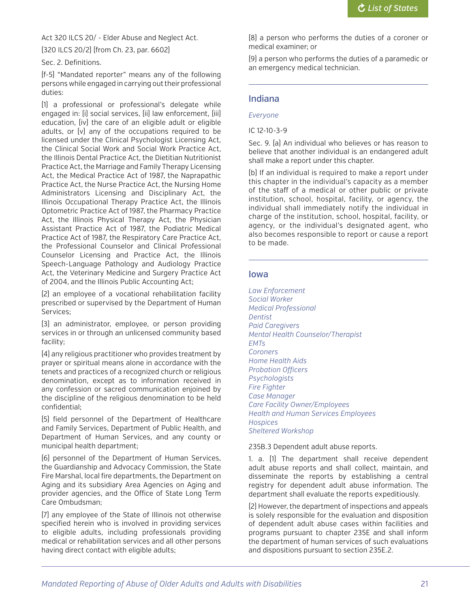Act 320 ILCS 20/ - Elder Abuse and Neglect Act.

(320 ILCS 20/2) (from Ch. 23, par. 6602)

Sec. 2. Definitions.

(f-5) "Mandated reporter" means any of the following persons while engaged in carrying out their professional duties:

(1) a professional or professional's delegate while engaged in: (i) social services, (ii) law enforcement, (iii) education, (iv) the care of an eligible adult or eligible adults, or (v) any of the occupations required to be licensed under the Clinical Psychologist Licensing Act, the Clinical Social Work and Social Work Practice Act, the Illinois Dental Practice Act, the Dietitian Nutritionist Practice Act, the Marriage and Family Therapy Licensing Act, the Medical Practice Act of 1987, the Naprapathic Practice Act, the Nurse Practice Act, the Nursing Home Administrators Licensing and Disciplinary Act, the Illinois Occupational Therapy Practice Act, the Illinois Optometric Practice Act of 1987, the Pharmacy Practice Act, the Illinois Physical Therapy Act, the Physician Assistant Practice Act of 1987, the Podiatric Medical Practice Act of 1987, the Respiratory Care Practice Act, the Professional Counselor and Clinical Professional Counselor Licensing and Practice Act, the Illinois Speech-Language Pathology and Audiology Practice Act, the Veterinary Medicine and Surgery Practice Act of 2004, and the Illinois Public Accounting Act;

(2) an employee of a vocational rehabilitation facility prescribed or supervised by the Department of Human Services;

(3) an administrator, employee, or person providing services in or through an unlicensed community based facility;

(4) any religious practitioner who provides treatment by prayer or spiritual means alone in accordance with the tenets and practices of a recognized church or religious denomination, except as to information received in any confession or sacred communication enjoined by the discipline of the religious denomination to be held confidential;

(5) field personnel of the Department of Healthcare and Family Services, Department of Public Health, and Department of Human Services, and any county or municipal health department;

(6) personnel of the Department of Human Services, the Guardianship and Advocacy Commission, the State Fire Marshal, local fire departments, the Department on Aging and its subsidiary Area Agencies on Aging and provider agencies, and the Office of State Long Term Care Ombudsman;

(7) any employee of the State of Illinois not otherwise specified herein who is involved in providing services to eligible adults, including professionals providing medical or rehabilitation services and all other persons having direct contact with eligible adults;

(8) a person who performs the duties of a coroner or medical examiner; or

(9) a person who performs the duties of a paramedic or an emergency medical technician.

# <span id="page-20-0"></span>Indiana

*Everyone*

IC 12-10-3-9

Sec. 9. (a) An individual who believes or has reason to believe that another individual is an endangered adult shall make a report under this chapter.

(b) If an individual is required to make a report under this chapter in the individual's capacity as a member of the staff of a medical or other public or private institution, school, hospital, facility, or agency, the individual shall immediately notify the individual in charge of the institution, school, hospital, facility, or agency, or the individual's designated agent, who also becomes responsible to report or cause a report to be made.

#### <span id="page-20-1"></span>Iowa

*Law Enforcement Social Worker Medical Professional Dentist Paid Caregivers Mental Health Counselor/Therapist EMTs Coroners Home Health Aids Probation Officers Psychologists Fire Fighter Case Manager Care Facility Owner/Employees Health and Human Services Employees Hospices Sheltered Workshop*

235B.3 Dependent adult abuse reports.

1. a. (1) The department shall receive dependent adult abuse reports and shall collect, maintain, and disseminate the reports by establishing a central registry for dependent adult abuse information. The department shall evaluate the reports expeditiously.

(2) However, the department of inspections and appeals is solely responsible for the evaluation and disposition of dependent adult abuse cases within facilities and programs pursuant to chapter 235E and shall inform the department of human services of such evaluations and dispositions pursuant to section 235E.2.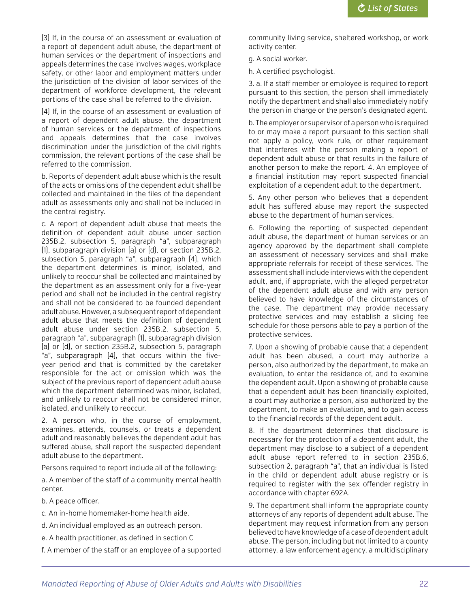(3) If, in the course of an assessment or evaluation of a report of dependent adult abuse, the department of human services or the department of inspections and appeals determines the case involves wages, workplace safety, or other labor and employment matters under the jurisdiction of the division of labor services of the department of workforce development, the relevant portions of the case shall be referred to the division.

(4) If, in the course of an assessment or evaluation of a report of dependent adult abuse, the department of human services or the department of inspections and appeals determines that the case involves discrimination under the jurisdiction of the civil rights commission, the relevant portions of the case shall be referred to the commission.

b. Reports of dependent adult abuse which is the result of the acts or omissions of the dependent adult shall be collected and maintained in the files of the dependent adult as assessments only and shall not be included in the central registry.

c. A report of dependent adult abuse that meets the definition of dependent adult abuse under section 235B.2, subsection 5, paragraph "a", subparagraph (1), subparagraph division (a) or (d), or section 235B.2, subsection 5, paragraph "a", subparagraph (4), which the department determines is minor, isolated, and unlikely to reoccur shall be collected and maintained by the department as an assessment only for a five-year period and shall not be included in the central registry and shall not be considered to be founded dependent adult abuse. However, a subsequent report of dependent adult abuse that meets the definition of dependent adult abuse under section 235B.2, subsection 5, paragraph "a", subparagraph (1), subparagraph division (a) or (d), or section 235B.2, subsection 5, paragraph "a", subparagraph (4), that occurs within the fiveyear period and that is committed by the caretaker responsible for the act or omission which was the subject of the previous report of dependent adult abuse which the department determined was minor, isolated, and unlikely to reoccur shall not be considered minor, isolated, and unlikely to reoccur.

2. A person who, in the course of employment, examines, attends, counsels, or treats a dependent adult and reasonably believes the dependent adult has suffered abuse, shall report the suspected dependent adult abuse to the department.

Persons required to report include all of the following:

a. A member of the staff of a community mental health center.

b. A peace officer.

c. An in-home homemaker-home health aide.

d. An individual employed as an outreach person.

e. A health practitioner, as defined in section C

f. A member of the staff or an employee of a supported

community living service, sheltered workshop, or work activity center.

g. A social worker.

h. A certified psychologist.

3. a. If a staff member or employee is required to report pursuant to this section, the person shall immediately notify the department and shall also immediately notify the person in charge or the person's designated agent.

b. The employer or supervisor of a person who is required to or may make a report pursuant to this section shall not apply a policy, work rule, or other requirement that interferes with the person making a report of dependent adult abuse or that results in the failure of another person to make the report. 4. An employee of a financial institution may report suspected financial exploitation of a dependent adult to the department.

5. Any other person who believes that a dependent adult has suffered abuse may report the suspected abuse to the department of human services.

6. Following the reporting of suspected dependent adult abuse, the department of human services or an agency approved by the department shall complete an assessment of necessary services and shall make appropriate referrals for receipt of these services. The assessment shall include interviews with the dependent adult, and, if appropriate, with the alleged perpetrator of the dependent adult abuse and with any person believed to have knowledge of the circumstances of the case. The department may provide necessary protective services and may establish a sliding fee schedule for those persons able to pay a portion of the protective services.

7. Upon a showing of probable cause that a dependent adult has been abused, a court may authorize a person, also authorized by the department, to make an evaluation, to enter the residence of, and to examine the dependent adult. Upon a showing of probable cause that a dependent adult has been financially exploited, a court may authorize a person, also authorized by the department, to make an evaluation, and to gain access to the financial records of the dependent adult.

8. If the department determines that disclosure is necessary for the protection of a dependent adult, the department may disclose to a subject of a dependent adult abuse report referred to in section 235B.6, subsection 2, paragraph "a", that an individual is listed in the child or dependent adult abuse registry or is required to register with the sex offender registry in accordance with chapter 692A.

9. The department shall inform the appropriate county attorneys of any reports of dependent adult abuse. The department may request information from any person believed to have knowledge of a case of dependent adult abuse. The person, including but not limited to a county attorney, a law enforcement agency, a multidisciplinary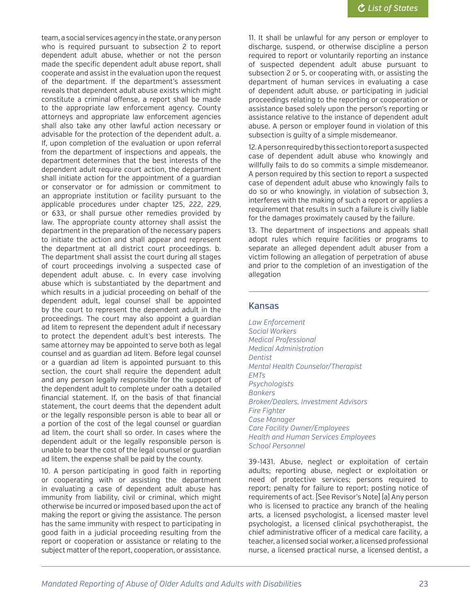team, a social services agency in the state, or any person who is required pursuant to subsection 2 to report dependent adult abuse, whether or not the person made the specific dependent adult abuse report, shall cooperate and assist in the evaluation upon the request of the department. If the department's assessment reveals that dependent adult abuse exists which might constitute a criminal offense, a report shall be made to the appropriate law enforcement agency. County attorneys and appropriate law enforcement agencies shall also take any other lawful action necessary or advisable for the protection of the dependent adult. a. If, upon completion of the evaluation or upon referral from the department of inspections and appeals, the department determines that the best interests of the dependent adult require court action, the department shall initiate action for the appointment of a guardian or conservator or for admission or commitment to an appropriate institution or facility pursuant to the applicable procedures under chapter 125, 222, 229, or 633, or shall pursue other remedies provided by law. The appropriate county attorney shall assist the department in the preparation of the necessary papers to initiate the action and shall appear and represent the department at all district court proceedings. b. The department shall assist the court during all stages of court proceedings involving a suspected case of dependent adult abuse. c. In every case involving abuse which is substantiated by the department and which results in a judicial proceeding on behalf of the dependent adult, legal counsel shall be appointed by the court to represent the dependent adult in the proceedings. The court may also appoint a guardian ad litem to represent the dependent adult if necessary to protect the dependent adult's best interests. The same attorney may be appointed to serve both as legal counsel and as guardian ad litem. Before legal counsel or a guardian ad litem is appointed pursuant to this section, the court shall require the dependent adult and any person legally responsible for the support of the dependent adult to complete under oath a detailed financial statement. If, on the basis of that financial statement, the court deems that the dependent adult or the legally responsible person is able to bear all or a portion of the cost of the legal counsel or guardian ad litem, the court shall so order. In cases where the dependent adult or the legally responsible person is unable to bear the cost of the legal counsel or guardian ad litem, the expense shall be paid by the county.

10. A person participating in good faith in reporting or cooperating with or assisting the department in evaluating a case of dependent adult abuse has immunity from liability, civil or criminal, which might otherwise be incurred or imposed based upon the act of making the report or giving the assistance. The person has the same immunity with respect to participating in good faith in a judicial proceeding resulting from the report or cooperation or assistance or relating to the subject matter of the report, cooperation, or assistance.

11. It shall be unlawful for any person or employer to discharge, suspend, or otherwise discipline a person required to report or voluntarily reporting an instance of suspected dependent adult abuse pursuant to subsection 2 or 5, or cooperating with, or assisting the department of human services in evaluating a case of dependent adult abuse, or participating in judicial proceedings relating to the reporting or cooperation or assistance based solely upon the person's reporting or assistance relative to the instance of dependent adult abuse. A person or employer found in violation of this subsection is guilty of a simple misdemeanor.

12. A person required by this section to report a suspected case of dependent adult abuse who knowingly and willfully fails to do so commits a simple misdemeanor. A person required by this section to report a suspected case of dependent adult abuse who knowingly fails to do so or who knowingly, in violation of subsection 3, interferes with the making of such a report or applies a requirement that results in such a failure is civilly liable for the damages proximately caused by the failure.

13. The department of inspections and appeals shall adopt rules which require facilities or programs to separate an alleged dependent adult abuser from a victim following an allegation of perpetration of abuse and prior to the completion of an investigation of the allegation

#### <span id="page-22-0"></span>Kansas

*Law Enforcement Social Workers Medical Professional Medical Administration Dentist Mental Health Counselor/Therapist EMTs Psychologists Bankers Broker/Dealers, Investment Advisors Fire Fighter Case Manager Care Facility Owner/Employees Health and Human Services Employees School Personnel*

39-1431. Abuse, neglect or exploitation of certain adults; reporting abuse, neglect or exploitation or need of protective services; persons required to report; penalty for failure to report; posting notice of requirements of act. [See Revisor's Note] (a) Any person who is licensed to practice any branch of the healing arts, a licensed psychologist, a licensed master level psychologist, a licensed clinical psychotherapist, the chief administrative officer of a medical care facility, a teacher, a licensed social worker, a licensed professional nurse, a licensed practical nurse, a licensed dentist, a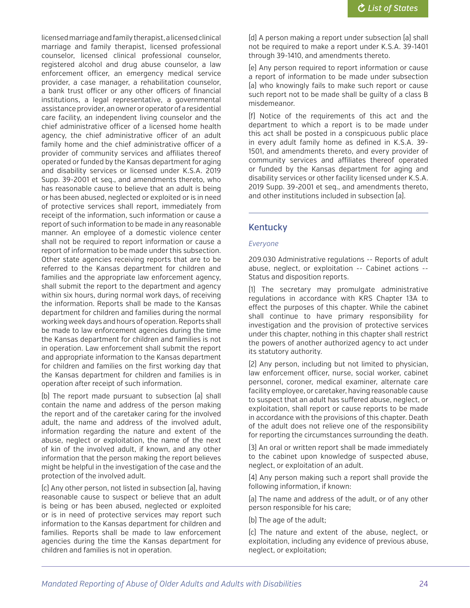licensed marriage and family therapist, a licensed clinical marriage and family therapist, licensed professional counselor, licensed clinical professional counselor, registered alcohol and drug abuse counselor, a law enforcement officer, an emergency medical service provider, a case manager, a rehabilitation counselor, a bank trust officer or any other officers of financial institutions, a legal representative, a governmental assistance provider, an owner or operator of a residential care facility, an independent living counselor and the chief administrative officer of a licensed home health agency, the chief administrative officer of an adult family home and the chief administrative officer of a provider of community services and affiliates thereof operated or funded by the Kansas department for aging and disability services or licensed under K.S.A. 2019 Supp. 39-2001 et seq., and amendments thereto, who has reasonable cause to believe that an adult is being or has been abused, neglected or exploited or is in need of protective services shall report, immediately from receipt of the information, such information or cause a report of such information to be made in any reasonable manner. An employee of a domestic violence center shall not be required to report information or cause a report of information to be made under this subsection. Other state agencies receiving reports that are to be referred to the Kansas department for children and families and the appropriate law enforcement agency, shall submit the report to the department and agency within six hours, during normal work days, of receiving the information. Reports shall be made to the Kansas department for children and families during the normal working week days and hours of operation. Reports shall be made to law enforcement agencies during the time the Kansas department for children and families is not in operation. Law enforcement shall submit the report and appropriate information to the Kansas department for children and families on the first working day that the Kansas department for children and families is in operation after receipt of such information.

(b) The report made pursuant to subsection (a) shall contain the name and address of the person making the report and of the caretaker caring for the involved adult, the name and address of the involved adult, information regarding the nature and extent of the abuse, neglect or exploitation, the name of the next of kin of the involved adult, if known, and any other information that the person making the report believes might be helpful in the investigation of the case and the protection of the involved adult.

(c) Any other person, not listed in subsection (a), having reasonable cause to suspect or believe that an adult is being or has been abused, neglected or exploited or is in need of protective services may report such information to the Kansas department for children and families. Reports shall be made to law enforcement agencies during the time the Kansas department for children and families is not in operation.

(d) A person making a report under subsection (a) shall not be required to make a report under K.S.A. 39-1401 through 39-1410, and amendments thereto.

(e) Any person required to report information or cause a report of information to be made under subsection (a) who knowingly fails to make such report or cause such report not to be made shall be guilty of a class B misdemeanor.

(f) Notice of the requirements of this act and the department to which a report is to be made under this act shall be posted in a conspicuous public place in every adult family home as defined in K.S.A. 39- 1501, and amendments thereto, and every provider of community services and affiliates thereof operated or funded by the Kansas department for aging and disability services or other facility licensed under K.S.A. 2019 Supp. 39-2001 et seq., and amendments thereto, and other institutions included in subsection (a).

### <span id="page-23-0"></span>Kentucky

#### *Everyone*

209.030 Administrative regulations -- Reports of adult abuse, neglect, or exploitation -- Cabinet actions -- Status and disposition reports.

(1) The secretary may promulgate administrative regulations in accordance with KRS Chapter 13A to effect the purposes of this chapter. While the cabinet shall continue to have primary responsibility for investigation and the provision of protective services under this chapter, nothing in this chapter shall restrict the powers of another authorized agency to act under its statutory authority.

(2) Any person, including but not limited to physician, law enforcement officer, nurse, social worker, cabinet personnel, coroner, medical examiner, alternate care facility employee, or caretaker, having reasonable cause to suspect that an adult has suffered abuse, neglect, or exploitation, shall report or cause reports to be made in accordance with the provisions of this chapter. Death of the adult does not relieve one of the responsibility for reporting the circumstances surrounding the death.

(3) An oral or written report shall be made immediately to the cabinet upon knowledge of suspected abuse, neglect, or exploitation of an adult.

(4) Any person making such a report shall provide the following information, if known:

(a) The name and address of the adult, or of any other person responsible for his care;

(b) The age of the adult;

(c) The nature and extent of the abuse, neglect, or exploitation, including any evidence of previous abuse, neglect, or exploitation;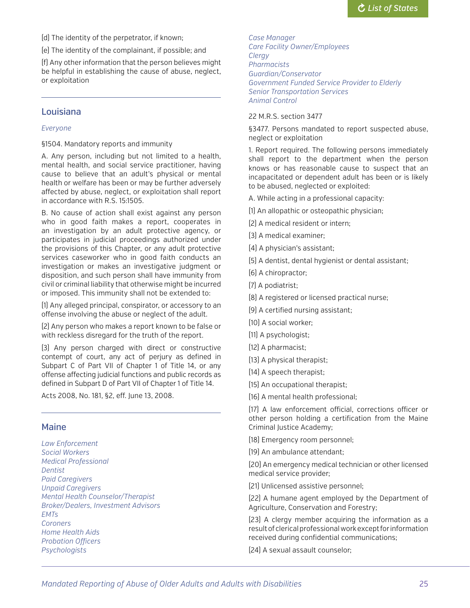(d) The identity of the perpetrator, if known;

(e) The identity of the complainant, if possible; and

(f) Any other information that the person believes might be helpful in establishing the cause of abuse, neglect, or exploitation

#### <span id="page-24-0"></span>Louisiana

#### *Everyone*

§1504. Mandatory reports and immunity

A. Any person, including but not limited to a health, mental health, and social service practitioner, having cause to believe that an adult's physical or mental health or welfare has been or may be further adversely affected by abuse, neglect, or exploitation shall report in accordance with R.S. 15:1505.

B. No cause of action shall exist against any person who in good faith makes a report, cooperates in an investigation by an adult protective agency, or participates in judicial proceedings authorized under the provisions of this Chapter, or any adult protective services caseworker who in good faith conducts an investigation or makes an investigative judgment or disposition, and such person shall have immunity from civil or criminal liability that otherwise might be incurred or imposed. This immunity shall not be extended to:

(1) Any alleged principal, conspirator, or accessory to an offense involving the abuse or neglect of the adult.

(2) Any person who makes a report known to be false or with reckless disregard for the truth of the report.

(3) Any person charged with direct or constructive contempt of court, any act of perjury as defined in Subpart C of Part VII of Chapter 1 of Title 14, or any offense affecting judicial functions and public records as defined in Subpart D of Part VII of Chapter 1 of Title 14.

Acts 2008, No. 181, §2, eff. June 13, 2008.

### <span id="page-24-1"></span>Maine

*Law Enforcement Social Workers Medical Professional Dentist Paid Caregivers Unpaid Caregivers Mental Health Counselor/Therapist Broker/Dealers, Investment Advisors EMTs Coroners Home Health Aids Probation Officers Psychologists*

*Case Manager Care Facility Owner/Employees Clergy Pharmacists Guardian/Conservator Government Funded Service Provider to Elderly Senior Transportation Services Animal Control*

#### 22 M.R.S. section 3477

§3477. Persons mandated to report suspected abuse, neglect or exploitation

1. Report required. The following persons immediately shall report to the department when the person knows or has reasonable cause to suspect that an incapacitated or dependent adult has been or is likely to be abused, neglected or exploited:

A. While acting in a professional capacity:

(1) An allopathic or osteopathic physician;

(2) A medical resident or intern;

- (3) A medical examiner;
- (4) A physician's assistant;
- (5) A dentist, dental hygienist or dental assistant;
- (6) A chiropractor;
- (7) A podiatrist;
- (8) A registered or licensed practical nurse;
- (9) A certified nursing assistant;
- (10) A social worker;
- (11) A psychologist;
- (12) A pharmacist;
- (13) A physical therapist;
- (14) A speech therapist;
- (15) An occupational therapist;
- (16) A mental health professional;

(17) A law enforcement official, corrections officer or other person holding a certification from the Maine Criminal Justice Academy;

- (18) Emergency room personnel;
- (19) An ambulance attendant;

(20) An emergency medical technician or other licensed medical service provider;

(21) Unlicensed assistive personnel;

(22) A humane agent employed by the Department of Agriculture, Conservation and Forestry;

(23) A clergy member acquiring the information as a result of clerical professional work except for information received during confidential communications;

(24) A sexual assault counselor;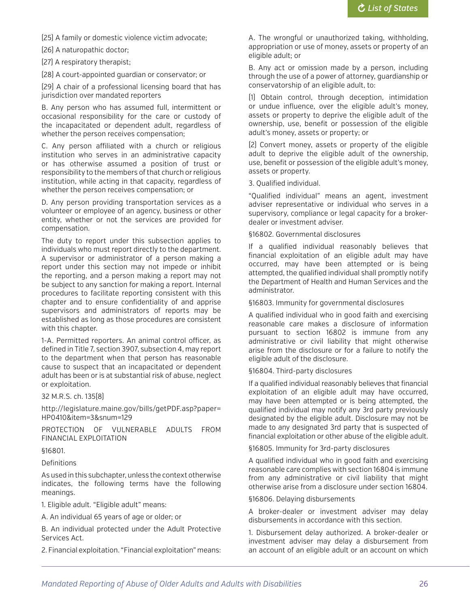- (25) A family or domestic violence victim advocate;
- (26) A naturopathic doctor;

(27) A respiratory therapist;

(28) A court-appointed guardian or conservator; or

(29) A chair of a professional licensing board that has jurisdiction over mandated reporters

B. Any person who has assumed full, intermittent or occasional responsibility for the care or custody of the incapacitated or dependent adult, regardless of whether the person receives compensation;

C. Any person affiliated with a church or religious institution who serves in an administrative capacity or has otherwise assumed a position of trust or responsibility to the members of that church or religious institution, while acting in that capacity, regardless of whether the person receives compensation; or

D. Any person providing transportation services as a volunteer or employee of an agency, business or other entity, whether or not the services are provided for compensation.

The duty to report under this subsection applies to individuals who must report directly to the department. A supervisor or administrator of a person making a report under this section may not impede or inhibit the reporting, and a person making a report may not be subject to any sanction for making a report. Internal procedures to facilitate reporting consistent with this chapter and to ensure confidentiality of and apprise supervisors and administrators of reports may be established as long as those procedures are consistent with this chapter.

1-A. Permitted reporters. An animal control officer, as defined in Title 7, section 3907, subsection 4, may report to the department when that person has reasonable cause to suspect that an incapacitated or dependent adult has been or is at substantial risk of abuse, neglect or exploitation.

32 M.R.S. ch. 135(8)

http://legislature.maine.gov/bills/getPDF.asp?paper= HP0410&item=3&snum=129

PROTECTION OF VULNERABLE ADULTS FROM FINANCIAL EXPLOITATION

§16801.

Definitions

As used in this subchapter, unless the context otherwise indicates, the following terms have the following meanings.

1. Eligible adult. "Eligible adult" means:

A. An individual 65 years of age or older; or

B. An individual protected under the Adult Protective Services Act.

2. Financial exploitation. "Financial exploitation" means:

A. The wrongful or unauthorized taking, withholding, appropriation or use of money, assets or property of an eligible adult; or

B. Any act or omission made by a person, including through the use of a power of attorney, guardianship or conservatorship of an eligible adult, to:

(1) Obtain control, through deception, intimidation or undue influence, over the eligible adult's money, assets or property to deprive the eligible adult of the ownership, use, benefit or possession of the eligible adult's money, assets or property; or

(2) Convert money, assets or property of the eligible adult to deprive the eligible adult of the ownership, use, benefit or possession of the eligible adult's money, assets or property.

3. Qualified individual.

"Qualified individual" means an agent, investment adviser representative or individual who serves in a supervisory, compliance or legal capacity for a brokerdealer or investment adviser.

§16802. Governmental disclosures

If a qualified individual reasonably believes that financial exploitation of an eligible adult may have occurred, may have been attempted or is being attempted, the qualified individual shall promptly notify the Department of Health and Human Services and the administrator.

§16803. Immunity for governmental disclosures

A qualified individual who in good faith and exercising reasonable care makes a disclosure of information pursuant to section 16802 is immune from any administrative or civil liability that might otherwise arise from the disclosure or for a failure to notify the eligible adult of the disclosure.

§16804. Third-party disclosures

If a qualified individual reasonably believes that financial exploitation of an eligible adult may have occurred, may have been attempted or is being attempted, the qualified individual may notify any 3rd party previously designated by the eligible adult. Disclosure may not be made to any designated 3rd party that is suspected of financial exploitation or other abuse of the eligible adult.

§16805. Immunity for 3rd-party disclosures

A qualified individual who in good faith and exercising reasonable care complies with section 16804 is immune from any administrative or civil liability that might otherwise arise from a disclosure under section 16804.

§16806. Delaying disbursements

A broker-dealer or investment adviser may delay disbursements in accordance with this section.

1. Disbursement delay authorized. A broker-dealer or investment adviser may delay a disbursement from an account of an eligible adult or an account on which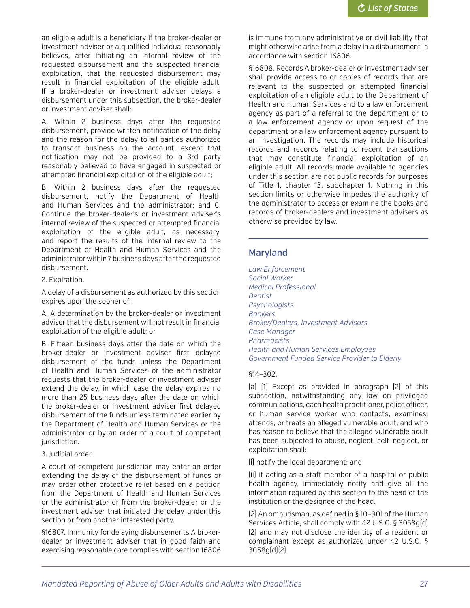an eligible adult is a beneficiary if the broker-dealer or investment adviser or a qualified individual reasonably believes, after initiating an internal review of the requested disbursement and the suspected financial exploitation, that the requested disbursement may result in financial exploitation of the eligible adult. If a broker-dealer or investment adviser delays a disbursement under this subsection, the broker-dealer or investment adviser shall:

A. Within 2 business days after the requested disbursement, provide written notification of the delay and the reason for the delay to all parties authorized to transact business on the account, except that notification may not be provided to a 3rd party reasonably believed to have engaged in suspected or attempted financial exploitation of the eligible adult;

B. Within 2 business days after the requested disbursement, notify the Department of Health and Human Services and the administrator; and C. Continue the broker-dealer's or investment adviser's internal review of the suspected or attempted financial exploitation of the eligible adult, as necessary, and report the results of the internal review to the Department of Health and Human Services and the administrator within 7 business days after the requested disbursement.

#### 2. Expiration.

A delay of a disbursement as authorized by this section expires upon the sooner of:

A. A determination by the broker-dealer or investment adviser that the disbursement will not result in financial exploitation of the eligible adult; or

B. Fifteen business days after the date on which the broker-dealer or investment adviser first delayed disbursement of the funds unless the Department of Health and Human Services or the administrator requests that the broker-dealer or investment adviser extend the delay, in which case the delay expires no more than 25 business days after the date on which the broker-dealer or investment adviser first delayed disbursement of the funds unless terminated earlier by the Department of Health and Human Services or the administrator or by an order of a court of competent jurisdiction.

#### 3. Judicial order.

A court of competent jurisdiction may enter an order extending the delay of the disbursement of funds or may order other protective relief based on a petition from the Department of Health and Human Services or the administrator or from the broker-dealer or the investment adviser that initiated the delay under this section or from another interested party.

§16807. Immunity for delaying disbursements A brokerdealer or investment adviser that in good faith and exercising reasonable care complies with section 16806 is immune from any administrative or civil liability that might otherwise arise from a delay in a disbursement in accordance with section 16806.

§16808. Records A broker-dealer or investment adviser shall provide access to or copies of records that are relevant to the suspected or attempted financial exploitation of an eligible adult to the Department of Health and Human Services and to a law enforcement agency as part of a referral to the department or to a law enforcement agency or upon request of the department or a law enforcement agency pursuant to an investigation. The records may include historical records and records relating to recent transactions that may constitute financial exploitation of an eligible adult. All records made available to agencies under this section are not public records for purposes of Title 1, chapter 13, subchapter 1. Nothing in this section limits or otherwise impedes the authority of the administrator to access or examine the books and records of broker-dealers and investment advisers as otherwise provided by law.

#### <span id="page-26-0"></span>Maryland

*Law Enforcement Social Worker Medical Professional Dentist Psychologists Bankers Broker/Dealers, Investment Advisors Case Manager Pharmacists Health and Human Services Employees Government Funded Service Provider to Elderly*

#### §14–302.

(a) (1) Except as provided in paragraph (2) of this subsection, notwithstanding any law on privileged communications, each health practitioner, police officer, or human service worker who contacts, examines, attends, or treats an alleged vulnerable adult, and who has reason to believe that the alleged vulnerable adult has been subjected to abuse, neglect, self–neglect, or exploitation shall:

(i) notify the local department; and

(ii) if acting as a staff member of a hospital or public health agency, immediately notify and give all the information required by this section to the head of the institution or the designee of the head.

(2) An ombudsman, as defined in § 10–901 of the Human Services Article, shall comply with 42 U.S.C. § 3058g(d) (2) and may not disclose the identity of a resident or complainant except as authorized under 42 U.S.C. § 3058g(d)(2).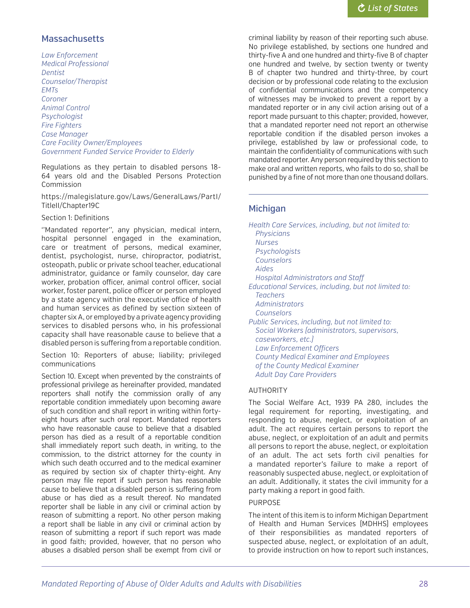### <span id="page-27-0"></span>**Massachusetts**

*Law Enforcement Medical Professional Dentist Counselor/Therapist EMTs Coroner Animal Control Psychologist Fire Fighters Case Manager Care Facility Owner/Employees Government Funded Service Provider to Elderly*

Regulations as they pertain to disabled persons 18- 64 years old and the Disabled Persons Protection Commission

https://malegislature.gov/Laws/GeneralLaws/PartI/ TitleII/Chapter19C

#### Section 1: Definitions

''Mandated reporter'', any physician, medical intern, hospital personnel engaged in the examination, care or treatment of persons, medical examiner, dentist, psychologist, nurse, chiropractor, podiatrist, osteopath, public or private school teacher, educational administrator, guidance or family counselor, day care worker, probation officer, animal control officer, social worker, foster parent, police officer or person employed by a state agency within the executive office of health and human services as defined by section sixteen of chapter six A, or employed by a private agency providing services to disabled persons who, in his professional capacity shall have reasonable cause to believe that a disabled person is suffering from a reportable condition.

Section 10: Reporters of abuse; liability; privileged communications

Section 10. Except when prevented by the constraints of professional privilege as hereinafter provided, mandated reporters shall notify the commission orally of any reportable condition immediately upon becoming aware of such condition and shall report in writing within fortyeight hours after such oral report. Mandated reporters who have reasonable cause to believe that a disabled person has died as a result of a reportable condition shall immediately report such death, in writing, to the commission, to the district attorney for the county in which such death occurred and to the medical examiner as required by section six of chapter thirty-eight. Any person may file report if such person has reasonable cause to believe that a disabled person is suffering from abuse or has died as a result thereof. No mandated reporter shall be liable in any civil or criminal action by reason of submitting a report. No other person making a report shall be liable in any civil or criminal action by reason of submitting a report if such report was made in good faith; provided, however, that no person who abuses a disabled person shall be exempt from civil or criminal liability by reason of their reporting such abuse. No privilege established, by sections one hundred and thirty-five A and one hundred and thirty-five B of chapter one hundred and twelve, by section twenty or twenty B of chapter two hundred and thirty-three, by court decision or by professional code relating to the exclusion of confidential communications and the competency of witnesses may be invoked to prevent a report by a mandated reporter or in any civil action arising out of a report made pursuant to this chapter; provided, however, that a mandated reporter need not report an otherwise reportable condition if the disabled person invokes a privilege, established by law or professional code, to maintain the confidentiality of communications with such mandated reporter. Any person required by this section to make oral and written reports, who fails to do so, shall be punished by a fine of not more than one thousand dollars.

### <span id="page-27-1"></span>Michigan

*Health Care Services, including, but not limited to: Physicians Nurses Psychologists Counselors Aides Hospital Administrators and Staff Educational Services, including, but not limited to: Teachers Administrators Counselors Public Services, including, but not limited to: Social Workers (administrators, supervisors, caseworkers, etc.) Law Enforcement Officers County Medical Examiner and Employees of the County Medical Examiner Adult Day Care Providers*

#### AUTHORITY

The Social Welfare Act, 1939 PA 280, includes the legal requirement for reporting, investigating, and responding to abuse, neglect, or exploitation of an adult. The act requires certain persons to report the abuse, neglect, or exploitation of an adult and permits all persons to report the abuse, neglect, or exploitation of an adult. The act sets forth civil penalties for a mandated reporter's failure to make a report of reasonably suspected abuse, neglect, or exploitation of an adult. Additionally, it states the civil immunity for a party making a report in good faith.

#### PURPOSE

The intent of this item is to inform Michigan Department of Health and Human Services (MDHHS) employees of their responsibilities as mandated reporters of suspected abuse, neglect, or exploitation of an adult, to provide instruction on how to report such instances,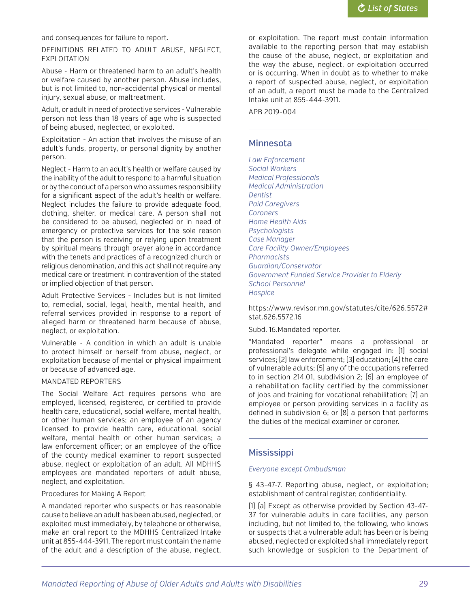and consequences for failure to report.

DEFINITIONS RELATED TO ADULT ABUSE, NEGLECT, EXPLOITATION

Abuse - Harm or threatened harm to an adult's health or welfare caused by another person. Abuse includes, but is not limited to, non-accidental physical or mental injury, sexual abuse, or maltreatment.

Adult, or adult in need of protective services - Vulnerable person not less than 18 years of age who is suspected of being abused, neglected, or exploited.

Exploitation - An action that involves the misuse of an adult's funds, property, or personal dignity by another person.

Neglect - Harm to an adult's health or welfare caused by the inability of the adult to respond to a harmful situation or by the conduct of a person who assumes responsibility for a significant aspect of the adult's health or welfare. Neglect includes the failure to provide adequate food, clothing, shelter, or medical care. A person shall not be considered to be abused, neglected or in need of emergency or protective services for the sole reason that the person is receiving or relying upon treatment by spiritual means through prayer alone in accordance with the tenets and practices of a recognized church or religious denomination, and this act shall not require any medical care or treatment in contravention of the stated or implied objection of that person.

Adult Protective Services - Includes but is not limited to, remedial, social, legal, health, mental health, and referral services provided in response to a report of alleged harm or threatened harm because of abuse, neglect, or exploitation.

Vulnerable - A condition in which an adult is unable to protect himself or herself from abuse, neglect, or exploitation because of mental or physical impairment or because of advanced age.

#### MANDATED REPORTERS

The Social Welfare Act requires persons who are employed, licensed, registered, or certified to provide health care, educational, social welfare, mental health, or other human services; an employee of an agency licensed to provide health care, educational, social welfare, mental health or other human services; a law enforcement officer; or an employee of the office of the county medical examiner to report suspected abuse, neglect or exploitation of an adult. All MDHHS employees are mandated reporters of adult abuse, neglect, and exploitation.

#### Procedures for Making A Report

A mandated reporter who suspects or has reasonable cause to believe an adult has been abused, neglected, or exploited must immediately, by telephone or otherwise, make an oral report to the MDHHS Centralized Intake unit at 855-444-3911. The report must contain the name of the adult and a description of the abuse, neglect,

or exploitation. The report must contain information available to the reporting person that may establish the cause of the abuse, neglect, or exploitation and the way the abuse, neglect, or exploitation occurred or is occurring. When in doubt as to whether to make a report of suspected abuse, neglect, or exploitation of an adult, a report must be made to the Centralized Intake unit at 855-444-3911.

APB 2019-004

#### <span id="page-28-0"></span>Minnesota

*Law Enforcement Social Workers Medical Professionals Medical Administration Dentist Paid Caregivers Coroners Home Health Aids Psychologists Case Manager Care Facility Owner/Employees Pharmacists Guardian/Conservator Government Funded Service Provider to Elderly School Personnel Hospice*

https://www.revisor.mn.gov/statutes/cite/626.5572# stat.626.5572.16

Subd. 16.Mandated reporter.

"Mandated reporter" means a professional or professional's delegate while engaged in: (1) social services; (2) law enforcement; (3) education; (4) the care of vulnerable adults; (5) any of the occupations referred to in section 214.01, subdivision 2; (6) an employee of a rehabilitation facility certified by the commissioner of jobs and training for vocational rehabilitation; (7) an employee or person providing services in a facility as defined in subdivision 6; or (8) a person that performs the duties of the medical examiner or coroner.

#### <span id="page-28-1"></span>Mississippi

#### *Everyone except Ombudsman*

§ 43-47-7. Reporting abuse, neglect, or exploitation; establishment of central register; confidentiality.

(1) (a) Except as otherwise provided by Section 43-47- 37 for vulnerable adults in care facilities, any person including, but not limited to, the following, who knows or suspects that a vulnerable adult has been or is being abused, neglected or exploited shall immediately report such knowledge or suspicion to the Department of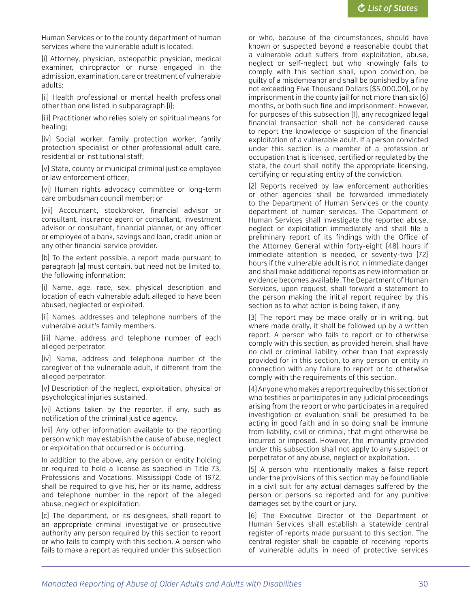Human Services or to the county department of human services where the vulnerable adult is located:

(i) Attorney, physician, osteopathic physician, medical examiner, chiropractor or nurse engaged in the admission, examination, care or treatment of vulnerable adults;

(ii) Health professional or mental health professional other than one listed in subparagraph (i);

(iii) Practitioner who relies solely on spiritual means for healing;

(iv) Social worker, family protection worker, family protection specialist or other professional adult care, residential or institutional staff;

(v) State, county or municipal criminal justice employee or law enforcement officer;

(vi) Human rights advocacy committee or long-term care ombudsman council member; or

(vii) Accountant, stockbroker, financial advisor or consultant, insurance agent or consultant, investment advisor or consultant, financial planner, or any officer or employee of a bank, savings and loan, credit union or any other financial service provider.

(b) To the extent possible, a report made pursuant to paragraph (a) must contain, but need not be limited to, the following information:

(i) Name, age, race, sex, physical description and location of each vulnerable adult alleged to have been abused, neglected or exploited.

(ii) Names, addresses and telephone numbers of the vulnerable adult's family members.

(iii) Name, address and telephone number of each alleged perpetrator.

(iv) Name, address and telephone number of the caregiver of the vulnerable adult, if different from the alleged perpetrator.

(v) Description of the neglect, exploitation, physical or psychological injuries sustained.

(vi) Actions taken by the reporter, if any, such as notification of the criminal justice agency.

(vii) Any other information available to the reporting person which may establish the cause of abuse, neglect or exploitation that occurred or is occurring.

In addition to the above, any person or entity holding or required to hold a license as specified in Title 73, Professions and Vocations, Mississippi Code of 1972, shall be required to give his, her or its name, address and telephone number in the report of the alleged abuse, neglect or exploitation.

(c) The department, or its designees, shall report to an appropriate criminal investigative or prosecutive authority any person required by this section to report or who fails to comply with this section. A person who fails to make a report as required under this subsection

or who, because of the circumstances, should have known or suspected beyond a reasonable doubt that a vulnerable adult suffers from exploitation, abuse, neglect or self-neglect but who knowingly fails to comply with this section shall, upon conviction, be guilty of a misdemeanor and shall be punished by a fine not exceeding Five Thousand Dollars (\$5,000.00), or by imprisonment in the county jail for not more than six (6) months, or both such fine and imprisonment. However, for purposes of this subsection (1), any recognized legal financial transaction shall not be considered cause to report the knowledge or suspicion of the financial exploitation of a vulnerable adult. If a person convicted under this section is a member of a profession or occupation that is licensed, certified or regulated by the state, the court shall notify the appropriate licensing, certifying or regulating entity of the conviction.

(2) Reports received by law enforcement authorities or other agencies shall be forwarded immediately to the Department of Human Services or the county department of human services. The Department of Human Services shall investigate the reported abuse, neglect or exploitation immediately and shall file a preliminary report of its findings with the Office of the Attorney General within forty-eight (48) hours if immediate attention is needed, or seventy-two (72) hours if the vulnerable adult is not in immediate danger and shall make additional reports as new information or evidence becomes available. The Department of Human Services, upon request, shall forward a statement to the person making the initial report required by this section as to what action is being taken, if any.

(3) The report may be made orally or in writing, but where made orally, it shall be followed up by a written report. A person who fails to report or to otherwise comply with this section, as provided herein, shall have no civil or criminal liability, other than that expressly provided for in this section, to any person or entity in connection with any failure to report or to otherwise comply with the requirements of this section.

(4) Anyone who makes a report required by this section or who testifies or participates in any judicial proceedings arising from the report or who participates in a required investigation or evaluation shall be presumed to be acting in good faith and in so doing shall be immune from liability, civil or criminal, that might otherwise be incurred or imposed. However, the immunity provided under this subsection shall not apply to any suspect or perpetrator of any abuse, neglect or exploitation.

(5) A person who intentionally makes a false report under the provisions of this section may be found liable in a civil suit for any actual damages suffered by the person or persons so reported and for any punitive damages set by the court or jury.

(6) The Executive Director of the Department of Human Services shall establish a statewide central register of reports made pursuant to this section. The central register shall be capable of receiving reports of vulnerable adults in need of protective services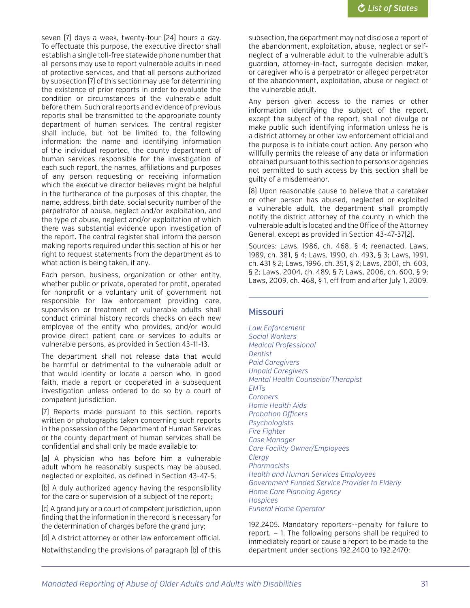seven (7) days a week, twenty-four (24) hours a day. To effectuate this purpose, the executive director shall establish a single toll-free statewide phone number that all persons may use to report vulnerable adults in need of protective services, and that all persons authorized by subsection (7) of this section may use for determining the existence of prior reports in order to evaluate the condition or circumstances of the vulnerable adult before them. Such oral reports and evidence of previous reports shall be transmitted to the appropriate county department of human services. The central register shall include, but not be limited to, the following information: the name and identifying information of the individual reported, the county department of human services responsible for the investigation of each such report, the names, affiliations and purposes of any person requesting or receiving information which the executive director believes might be helpful in the furtherance of the purposes of this chapter, the name, address, birth date, social security number of the perpetrator of abuse, neglect and/or exploitation, and the type of abuse, neglect and/or exploitation of which there was substantial evidence upon investigation of the report. The central register shall inform the person making reports required under this section of his or her right to request statements from the department as to what action is being taken, if any.

Each person, business, organization or other entity, whether public or private, operated for profit, operated for nonprofit or a voluntary unit of government not responsible for law enforcement providing care, supervision or treatment of vulnerable adults shall conduct criminal history records checks on each new employee of the entity who provides, and/or would provide direct patient care or services to adults or vulnerable persons, as provided in Section 43-11-13.

The department shall not release data that would be harmful or detrimental to the vulnerable adult or that would identify or locate a person who, in good faith, made a report or cooperated in a subsequent investigation unless ordered to do so by a court of competent jurisdiction.

(7) Reports made pursuant to this section, reports written or photographs taken concerning such reports in the possession of the Department of Human Services or the county department of human services shall be confidential and shall only be made available to:

(a) A physician who has before him a vulnerable adult whom he reasonably suspects may be abused, neglected or exploited, as defined in Section 43-47-5;

(b) A duly authorized agency having the responsibility for the care or supervision of a subject of the report;

(c) A grand jury or a court of competent jurisdiction, upon finding that the information in the record is necessary for the determination of charges before the grand jury;

(d) A district attorney or other law enforcement official. Notwithstanding the provisions of paragraph (b) of this subsection, the department may not disclose a report of the abandonment, exploitation, abuse, neglect or selfneglect of a vulnerable adult to the vulnerable adult's guardian, attorney-in-fact, surrogate decision maker, or caregiver who is a perpetrator or alleged perpetrator of the abandonment, exploitation, abuse or neglect of the vulnerable adult.

Any person given access to the names or other information identifying the subject of the report, except the subject of the report, shall not divulge or make public such identifying information unless he is a district attorney or other law enforcement official and the purpose is to initiate court action. Any person who willfully permits the release of any data or information obtained pursuant to this section to persons or agencies not permitted to such access by this section shall be guilty of a misdemeanor.

(8) Upon reasonable cause to believe that a caretaker or other person has abused, neglected or exploited a vulnerable adult, the department shall promptly notify the district attorney of the county in which the vulnerable adult is located and the Office of the Attorney General, except as provided in Section 43-47-37(2).

Sources: Laws, 1986, ch. 468, § 4; reenacted, Laws, 1989, ch. 381, § 4; Laws, 1990, ch. 493, § 3; Laws, 1991, ch. 431 § 2; Laws, 1996, ch. 351, § 2; Laws, 2001, ch. 603, § 2; Laws, 2004, ch. 489, § 7; Laws, 2006, ch. 600, § 9; Laws, 2009, ch. 468, § 1, eff from and after July 1, 2009.

#### <span id="page-30-0"></span>**Missouri**

*Law Enforcement Social Workers Medical Professional Dentist Paid Caregivers Unpaid Caregivers Mental Health Counselor/Therapist EMTs Coroners Home Health Aids Probation Officers Psychologists Fire Fighter Case Manager Care Facility Owner/Employees Clergy Pharmacists Health and Human Services Employees Government Funded Service Provider to Elderly Home Care Planning Agency Hospices Funeral Home Operator*

192.2405. Mandatory reporters--penalty for failure to report. — 1. The following persons shall be required to immediately report or cause a report to be made to the department under sections 192.2400 to 192.2470: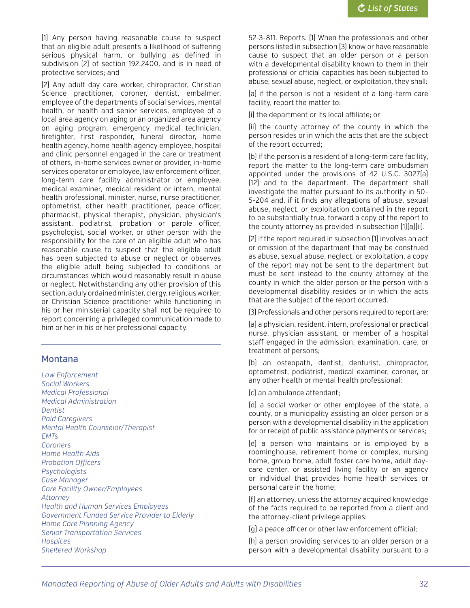(1) Any person having reasonable cause to suspect that an eligible adult presents a likelihood of suffering serious physical harm, or bullying as defined in subdivision (2) of section 192.2400, and is in need of protective services; and

(2) Any adult day care worker, chiropractor, Christian Science practitioner, coroner, dentist, embalmer, employee of the departments of social services, mental health, or health and senior services, employee of a local area agency on aging or an organized area agency on aging program, emergency medical technician, firefighter, first responder, funeral director, home health agency, home health agency employee, hospital and clinic personnel engaged in the care or treatment of others, in-home services owner or provider, in-home services operator or employee, law enforcement officer, long-term care facility administrator or employee, medical examiner, medical resident or intern, mental health professional, minister, nurse, nurse practitioner, optometrist, other health practitioner, peace officer, pharmacist, physical therapist, physician, physician's assistant, podiatrist, probation or parole officer, psychologist, social worker, or other person with the responsibility for the care of an eligible adult who has reasonable cause to suspect that the eligible adult has been subjected to abuse or neglect or observes the eligible adult being subjected to conditions or circumstances which would reasonably result in abuse or neglect. Notwithstanding any other provision of this section, a duly ordained minister, clergy, religious worker, or Christian Science practitioner while functioning in his or her ministerial capacity shall not be required to report concerning a privileged communication made to him or her in his or her professional capacity.

#### <span id="page-31-0"></span>Montana

*Law Enforcement Social Workers Medical Professional Medical Administration Dentist Paid Caregivers Mental Health Counselor/Therapist EMTs Coroners Home Health Aids Probation Officers Psychologists Case Manager Care Facility Owner/Employees Attorney Health and Human Services Employees Government Funded Service Provider to Elderly Home Care Planning Agency Senior Transportation Services Hospices Sheltered Workshop*

52-3-811. Reports. (1) When the professionals and other persons listed in subsection (3) know or have reasonable cause to suspect that an older person or a person with a developmental disability known to them in their professional or official capacities has been subjected to abuse, sexual abuse, neglect, or exploitation, they shall:

(a) if the person is not a resident of a long-term care facility, report the matter to:

(i) the department or its local affiliate; or

(ii) the county attorney of the county in which the person resides or in which the acts that are the subject of the report occurred;

(b) if the person is a resident of a long-term care facility, report the matter to the long-term care ombudsman appointed under the provisions of 42 U.S.C. 3027(a) (12) and to the department. The department shall investigate the matter pursuant to its authority in 50- 5-204 and, if it finds any allegations of abuse, sexual abuse, neglect, or exploitation contained in the report to be substantially true, forward a copy of the report to the county attorney as provided in subsection (1)(a)(ii).

(2) If the report required in subsection (1) involves an act or omission of the department that may be construed as abuse, sexual abuse, neglect, or exploitation, a copy of the report may not be sent to the department but must be sent instead to the county attorney of the county in which the older person or the person with a developmental disability resides or in which the acts that are the subject of the report occurred.

(3) Professionals and other persons required to report are:

(a) a physician, resident, intern, professional or practical nurse, physician assistant, or member of a hospital staff engaged in the admission, examination, care, or treatment of persons;

(b) an osteopath, dentist, denturist, chiropractor, optometrist, podiatrist, medical examiner, coroner, or any other health or mental health professional;

(c) an ambulance attendant;

(d) a social worker or other employee of the state, a county, or a municipality assisting an older person or a person with a developmental disability in the application for or receipt of public assistance payments or services;

(e) a person who maintains or is employed by a roominghouse, retirement home or complex, nursing home, group home, adult foster care home, adult daycare center, or assisted living facility or an agency or individual that provides home health services or personal care in the home;

(f) an attorney, unless the attorney acquired knowledge of the facts required to be reported from a client and the attorney-client privilege applies;

(g) a peace officer or other law enforcement official;

(h) a person providing services to an older person or a person with a developmental disability pursuant to a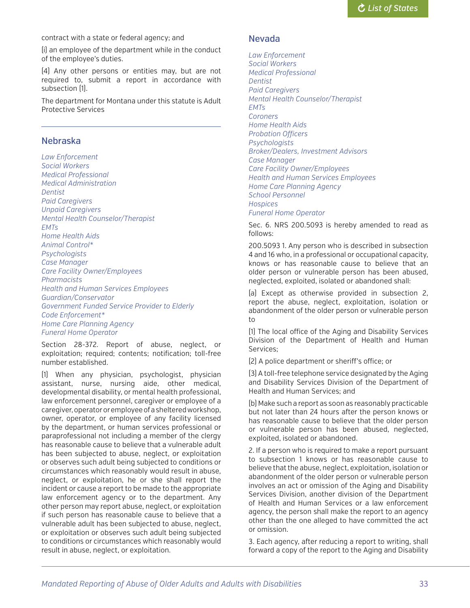contract with a state or federal agency; and

(i) an employee of the department while in the conduct of the employee's duties.

(4) Any other persons or entities may, but are not required to, submit a report in accordance with subsection (1).

The department for Montana under this statute is Adult Protective Services

# <span id="page-32-0"></span>Nebraska

*Law Enforcement Social Workers Medical Professional Medical Administration Dentist Paid Caregivers Unpaid Caregivers Mental Health Counselor/Therapist EMTs Home Health Aids Animal Control\* Psychologists Case Manager Care Facility Owner/Employees Pharmacists Health and Human Services Employees Guardian/Conservator Government Funded Service Provider to Elderly Code Enforcement\* Home Care Planning Agency Funeral Home Operator*

Section 28-372. Report of abuse, neglect, or exploitation; required; contents; notification; toll-free number established.

(1) When any physician, psychologist, physician assistant, nurse, nursing aide, other medical, developmental disability, or mental health professional, law enforcement personnel, caregiver or employee of a caregiver, operator or employee of a sheltered workshop, owner, operator, or employee of any facility licensed by the department, or human services professional or paraprofessional not including a member of the clergy has reasonable cause to believe that a vulnerable adult has been subjected to abuse, neglect, or exploitation or observes such adult being subjected to conditions or circumstances which reasonably would result in abuse, neglect, or exploitation, he or she shall report the incident or cause a report to be made to the appropriate law enforcement agency or to the department. Any other person may report abuse, neglect, or exploitation if such person has reasonable cause to believe that a vulnerable adult has been subjected to abuse, neglect, or exploitation or observes such adult being subjected to conditions or circumstances which reasonably would result in abuse, neglect, or exploitation.

#### <span id="page-32-1"></span>Nevada

*Law Enforcement Social Workers Medical Professional Dentist Paid Caregivers Mental Health Counselor/Therapist EMTs Coroners Home Health Aids Probation Officers Psychologists Broker/Dealers, Investment Advisors Case Manager Care Facility Owner/Employees Health and Human Services Employees Home Care Planning Agency School Personnel Hospices Funeral Home Operator*

Sec. 6. NRS 200.5093 is hereby amended to read as follows:

200.5093 1. Any person who is described in subsection 4 and 16 who, in a professional or occupational capacity, knows or has reasonable cause to believe that an older person or vulnerable person has been abused, neglected, exploited, isolated or abandoned shall:

(a) Except as otherwise provided in subsection 2, report the abuse, neglect, exploitation, isolation or abandonment of the older person or vulnerable person to

(1) The local office of the Aging and Disability Services Division of the Department of Health and Human Services;

(2) A police department or sheriff's office; or

(3) A toll-free telephone service designated by the Aging and Disability Services Division of the Department of Health and Human Services; and

(b) Make such a report as soon as reasonably practicable but not later than 24 hours after the person knows or has reasonable cause to believe that the older person or vulnerable person has been abused, neglected, exploited, isolated or abandoned.

2. If a person who is required to make a report pursuant to subsection 1 knows or has reasonable cause to believe that the abuse, neglect, exploitation, isolation or abandonment of the older person or vulnerable person involves an act or omission of the Aging and Disability Services Division, another division of the Department of Health and Human Services or a law enforcement agency, the person shall make the report to an agency other than the one alleged to have committed the act or omission.

3. Each agency, after reducing a report to writing, shall forward a copy of the report to the Aging and Disability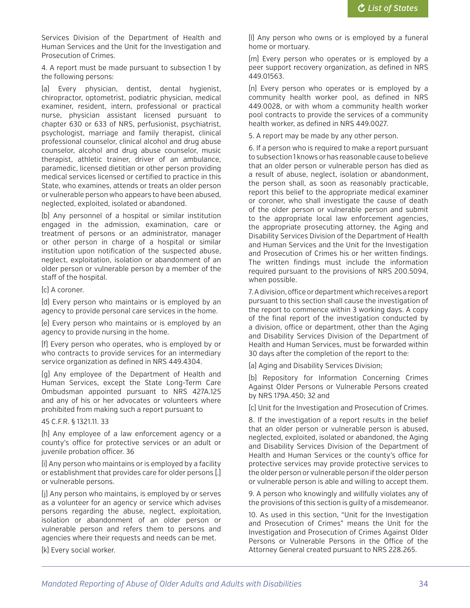Services Division of the Department of Health and Human Services and the Unit for the Investigation and Prosecution of Crimes.

4. A report must be made pursuant to subsection 1 by the following persons:

(a) Every physician, dentist, dental hygienist, chiropractor, optometrist, podiatric physician, medical examiner, resident, intern, professional or practical nurse, physician assistant licensed pursuant to chapter 630 or 633 of NRS, perfusionist, psychiatrist, psychologist, marriage and family therapist, clinical professional counselor, clinical alcohol and drug abuse counselor, alcohol and drug abuse counselor, music therapist, athletic trainer, driver of an ambulance, paramedic, licensed dietitian or other person providing medical services licensed or certified to practice in this State, who examines, attends or treats an older person or vulnerable person who appears to have been abused, neglected, exploited, isolated or abandoned.

(b) Any personnel of a hospital or similar institution engaged in the admission, examination, care or treatment of persons or an administrator, manager or other person in charge of a hospital or similar institution upon notification of the suspected abuse, neglect, exploitation, isolation or abandonment of an older person or vulnerable person by a member of the staff of the hospital.

(c) A coroner.

(d) Every person who maintains or is employed by an agency to provide personal care services in the home.

(e) Every person who maintains or is employed by an agency to provide nursing in the home.

(f) Every person who operates, who is employed by or who contracts to provide services for an intermediary service organization as defined in NRS 449.4304.

(g) Any employee of the Department of Health and Human Services, except the State Long-Term Care Ombudsman appointed pursuant to NRS 427A.125 and any of his or her advocates or volunteers where prohibited from making such a report pursuant to

45 C.F.R. § 1321.11. 33

(h) Any employee of a law enforcement agency or a county's office for protective services or an adult or juvenile probation officer. 36

(i) Any person who maintains or is employed by a facility or establishment that provides care for older persons [.] or vulnerable persons.

(j) Any person who maintains, is employed by or serves as a volunteer for an agency or service which advises persons regarding the abuse, neglect, exploitation, isolation or abandonment of an older person or vulnerable person and refers them to persons and agencies where their requests and needs can be met.

(k) Every social worker.

(l) Any person who owns or is employed by a funeral home or mortuary.

(m) Every person who operates or is employed by a peer support recovery organization, as defined in NRS 449.01563.

(n) Every person who operates or is employed by a community health worker pool, as defined in NRS 449.0028, or with whom a community health worker pool contracts to provide the services of a community health worker, as defined in NRS 449.0027.

5. A report may be made by any other person.

6. If a person who is required to make a report pursuant to subsection 1 knows or has reasonable cause to believe that an older person or vulnerable person has died as a result of abuse, neglect, isolation or abandonment, the person shall, as soon as reasonably practicable, report this belief to the appropriate medical examiner or coroner, who shall investigate the cause of death of the older person or vulnerable person and submit to the appropriate local law enforcement agencies, the appropriate prosecuting attorney, the Aging and Disability Services Division of the Department of Health and Human Services and the Unit for the Investigation and Prosecution of Crimes his or her written findings. The written findings must include the information required pursuant to the provisions of NRS 200.5094, when possible.

7. A division, office or department which receives a report pursuant to this section shall cause the investigation of the report to commence within 3 working days. A copy of the final report of the investigation conducted by a division, office or department, other than the Aging and Disability Services Division of the Department of Health and Human Services, must be forwarded within 30 days after the completion of the report to the:

(a) Aging and Disability Services Division;

(b) Repository for Information Concerning Crimes Against Older Persons or Vulnerable Persons created by NRS 179A.450; 32 and

(c) Unit for the Investigation and Prosecution of Crimes.

8. If the investigation of a report results in the belief that an older person or vulnerable person is abused, neglected, exploited, isolated or abandoned, the Aging and Disability Services Division of the Department of Health and Human Services or the county's office for protective services may provide protective services to the older person or vulnerable person if the older person or vulnerable person is able and willing to accept them.

9. A person who knowingly and willfully violates any of the provisions of this section is guilty of a misdemeanor.

10. As used in this section, "Unit for the Investigation and Prosecution of Crimes" means the Unit for the Investigation and Prosecution of Crimes Against Older Persons or Vulnerable Persons in the Office of the Attorney General created pursuant to NRS 228.265.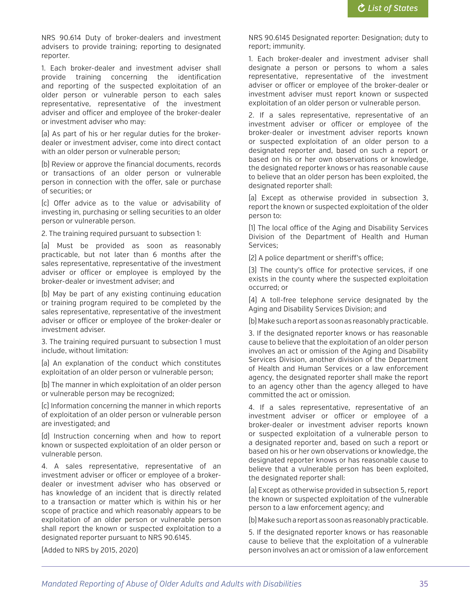NRS 90.614 Duty of broker-dealers and investment advisers to provide training; reporting to designated reporter.

1. Each broker-dealer and investment adviser shall provide training concerning the identification and reporting of the suspected exploitation of an older person or vulnerable person to each sales representative, representative of the investment adviser and officer and employee of the broker-dealer or investment adviser who may:

(a) As part of his or her regular duties for the brokerdealer or investment adviser, come into direct contact with an older person or vulnerable person;

(b) Review or approve the financial documents, records or transactions of an older person or vulnerable person in connection with the offer, sale or purchase of securities; or

(c) Offer advice as to the value or advisability of investing in, purchasing or selling securities to an older person or vulnerable person.

2. The training required pursuant to subsection 1:

(a) Must be provided as soon as reasonably practicable, but not later than 6 months after the sales representative, representative of the investment adviser or officer or employee is employed by the broker-dealer or investment adviser; and

(b) May be part of any existing continuing education or training program required to be completed by the sales representative, representative of the investment adviser or officer or employee of the broker-dealer or investment adviser.

3. The training required pursuant to subsection 1 must include, without limitation:

(a) An explanation of the conduct which constitutes exploitation of an older person or vulnerable person;

(b) The manner in which exploitation of an older person or vulnerable person may be recognized;

(c) Information concerning the manner in which reports of exploitation of an older person or vulnerable person are investigated; and

(d) Instruction concerning when and how to report known or suspected exploitation of an older person or vulnerable person.

4. A sales representative, representative of an investment adviser or officer or employee of a brokerdealer or investment adviser who has observed or has knowledge of an incident that is directly related to a transaction or matter which is within his or her scope of practice and which reasonably appears to be exploitation of an older person or vulnerable person shall report the known or suspected exploitation to a designated reporter pursuant to NRS 90.6145.

(Added to NRS by 2015, 2020)

NRS 90.6145 Designated reporter: Designation; duty to report; immunity.

1. Each broker-dealer and investment adviser shall designate a person or persons to whom a sales representative, representative of the investment adviser or officer or employee of the broker-dealer or investment adviser must report known or suspected exploitation of an older person or vulnerable person.

2. If a sales representative, representative of an investment adviser or officer or employee of the broker-dealer or investment adviser reports known or suspected exploitation of an older person to a designated reporter and, based on such a report or based on his or her own observations or knowledge, the designated reporter knows or has reasonable cause to believe that an older person has been exploited, the designated reporter shall:

(a) Except as otherwise provided in subsection 3, report the known or suspected exploitation of the older person to:

(1) The local office of the Aging and Disability Services Division of the Department of Health and Human Services;

(2) A police department or sheriff's office;

(3) The county's office for protective services, if one exists in the county where the suspected exploitation occurred; or

(4) A toll-free telephone service designated by the Aging and Disability Services Division; and

(b) Make such a report as soon as reasonably practicable.

3. If the designated reporter knows or has reasonable cause to believe that the exploitation of an older person involves an act or omission of the Aging and Disability Services Division, another division of the Department of Health and Human Services or a law enforcement agency, the designated reporter shall make the report to an agency other than the agency alleged to have committed the act or omission.

4. If a sales representative, representative of an investment adviser or officer or employee of a broker-dealer or investment adviser reports known or suspected exploitation of a vulnerable person to a designated reporter and, based on such a report or based on his or her own observations or knowledge, the designated reporter knows or has reasonable cause to believe that a vulnerable person has been exploited, the designated reporter shall:

(a) Except as otherwise provided in subsection 5, report the known or suspected exploitation of the vulnerable person to a law enforcement agency; and

(b) Make such a report as soon as reasonably practicable.

5. If the designated reporter knows or has reasonable cause to believe that the exploitation of a vulnerable person involves an act or omission of a law enforcement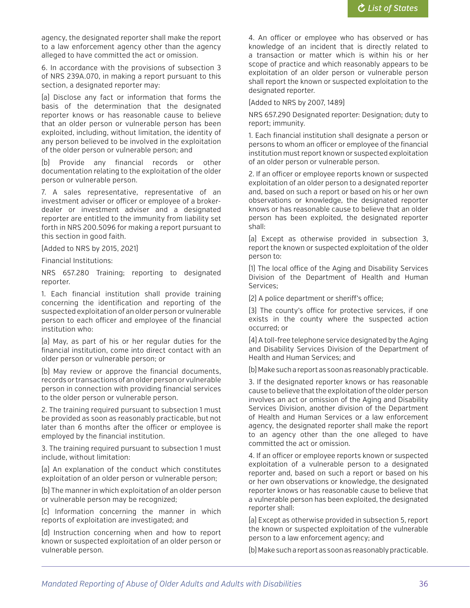agency, the designated reporter shall make the report to a law enforcement agency other than the agency alleged to have committed the act or omission.

6. In accordance with the provisions of subsection 3 of NRS 239A.070, in making a report pursuant to this section, a designated reporter may:

(a) Disclose any fact or information that forms the basis of the determination that the designated reporter knows or has reasonable cause to believe that an older person or vulnerable person has been exploited, including, without limitation, the identity of any person believed to be involved in the exploitation of the older person or vulnerable person; and

(b) Provide any financial records or other documentation relating to the exploitation of the older person or vulnerable person.

7. A sales representative, representative of an investment adviser or officer or employee of a brokerdealer or investment adviser and a designated reporter are entitled to the immunity from liability set forth in NRS 200.5096 for making a report pursuant to this section in good faith.

(Added to NRS by 2015, 2021)

Financial Institutions:

NRS 657.280 Training; reporting to designated reporter.

1. Each financial institution shall provide training concerning the identification and reporting of the suspected exploitation of an older person or vulnerable person to each officer and employee of the financial institution who:

(a) May, as part of his or her regular duties for the financial institution, come into direct contact with an older person or vulnerable person; or

(b) May review or approve the financial documents, records or transactions of an older person or vulnerable person in connection with providing financial services to the older person or vulnerable person.

2. The training required pursuant to subsection 1 must be provided as soon as reasonably practicable, but not later than 6 months after the officer or employee is employed by the financial institution.

3. The training required pursuant to subsection 1 must include, without limitation:

(a) An explanation of the conduct which constitutes exploitation of an older person or vulnerable person;

(b) The manner in which exploitation of an older person or vulnerable person may be recognized;

(c) Information concerning the manner in which reports of exploitation are investigated; and

(d) Instruction concerning when and how to report known or suspected exploitation of an older person or vulnerable person.

4. An officer or employee who has observed or has knowledge of an incident that is directly related to a transaction or matter which is within his or her scope of practice and which reasonably appears to be exploitation of an older person or vulnerable person shall report the known or suspected exploitation to the designated reporter.

#### (Added to NRS by 2007, 1489)

NRS 657.290 Designated reporter: Designation; duty to report; immunity.

1. Each financial institution shall designate a person or persons to whom an officer or employee of the financial institution must report known or suspected exploitation of an older person or vulnerable person.

2. If an officer or employee reports known or suspected exploitation of an older person to a designated reporter and, based on such a report or based on his or her own observations or knowledge, the designated reporter knows or has reasonable cause to believe that an older person has been exploited, the designated reporter shall:

(a) Except as otherwise provided in subsection 3, report the known or suspected exploitation of the older person to:

(1) The local office of the Aging and Disability Services Division of the Department of Health and Human Services;

(2) A police department or sheriff's office;

(3) The county's office for protective services, if one exists in the county where the suspected action occurred; or

(4) A toll-free telephone service designated by the Aging and Disability Services Division of the Department of Health and Human Services; and

(b) Make such a report as soon as reasonably practicable.

3. If the designated reporter knows or has reasonable cause to believe that the exploitation of the older person involves an act or omission of the Aging and Disability Services Division, another division of the Department of Health and Human Services or a law enforcement agency, the designated reporter shall make the report to an agency other than the one alleged to have committed the act or omission.

4. If an officer or employee reports known or suspected exploitation of a vulnerable person to a designated reporter and, based on such a report or based on his or her own observations or knowledge, the designated reporter knows or has reasonable cause to believe that a vulnerable person has been exploited, the designated reporter shall:

(a) Except as otherwise provided in subsection 5, report the known or suspected exploitation of the vulnerable person to a law enforcement agency; and

(b) Make such a report as soon as reasonably practicable.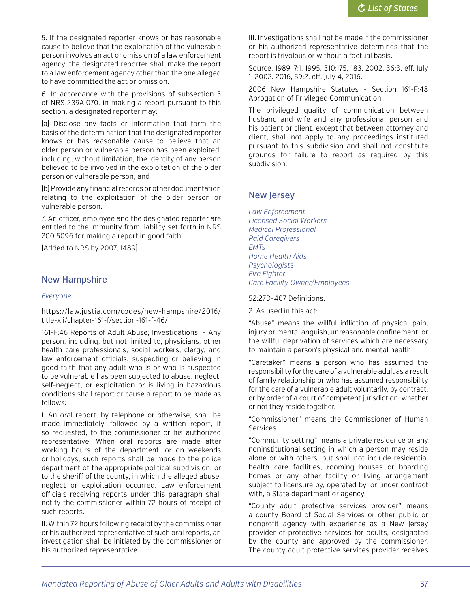5. If the designated reporter knows or has reasonable cause to believe that the exploitation of the vulnerable person involves an act or omission of a law enforcement agency, the designated reporter shall make the report to a law enforcement agency other than the one alleged to have committed the act or omission.

6. In accordance with the provisions of subsection 3 of NRS 239A.070, in making a report pursuant to this section, a designated reporter may:

(a) Disclose any facts or information that form the basis of the determination that the designated reporter knows or has reasonable cause to believe that an older person or vulnerable person has been exploited, including, without limitation, the identity of any person believed to be involved in the exploitation of the older person or vulnerable person; and

(b) Provide any financial records or other documentation relating to the exploitation of the older person or vulnerable person.

7. An officer, employee and the designated reporter are entitled to the immunity from liability set forth in NRS 200.5096 for making a report in good faith.

(Added to NRS by 2007, 1489)

## New Hampshire

### *Everyone*

https://law.justia.com/codes/new-hampshire/2016/ title-xii/chapter-161-f/section-161-f-46/

161-F:46 Reports of Adult Abuse; Investigations. – Any person, including, but not limited to, physicians, other health care professionals, social workers, clergy, and law enforcement officials, suspecting or believing in good faith that any adult who is or who is suspected to be vulnerable has been subjected to abuse, neglect, self-neglect, or exploitation or is living in hazardous conditions shall report or cause a report to be made as follows:

I. An oral report, by telephone or otherwise, shall be made immediately, followed by a written report, if so requested, to the commissioner or his authorized representative. When oral reports are made after working hours of the department, or on weekends or holidays, such reports shall be made to the police department of the appropriate political subdivision, or to the sheriff of the county, in which the alleged abuse, neglect or exploitation occurred. Law enforcement officials receiving reports under this paragraph shall notify the commissioner within 72 hours of receipt of such reports.

II. Within 72 hours following receipt by the commissioner or his authorized representative of such oral reports, an investigation shall be initiated by the commissioner or his authorized representative.

III. Investigations shall not be made if the commissioner or his authorized representative determines that the report is frivolous or without a factual basis.

Source. 1989, 7:1. 1995, 310:175, 183. 2002, 36:3, eff. July 1, 2002. 2016, 59:2, eff. July 4, 2016.

2006 New Hampshire Statutes - Section 161-F:48 Abrogation of Privileged Communication.

The privileged quality of communication between husband and wife and any professional person and his patient or client, except that between attorney and client, shall not apply to any proceedings instituted pursuant to this subdivision and shall not constitute grounds for failure to report as required by this subdivision.

## New Jersey

*Law Enforcement Licensed Social Workers Medical Professional Paid Caregivers EMTs Home Health Aids Psychologists Fire Fighter Care Facility Owner/Employees*

52:27D-407 Definitions.

2. As used in this act:

"Abuse" means the willful infliction of physical pain, injury or mental anguish, unreasonable confinement, or the willful deprivation of services which are necessary to maintain a person's physical and mental health.

"Caretaker" means a person who has assumed the responsibility for the care of a vulnerable adult as a result of family relationship or who has assumed responsibility for the care of a vulnerable adult voluntarily, by contract, or by order of a court of competent jurisdiction, whether or not they reside together.

"Commissioner" means the Commissioner of Human Services.

"Community setting" means a private residence or any noninstitutional setting in which a person may reside alone or with others, but shall not include residential health care facilities, rooming houses or boarding homes or any other facility or living arrangement subject to licensure by, operated by, or under contract with, a State department or agency.

"County adult protective services provider" means a county Board of Social Services or other public or nonprofit agency with experience as a New Jersey provider of protective services for adults, designated by the county and approved by the commissioner. The county adult protective services provider receives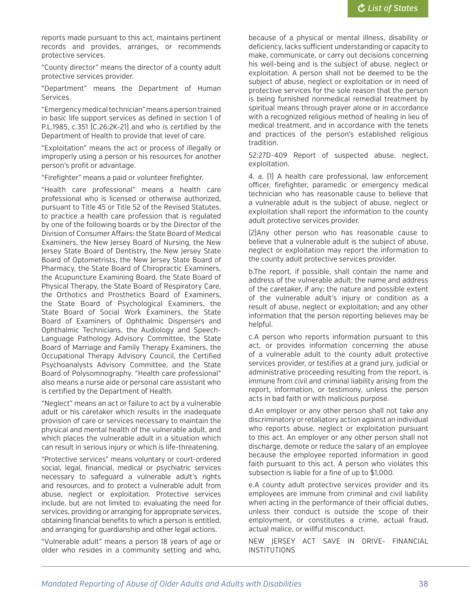reports made pursuant to this act, maintains pertinent records and provides, arranges, or recommends protective services.

"County director" means the director of a county adult protective services provider.

"Department" means the Department of Human Services.

"Emergency medical technician" means a person trained in basic life support services as defined in section 1 of P.L.1985, c.351 (C.26:2K-21) and who is certified by the Department of Health to provide that level of care.

"Exploitation" means the act or process of illegally or improperly using a person or his resources for another person's profit or advantage.

"Firefighter" means a paid or volunteer firefighter.

"Health care professional" means a health care professional who is licensed or otherwise authorized, pursuant to Title 45 or Title 52 of the Revised Statutes, to practice a health care profession that is regulated by one of the following boards or by the Director of the Division of Consumer Affairs: the State Board of Medical Examiners, the New Jersey Board of Nursing, the New Jersey State Board of Dentistry, the New Jersey State Board of Optometrists, the New Jersey State Board of Pharmacy, the State Board of Chiropractic Examiners, the Acupuncture Examining Board, the State Board of Physical Therapy, the State Board of Respiratory Care, the Orthotics and Prosthetics Board of Examiners, the State Board of Psychological Examiners, the State Board of Social Work Examiners, the State Board of Examiners of Ophthalmic Dispensers and Ophthalmic Technicians, the Audiology and Speech-Language Pathology Advisory Committee, the State Board of Marriage and Family Therapy Examiners, the Occupational Therapy Advisory Council, the Certified Psychoanalysts Advisory Committee, and the State Board of Polysomnography. "Health care professional" also means a nurse aide or personal care assistant who is certified by the Department of Health.

"Neglect" means an act or failure to act by a vulnerable adult or his caretaker which results in the inadequate provision of care or services necessary to maintain the physical and mental health of the vulnerable adult, and which places the vulnerable adult in a situation which can result in serious injury or which is life-threatening.

"Protective services" means voluntary or court-ordered social, legal, financial, medical or psychiatric services necessary to safeguard a vulnerable adult's rights and resources, and to protect a vulnerable adult from abuse, neglect or exploitation. Protective services include, but are not limited to: evaluating the need for services, providing or arranging for appropriate services, obtaining financial benefits to which a person is entitled, and arranging for guardianship and other legal actions.

"Vulnerable adult" means a person 18 years of age or older who resides in a community setting and who,

because of a physical or mental illness, disability or deficiency, lacks sufficient understanding or capacity to make, communicate, or carry out decisions concerning his well-being and is the subject of abuse, neglect or exploitation. A person shall not be deemed to be the subject of abuse, neglect or exploitation or in need of protective services for the sole reason that the person is being furnished nonmedical remedial treatment by spiritual means through prayer alone or in accordance with a recognized religious method of healing in lieu of medical treatment, and in accordance with the tenets and practices of the person's established religious tradition.

52:27D-409 Report of suspected abuse, neglect, exploitation.

4. a. (1) A health care professional, law enforcement officer, firefighter, paramedic or emergency medical technician who has reasonable cause to believe that a vulnerable adult is the subject of abuse, neglect or exploitation shall report the information to the county adult protective services provider.

(2)Any other person who has reasonable cause to believe that a vulnerable adult is the subject of abuse, neglect or exploitation may report the information to the county adult protective services provider.

b.The report, if possible, shall contain the name and address of the vulnerable adult; the name and address of the caretaker, if any; the nature and possible extent of the vulnerable adult's injury or condition as a result of abuse, neglect or exploitation; and any other information that the person reporting believes may be helpful.

c.A person who reports information pursuant to this act, or provides information concerning the abuse of a vulnerable adult to the county adult protective services provider, or testifies at a grand jury, judicial or administrative proceeding resulting from the report, is immune from civil and criminal liability arising from the report, information, or testimony, unless the person acts in bad faith or with malicious purpose.

d.An employer or any other person shall not take any discriminatory or retaliatory action against an individual who reports abuse, neglect or exploitation pursuant to this act. An employer or any other person shall not discharge, demote or reduce the salary of an employee because the employee reported information in good faith pursuant to this act. A person who violates this subsection is liable for a fine of up to \$1,000.

e.A county adult protective services provider and its employees are immune from criminal and civil liability when acting in the performance of their official duties, unless their conduct is outside the scope of their employment, or constitutes a crime, actual fraud, actual malice, or willful misconduct.

NEW JERSEY ACT SAVE IN DRIVE- FINANCIAL INSTITUTIONS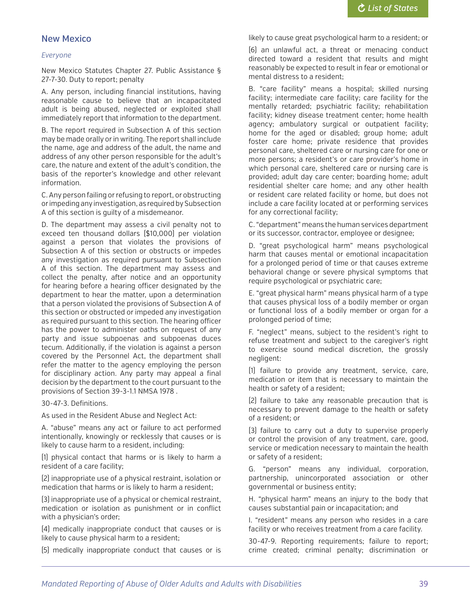# New Mexico

### *Everyone*

New Mexico Statutes Chapter 27. Public Assistance § 27-7-30. Duty to report; penalty

A. Any person, including financial institutions, having reasonable cause to believe that an incapacitated adult is being abused, neglected or exploited shall immediately report that information to the department.

B. The report required in Subsection A of this section may be made orally or in writing. The report shall include the name, age and address of the adult, the name and address of any other person responsible for the adult's care, the nature and extent of the adult's condition, the basis of the reporter's knowledge and other relevant information.

C. Any person failing or refusing to report, or obstructing or impeding any investigation, as required by Subsection A of this section is guilty of a misdemeanor.

D. The department may assess a civil penalty not to exceed ten thousand dollars (\$10,000) per violation against a person that violates the provisions of Subsection A of this section or obstructs or impedes any investigation as required pursuant to Subsection A of this section. The department may assess and collect the penalty, after notice and an opportunity for hearing before a hearing officer designated by the department to hear the matter, upon a determination that a person violated the provisions of Subsection A of this section or obstructed or impeded any investigation as required pursuant to this section. The hearing officer has the power to administer oaths on request of any party and issue subpoenas and subpoenas duces tecum. Additionally, if the violation is against a person covered by the Personnel Act, the department shall refer the matter to the agency employing the person for disciplinary action. Any party may appeal a final decision by the department to the court pursuant to the provisions of Section 39-3-1.1 NMSA 1978 .

30-47-3. Definitions.

As used in the Resident Abuse and Neglect Act:

A. "abuse" means any act or failure to act performed intentionally, knowingly or recklessly that causes or is likely to cause harm to a resident, including:

(1) physical contact that harms or is likely to harm a resident of a care facility;

(2) inappropriate use of a physical restraint, isolation or medication that harms or is likely to harm a resident;

(3) inappropriate use of a physical or chemical restraint, medication or isolation as punishment or in conflict with a physician's order;

(4) medically inappropriate conduct that causes or is likely to cause physical harm to a resident;

(5) medically inappropriate conduct that causes or is

likely to cause great psychological harm to a resident; or

(6) an unlawful act, a threat or menacing conduct directed toward a resident that results and might reasonably be expected to result in fear or emotional or mental distress to a resident;

B. "care facility" means a hospital; skilled nursing facility; intermediate care facility; care facility for the mentally retarded; psychiatric facility; rehabilitation facility; kidney disease treatment center; home health agency; ambulatory surgical or outpatient facility; home for the aged or disabled; group home; adult foster care home; private residence that provides personal care, sheltered care or nursing care for one or more persons; a resident's or care provider's home in which personal care, sheltered care or nursing care is provided; adult day care center; boarding home; adult residential shelter care home; and any other health or resident care related facility or home, but does not include a care facility located at or performing services for any correctional facility;

C. "department" means the human services department or its successor, contractor, employee or designee;

D. "great psychological harm" means psychological harm that causes mental or emotional incapacitation for a prolonged period of time or that causes extreme behavioral change or severe physical symptoms that require psychological or psychiatric care;

E. "great physical harm" means physical harm of a type that causes physical loss of a bodily member or organ or functional loss of a bodily member or organ for a prolonged period of time;

F. "neglect" means, subject to the resident's right to refuse treatment and subject to the caregiver's right to exercise sound medical discretion, the grossly negligent:

(1) failure to provide any treatment, service, care, medication or item that is necessary to maintain the health or safety of a resident;

(2) failure to take any reasonable precaution that is necessary to prevent damage to the health or safety of a resident; or

(3) failure to carry out a duty to supervise properly or control the provision of any treatment, care, good, service or medication necessary to maintain the health or safety of a resident;

G. "person" means any individual, corporation, partnership, unincorporated association or other governmental or business entity;

H. "physical harm" means an injury to the body that causes substantial pain or incapacitation; and

I. "resident" means any person who resides in a care facility or who receives treatment from a care facility.

30-47-9. Reporting requirements; failure to report; crime created; criminal penalty; discrimination or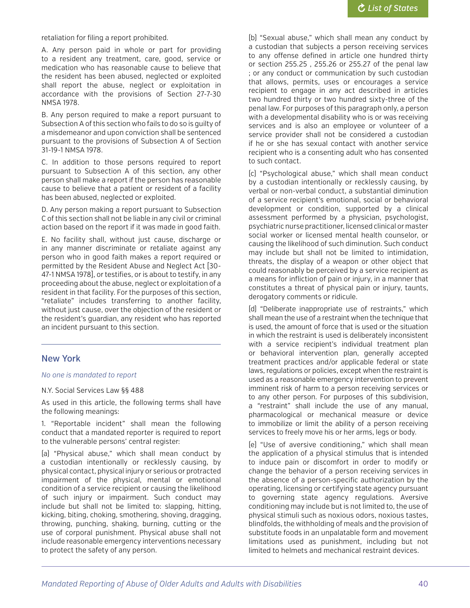retaliation for filing a report prohibited.

A. Any person paid in whole or part for providing to a resident any treatment, care, good, service or medication who has reasonable cause to believe that the resident has been abused, neglected or exploited shall report the abuse, neglect or exploitation in accordance with the provisions of Section 27-7-30 NMSA 1978.

B. Any person required to make a report pursuant to Subsection A of this section who fails to do so is guilty of a misdemeanor and upon conviction shall be sentenced pursuant to the provisions of Subsection A of Section 31-19-1 NMSA 1978.

C. In addition to those persons required to report pursuant to Subsection A of this section, any other person shall make a report if the person has reasonable cause to believe that a patient or resident of a facility has been abused, neglected or exploited.

D. Any person making a report pursuant to Subsection C of this section shall not be liable in any civil or criminal action based on the report if it was made in good faith.

E. No facility shall, without just cause, discharge or in any manner discriminate or retaliate against any person who in good faith makes a report required or permitted by the Resident Abuse and Neglect Act [30- 47-1 NMSA 1978], or testifies, or is about to testify, in any proceeding about the abuse, neglect or exploitation of a resident in that facility. For the purposes of this section, "retaliate" includes transferring to another facility, without just cause, over the objection of the resident or the resident's guardian, any resident who has reported an incident pursuant to this section.

## New York

### *No one is mandated to report*

### N.Y. Social Services Law §§ 488

As used in this article, the following terms shall have the following meanings:

1. "Reportable incident" shall mean the following conduct that a mandated reporter is required to report to the vulnerable persons' central register:

(a) "Physical abuse," which shall mean conduct by a custodian intentionally or recklessly causing, by physical contact, physical injury or serious or protracted impairment of the physical, mental or emotional condition of a service recipient or causing the likelihood of such injury or impairment. Such conduct may include but shall not be limited to: slapping, hitting, kicking, biting, choking, smothering, shoving, dragging, throwing, punching, shaking, burning, cutting or the use of corporal punishment. Physical abuse shall not include reasonable emergency interventions necessary to protect the safety of any person.

(b) "Sexual abuse," which shall mean any conduct by a custodian that subjects a person receiving services to any offense defined in article one hundred thirty or section 255.25 , 255.26 or 255.27 of the penal law ; or any conduct or communication by such custodian that allows, permits, uses or encourages a service recipient to engage in any act described in articles two hundred thirty or two hundred sixty-three of the penal law. For purposes of this paragraph only, a person with a developmental disability who is or was receiving services and is also an employee or volunteer of a service provider shall not be considered a custodian if he or she has sexual contact with another service recipient who is a consenting adult who has consented to such contact.

(c) "Psychological abuse," which shall mean conduct by a custodian intentionally or recklessly causing, by verbal or non-verbal conduct, a substantial diminution of a service recipient's emotional, social or behavioral development or condition, supported by a clinical assessment performed by a physician, psychologist, psychiatric nurse practitioner, licensed clinical or master social worker or licensed mental health counselor, or causing the likelihood of such diminution. Such conduct may include but shall not be limited to intimidation, threats, the display of a weapon or other object that could reasonably be perceived by a service recipient as a means for infliction of pain or injury, in a manner that constitutes a threat of physical pain or injury, taunts, derogatory comments or ridicule.

(d) "Deliberate inappropriate use of restraints," which shall mean the use of a restraint when the technique that is used, the amount of force that is used or the situation in which the restraint is used is deliberately inconsistent with a service recipient's individual treatment plan or behavioral intervention plan, generally accepted treatment practices and/or applicable federal or state laws, regulations or policies, except when the restraint is used as a reasonable emergency intervention to prevent imminent risk of harm to a person receiving services or to any other person. For purposes of this subdivision, a "restraint" shall include the use of any manual, pharmacological or mechanical measure or device to immobilize or limit the ability of a person receiving services to freely move his or her arms, legs or body.

(e) "Use of aversive conditioning," which shall mean the application of a physical stimulus that is intended to induce pain or discomfort in order to modify or change the behavior of a person receiving services in the absence of a person-specific authorization by the operating, licensing or certifying state agency pursuant to governing state agency regulations. Aversive conditioning may include but is not limited to, the use of physical stimuli such as noxious odors, noxious tastes, blindfolds, the withholding of meals and the provision of substitute foods in an unpalatable form and movement limitations used as punishment, including but not limited to helmets and mechanical restraint devices.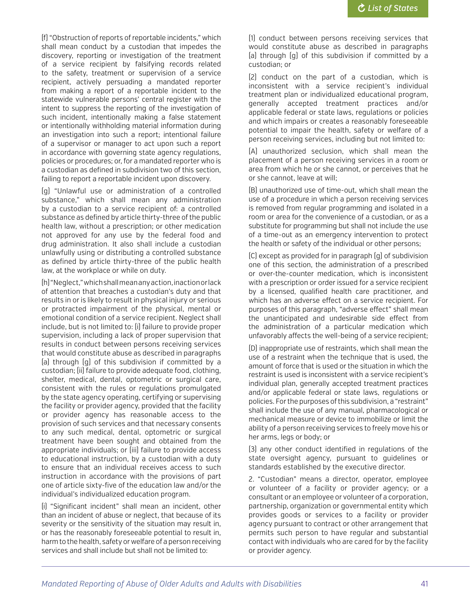(f) "Obstruction of reports of reportable incidents," which shall mean conduct by a custodian that impedes the discovery, reporting or investigation of the treatment of a service recipient by falsifying records related to the safety, treatment or supervision of a service recipient, actively persuading a mandated reporter from making a report of a reportable incident to the statewide vulnerable persons' central register with the intent to suppress the reporting of the investigation of such incident, intentionally making a false statement or intentionally withholding material information during an investigation into such a report; intentional failure of a supervisor or manager to act upon such a report in accordance with governing state agency regulations, policies or procedures; or, for a mandated reporter who is a custodian as defined in subdivision two of this section, failing to report a reportable incident upon discovery.

(g) "Unlawful use or administration of a controlled substance," which shall mean any administration by a custodian to a service recipient of: a controlled substance as defined by article thirty-three of the public health law, without a prescription; or other medication not approved for any use by the federal food and drug administration. It also shall include a custodian unlawfully using or distributing a controlled substance as defined by article thirty-three of the public health law, at the workplace or while on duty.

(h) "Neglect," which shall mean any action, inaction or lack of attention that breaches a custodian's duty and that results in or is likely to result in physical injury or serious or protracted impairment of the physical, mental or emotional condition of a service recipient. Neglect shall include, but is not limited to: (i) failure to provide proper supervision, including a lack of proper supervision that results in conduct between persons receiving services that would constitute abuse as described in paragraphs (a) through (g) of this subdivision if committed by a custodian; (ii) failure to provide adequate food, clothing, shelter, medical, dental, optometric or surgical care, consistent with the rules or regulations promulgated by the state agency operating, certifying or supervising the facility or provider agency, provided that the facility or provider agency has reasonable access to the provision of such services and that necessary consents to any such medical, dental, optometric or surgical treatment have been sought and obtained from the appropriate individuals; or (iii) failure to provide access to educational instruction, by a custodian with a duty to ensure that an individual receives access to such instruction in accordance with the provisions of part one of article sixty-five of the education law and/or the individual's individualized education program.

(i) "Significant incident" shall mean an incident, other than an incident of abuse or neglect, that because of its severity or the sensitivity of the situation may result in, or has the reasonably foreseeable potential to result in, harm to the health, safety or welfare of a person receiving services and shall include but shall not be limited to:

(1) conduct between persons receiving services that would constitute abuse as described in paragraphs (a) through (g) of this subdivision if committed by a custodian; or

(2) conduct on the part of a custodian, which is inconsistent with a service recipient's individual treatment plan or individualized educational program, generally accepted treatment practices and/or applicable federal or state laws, regulations or policies and which impairs or creates a reasonably foreseeable potential to impair the health, safety or welfare of a person receiving services, including but not limited to:

(A) unauthorized seclusion, which shall mean the placement of a person receiving services in a room or area from which he or she cannot, or perceives that he or she cannot, leave at will;

(B) unauthorized use of time-out, which shall mean the use of a procedure in which a person receiving services is removed from regular programming and isolated in a room or area for the convenience of a custodian, or as a substitute for programming but shall not include the use of a time-out as an emergency intervention to protect the health or safety of the individual or other persons;

(C) except as provided for in paragraph (g) of subdivision one of this section, the administration of a prescribed or over-the-counter medication, which is inconsistent with a prescription or order issued for a service recipient by a licensed, qualified health care practitioner, and which has an adverse effect on a service recipient. For purposes of this paragraph, "adverse effect" shall mean the unanticipated and undesirable side effect from the administration of a particular medication which unfavorably affects the well-being of a service recipient;

(D) inappropriate use of restraints, which shall mean the use of a restraint when the technique that is used, the amount of force that is used or the situation in which the restraint is used is inconsistent with a service recipient's individual plan, generally accepted treatment practices and/or applicable federal or state laws, regulations or policies. For the purposes of this subdivision, a "restraint" shall include the use of any manual, pharmacological or mechanical measure or device to immobilize or limit the ability of a person receiving services to freely move his or her arms, legs or body; or

(3) any other conduct identified in regulations of the state oversight agency, pursuant to guidelines or standards established by the executive director.

2. "Custodian" means a director, operator, employee or volunteer of a facility or provider agency; or a consultant or an employee or volunteer of a corporation, partnership, organization or governmental entity which provides goods or services to a facility or provider agency pursuant to contract or other arrangement that permits such person to have regular and substantial contact with individuals who are cared for by the facility or provider agency.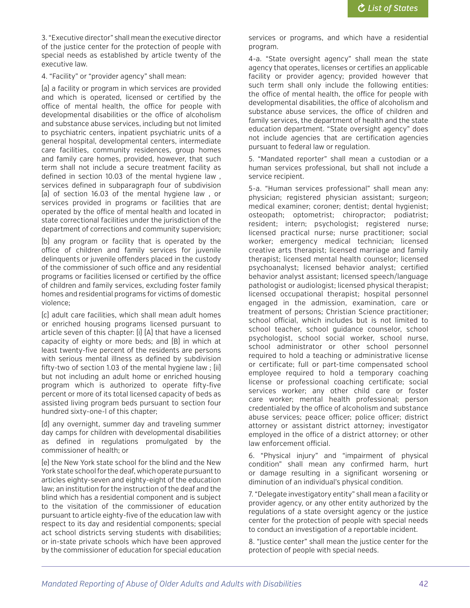3. "Executive director" shall mean the executive director of the justice center for the protection of people with special needs as established by article twenty of the executive law.

## 4. "Facility" or "provider agency" shall mean:

(a) a facility or program in which services are provided and which is operated, licensed or certified by the office of mental health, the office for people with developmental disabilities or the office of alcoholism and substance abuse services, including but not limited to psychiatric centers, inpatient psychiatric units of a general hospital, developmental centers, intermediate care facilities, community residences, group homes and family care homes, provided, however, that such term shall not include a secure treatment facility as defined in section 10.03 of the mental hygiene law , services defined in subparagraph four of subdivision (a) of section 16.03 of the mental hygiene law , or services provided in programs or facilities that are operated by the office of mental health and located in state correctional facilities under the jurisdiction of the department of corrections and community supervision;

(b) any program or facility that is operated by the office of children and family services for juvenile delinquents or juvenile offenders placed in the custody of the commissioner of such office and any residential programs or facilities licensed or certified by the office of children and family services, excluding foster family homes and residential programs for victims of domestic violence;

(c) adult care facilities, which shall mean adult homes or enriched housing programs licensed pursuant to article seven of this chapter: (i) (A) that have a licensed capacity of eighty or more beds; and (B) in which at least twenty-five percent of the residents are persons with serious mental illness as defined by subdivision fifty-two of section 1.03 of the mental hygiene law ; (ii) but not including an adult home or enriched housing program which is authorized to operate fifty-five percent or more of its total licensed capacity of beds as assisted living program beds pursuant to section four hundred sixty-one-l of this chapter;

(d) any overnight, summer day and traveling summer day camps for children with developmental disabilities as defined in regulations promulgated by the commissioner of health; or

(e) the New York state school for the blind and the New York state school for the deaf, which operate pursuant to articles eighty-seven and eighty-eight of the education law; an institution for the instruction of the deaf and the blind which has a residential component and is subject to the visitation of the commissioner of education pursuant to article eighty-five of the education law with respect to its day and residential components; special act school districts serving students with disabilities; or in-state private schools which have been approved by the commissioner of education for special education services or programs, and which have a residential program.

4-a. "State oversight agency" shall mean the state agency that operates, licenses or certifies an applicable facility or provider agency; provided however that such term shall only include the following entities: the office of mental health, the office for people with developmental disabilities, the office of alcoholism and substance abuse services, the office of children and family services, the department of health and the state education department. "State oversight agency" does not include agencies that are certification agencies pursuant to federal law or regulation.

5. "Mandated reporter" shall mean a custodian or a human services professional, but shall not include a service recipient.

5-a. "Human services professional" shall mean any: physician; registered physician assistant; surgeon; medical examiner; coroner; dentist; dental hygienist; osteopath; optometrist; chiropractor; podiatrist; resident; intern; psychologist; registered nurse; licensed practical nurse; nurse practitioner; social worker; emergency medical technician; licensed creative arts therapist; licensed marriage and family therapist; licensed mental health counselor; licensed psychoanalyst; licensed behavior analyst; certified behavior analyst assistant; licensed speech/language pathologist or audiologist; licensed physical therapist; licensed occupational therapist; hospital personnel engaged in the admission, examination, care or treatment of persons; Christian Science practitioner; school official, which includes but is not limited to school teacher, school guidance counselor, school psychologist, school social worker, school nurse, school administrator or other school personnel required to hold a teaching or administrative license or certificate; full or part-time compensated school employee required to hold a temporary coaching license or professional coaching certificate; social services worker; any other child care or foster care worker; mental health professional; person credentialed by the office of alcoholism and substance abuse services; peace officer; police officer; district attorney or assistant district attorney; investigator employed in the office of a district attorney; or other law enforcement official.

6. "Physical injury" and "impairment of physical condition" shall mean any confirmed harm, hurt or damage resulting in a significant worsening or diminution of an individual's physical condition.

7. "Delegate investigatory entity" shall mean a facility or provider agency, or any other entity authorized by the regulations of a state oversight agency or the justice center for the protection of people with special needs to conduct an investigation of a reportable incident.

8. "Justice center" shall mean the justice center for the protection of people with special needs.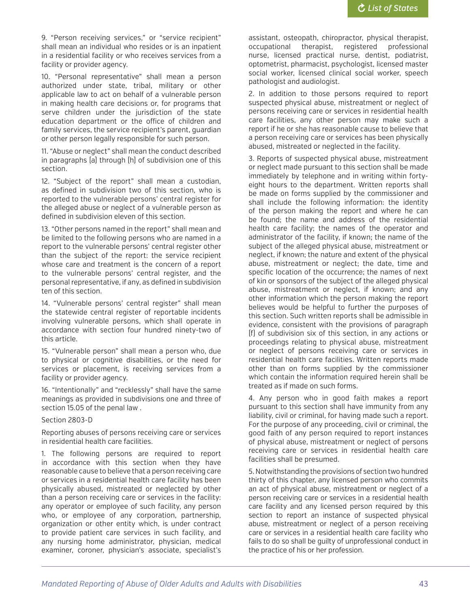9. "Person receiving services," or "service recipient" shall mean an individual who resides or is an inpatient in a residential facility or who receives services from a facility or provider agency.

10. "Personal representative" shall mean a person authorized under state, tribal, military or other applicable law to act on behalf of a vulnerable person in making health care decisions or, for programs that serve children under the jurisdiction of the state education department or the office of children and family services, the service recipient's parent, guardian or other person legally responsible for such person.

11. "Abuse or neglect" shall mean the conduct described in paragraphs (a) through (h) of subdivision one of this section.

12. "Subject of the report" shall mean a custodian, as defined in subdivision two of this section, who is reported to the vulnerable persons' central register for the alleged abuse or neglect of a vulnerable person as defined in subdivision eleven of this section.

13. "Other persons named in the report" shall mean and be limited to the following persons who are named in a report to the vulnerable persons' central register other than the subject of the report: the service recipient whose care and treatment is the concern of a report to the vulnerable persons' central register, and the personal representative, if any, as defined in subdivision ten of this section.

14. "Vulnerable persons' central register" shall mean the statewide central register of reportable incidents involving vulnerable persons, which shall operate in accordance with section four hundred ninety-two of this article.

15. "Vulnerable person" shall mean a person who, due to physical or cognitive disabilities, or the need for services or placement, is receiving services from a facility or provider agency.

16. "Intentionally" and "recklessly" shall have the same meanings as provided in subdivisions one and three of section 15.05 of the penal law .

### Section 2803-D

Reporting abuses of persons receiving care or services in residential health care facilities.

1. The following persons are required to report in accordance with this section when they have reasonable cause to believe that a person receiving care or services in a residential health care facility has been physically abused, mistreated or neglected by other than a person receiving care or services in the facility: any operator or employee of such facility, any person who, or employee of any corporation, partnership, organization or other entity which, is under contract to provide patient care services in such facility, and any nursing home administrator, physician, medical examiner, coroner, physician's associate, specialist's

assistant, osteopath, chiropractor, physical therapist, occupational therapist, registered professional nurse, licensed practical nurse, dentist, podiatrist, optometrist, pharmacist, psychologist, licensed master social worker, licensed clinical social worker, speech pathologist and audiologist.

2. In addition to those persons required to report suspected physical abuse, mistreatment or neglect of persons receiving care or services in residential health care facilities, any other person may make such a report if he or she has reasonable cause to believe that a person receiving care or services has been physically abused, mistreated or neglected in the facility.

3. Reports of suspected physical abuse, mistreatment or neglect made pursuant to this section shall be made immediately by telephone and in writing within fortyeight hours to the department. Written reports shall be made on forms supplied by the commissioner and shall include the following information: the identity of the person making the report and where he can be found; the name and address of the residential health care facility; the names of the operator and administrator of the facility, if known; the name of the subject of the alleged physical abuse, mistreatment or neglect, if known; the nature and extent of the physical abuse, mistreatment or neglect; the date, time and specific location of the occurrence; the names of next of kin or sponsors of the subject of the alleged physical abuse, mistreatment or neglect, if known; and any other information which the person making the report believes would be helpful to further the purposes of this section. Such written reports shall be admissible in evidence, consistent with the provisions of paragraph (f) of subdivision six of this section, in any actions or proceedings relating to physical abuse, mistreatment or neglect of persons receiving care or services in residential health care facilities. Written reports made other than on forms supplied by the commissioner which contain the information required herein shall be treated as if made on such forms.

4. Any person who in good faith makes a report pursuant to this section shall have immunity from any liability, civil or criminal, for having made such a report. For the purpose of any proceeding, civil or criminal, the good faith of any person required to report instances of physical abuse, mistreatment or neglect of persons receiving care or services in residential health care facilities shall be presumed.

5. Notwithstanding the provisions of section two hundred thirty of this chapter, any licensed person who commits an act of physical abuse, mistreatment or neglect of a person receiving care or services in a residential health care facility and any licensed person required by this section to report an instance of suspected physical abuse, mistreatment or neglect of a person receiving care or services in a residential health care facility who fails to do so shall be guilty of unprofessional conduct in the practice of his or her profession.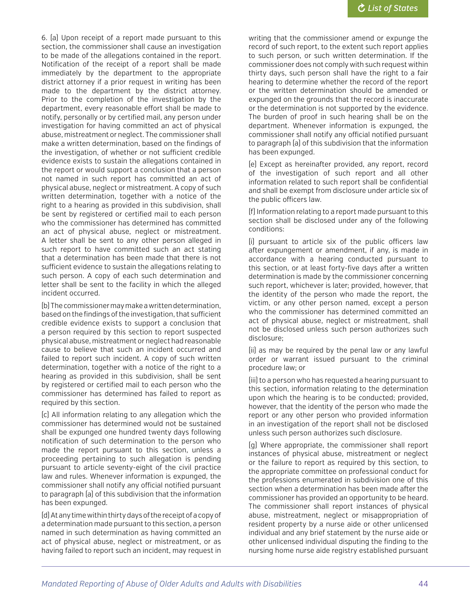6. (a) Upon receipt of a report made pursuant to this section, the commissioner shall cause an investigation to be made of the allegations contained in the report. Notification of the receipt of a report shall be made immediately by the department to the appropriate district attorney if a prior request in writing has been made to the department by the district attorney. Prior to the completion of the investigation by the department, every reasonable effort shall be made to notify, personally or by certified mail, any person under investigation for having committed an act of physical abuse, mistreatment or neglect. The commissioner shall make a written determination, based on the findings of the investigation, of whether or not sufficient credible evidence exists to sustain the allegations contained in the report or would support a conclusion that a person not named in such report has committed an act of physical abuse, neglect or mistreatment. A copy of such written determination, together with a notice of the right to a hearing as provided in this subdivision, shall be sent by registered or certified mail to each person who the commissioner has determined has committed an act of physical abuse, neglect or mistreatment. A letter shall be sent to any other person alleged in such report to have committed such an act stating that a determination has been made that there is not sufficient evidence to sustain the allegations relating to such person. A copy of each such determination and letter shall be sent to the facility in which the alleged incident occurred.

(b) The commissioner may make a written determination, based on the findings of the investigation, that sufficient credible evidence exists to support a conclusion that a person required by this section to report suspected physical abuse, mistreatment or neglect had reasonable cause to believe that such an incident occurred and failed to report such incident. A copy of such written determination, together with a notice of the right to a hearing as provided in this subdivision, shall be sent by registered or certified mail to each person who the commissioner has determined has failed to report as required by this section.

(c) All information relating to any allegation which the commissioner has determined would not be sustained shall be expunged one hundred twenty days following notification of such determination to the person who made the report pursuant to this section, unless a proceeding pertaining to such allegation is pending pursuant to article seventy-eight of the civil practice law and rules. Whenever information is expunged, the commissioner shall notify any official notified pursuant to paragraph (a) of this subdivision that the information has been expunged.

(d) At any time within thirty days of the receipt of a copy of a determination made pursuant to this section, a person named in such determination as having committed an act of physical abuse, neglect or mistreatment, or as having failed to report such an incident, may request in

writing that the commissioner amend or expunge the record of such report, to the extent such report applies to such person, or such written determination. If the commissioner does not comply with such request within thirty days, such person shall have the right to a fair hearing to determine whether the record of the report or the written determination should be amended or expunged on the grounds that the record is inaccurate or the determination is not supported by the evidence. The burden of proof in such hearing shall be on the department. Whenever information is expunged, the commissioner shall notify any official notified pursuant to paragraph (a) of this subdivision that the information has been expunged.

(e) Except as hereinafter provided, any report, record of the investigation of such report and all other information related to such report shall be confidential and shall be exempt from disclosure under article six of the public officers law.

(f) Information relating to a report made pursuant to this section shall be disclosed under any of the following conditions:

(i) pursuant to article six of the public officers law after expungement or amendment, if any, is made in accordance with a hearing conducted pursuant to this section, or at least forty-five days after a written determination is made by the commissioner concerning such report, whichever is later; provided, however, that the identity of the person who made the report, the victim, or any other person named, except a person who the commissioner has determined committed an act of physical abuse, neglect or mistreatment, shall not be disclosed unless such person authorizes such disclosure;

(ii) as may be required by the penal law or any lawful order or warrant issued pursuant to the criminal procedure law; or

(iii) to a person who has requested a hearing pursuant to this section, information relating to the determination upon which the hearing is to be conducted; provided, however, that the identity of the person who made the report or any other person who provided information in an investigation of the report shall not be disclosed unless such person authorizes such disclosure.

(g) Where appropriate, the commissioner shall report instances of physical abuse, mistreatment or neglect or the failure to report as required by this section, to the appropriate committee on professional conduct for the professions enumerated in subdivision one of this section when a determination has been made after the commissioner has provided an opportunity to be heard. The commissioner shall report instances of physical abuse, mistreatment, neglect or misappropriation of resident property by a nurse aide or other unlicensed individual and any brief statement by the nurse aide or other unlicensed individual disputing the finding to the nursing home nurse aide registry established pursuant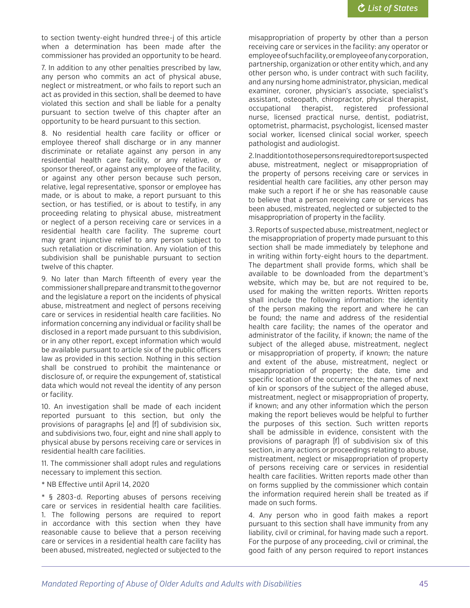to section twenty-eight hundred three-j of this article when a determination has been made after the commissioner has provided an opportunity to be heard.

7. In addition to any other penalties prescribed by law, any person who commits an act of physical abuse, neglect or mistreatment, or who fails to report such an act as provided in this section, shall be deemed to have violated this section and shall be liable for a penalty pursuant to section twelve of this chapter after an opportunity to be heard pursuant to this section.

8. No residential health care facility or officer or employee thereof shall discharge or in any manner discriminate or retaliate against any person in any residential health care facility, or any relative, or sponsor thereof, or against any employee of the facility, or against any other person because such person, relative, legal representative, sponsor or employee has made, or is about to make, a report pursuant to this section, or has testified, or is about to testify, in any proceeding relating to physical abuse, mistreatment or neglect of a person receiving care or services in a residential health care facility. The supreme court may grant injunctive relief to any person subject to such retaliation or discrimination. Any violation of this subdivision shall be punishable pursuant to section twelve of this chapter.

9. No later than March fifteenth of every year the commissioner shall prepare and transmit to the governor and the legislature a report on the incidents of physical abuse, mistreatment and neglect of persons receiving care or services in residential health care facilities. No information concerning any individual or facility shall be disclosed in a report made pursuant to this subdivision, or in any other report, except information which would be available pursuant to article six of the public officers law as provided in this section. Nothing in this section shall be construed to prohibit the maintenance or disclosure of, or require the expungement of, statistical data which would not reveal the identity of any person or facility.

10. An investigation shall be made of each incident reported pursuant to this section, but only the provisions of paragraphs (e) and (f) of subdivision six, and subdivisions two, four, eight and nine shall apply to physical abuse by persons receiving care or services in residential health care facilities.

11. The commissioner shall adopt rules and regulations necessary to implement this section.

### \* NB Effective until April 14, 2020

\* § 2803-d. Reporting abuses of persons receiving care or services in residential health care facilities. 1. The following persons are required to report in accordance with this section when they have reasonable cause to believe that a person receiving care or services in a residential health care facility has been abused, mistreated, neglected or subjected to the

misappropriation of property by other than a person receiving care or services in the facility: any operator or employee of such facility, or employee of any corporation, partnership, organization or other entity which, and any other person who, is under contract with such facility, and any nursing home administrator, physician, medical examiner, coroner, physician's associate, specialist's assistant, osteopath, chiropractor, physical therapist, occupational therapist, registered professional nurse, licensed practical nurse, dentist, podiatrist, optometrist, pharmacist, psychologist, licensed master social worker, licensed clinical social worker, speech pathologist and audiologist.

2. In addition to those persons required to report suspected abuse, mistreatment, neglect or misappropriation of the property of persons receiving care or services in residential health care facilities, any other person may make such a report if he or she has reasonable cause to believe that a person receiving care or services has been abused, mistreated, neglected or subjected to the misappropriation of property in the facility.

3. Reports of suspected abuse, mistreatment, neglect or the misappropriation of property made pursuant to this section shall be made immediately by telephone and in writing within forty-eight hours to the department. The department shall provide forms, which shall be available to be downloaded from the department's website, which may be, but are not required to be, used for making the written reports. Written reports shall include the following information: the identity of the person making the report and where he can be found; the name and address of the residential health care facility; the names of the operator and administrator of the facility, if known; the name of the subject of the alleged abuse, mistreatment, neglect or misappropriation of property, if known; the nature and extent of the abuse, mistreatment, neglect or misappropriation of property; the date, time and specific location of the occurrence; the names of next of kin or sponsors of the subject of the alleged abuse, mistreatment, neglect or misappropriation of property, if known; and any other information which the person making the report believes would be helpful to further the purposes of this section. Such written reports shall be admissible in evidence, consistent with the provisions of paragraph (f) of subdivision six of this section, in any actions or proceedings relating to abuse, mistreatment, neglect or misappropriation of property of persons receiving care or services in residential health care facilities. Written reports made other than on forms supplied by the commissioner which contain the information required herein shall be treated as if made on such forms.

4. Any person who in good faith makes a report pursuant to this section shall have immunity from any liability, civil or criminal, for having made such a report. For the purpose of any proceeding, civil or criminal, the good faith of any person required to report instances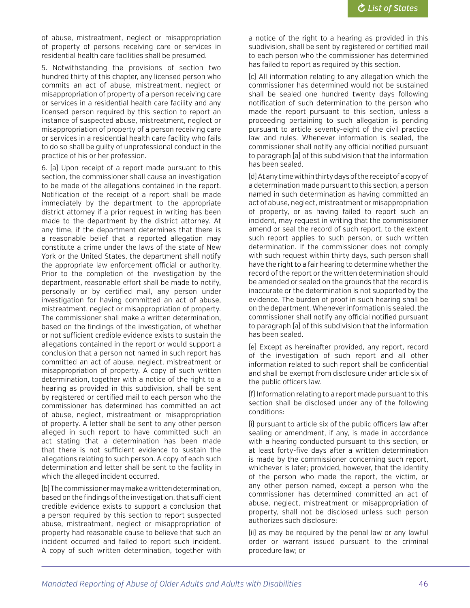of abuse, mistreatment, neglect or misappropriation of property of persons receiving care or services in residential health care facilities shall be presumed.

5. Notwithstanding the provisions of section two hundred thirty of this chapter, any licensed person who commits an act of abuse, mistreatment, neglect or misappropriation of property of a person receiving care or services in a residential health care facility and any licensed person required by this section to report an instance of suspected abuse, mistreatment, neglect or misappropriation of property of a person receiving care or services in a residential health care facility who fails to do so shall be guilty of unprofessional conduct in the practice of his or her profession.

6. (a) Upon receipt of a report made pursuant to this section, the commissioner shall cause an investigation to be made of the allegations contained in the report. Notification of the receipt of a report shall be made immediately by the department to the appropriate district attorney if a prior request in writing has been made to the department by the district attorney. At any time, if the department determines that there is a reasonable belief that a reported allegation may constitute a crime under the laws of the state of New York or the United States, the department shall notify the appropriate law enforcement official or authority. Prior to the completion of the investigation by the department, reasonable effort shall be made to notify, personally or by certified mail, any person under investigation for having committed an act of abuse, mistreatment, neglect or misappropriation of property. The commissioner shall make a written determination, based on the findings of the investigation, of whether or not sufficient credible evidence exists to sustain the allegations contained in the report or would support a conclusion that a person not named in such report has committed an act of abuse, neglect, mistreatment or misappropriation of property. A copy of such written determination, together with a notice of the right to a hearing as provided in this subdivision, shall be sent by registered or certified mail to each person who the commissioner has determined has committed an act of abuse, neglect, mistreatment or misappropriation of property. A letter shall be sent to any other person alleged in such report to have committed such an act stating that a determination has been made that there is not sufficient evidence to sustain the allegations relating to such person. A copy of each such determination and letter shall be sent to the facility in which the alleged incident occurred.

(b) The commissioner may make a written determination, based on the findings of the investigation, that sufficient credible evidence exists to support a conclusion that a person required by this section to report suspected abuse, mistreatment, neglect or misappropriation of property had reasonable cause to believe that such an incident occurred and failed to report such incident. A copy of such written determination, together with

a notice of the right to a hearing as provided in this subdivision, shall be sent by registered or certified mail to each person who the commissioner has determined has failed to report as required by this section.

(c) All information relating to any allegation which the commissioner has determined would not be sustained shall be sealed one hundred twenty days following notification of such determination to the person who made the report pursuant to this section, unless a proceeding pertaining to such allegation is pending pursuant to article seventy-eight of the civil practice law and rules. Whenever information is sealed, the commissioner shall notify any official notified pursuant to paragraph (a) of this subdivision that the information has been sealed.

(d) At any time within thirty days of the receipt of a copy of a determination made pursuant to this section, a person named in such determination as having committed an act of abuse, neglect, mistreatment or misappropriation of property, or as having failed to report such an incident, may request in writing that the commissioner amend or seal the record of such report, to the extent such report applies to such person, or such written determination. If the commissioner does not comply with such request within thirty days, such person shall have the right to a fair hearing to determine whether the record of the report or the written determination should be amended or sealed on the grounds that the record is inaccurate or the determination is not supported by the evidence. The burden of proof in such hearing shall be on the department. Whenever information is sealed, the commissioner shall notify any official notified pursuant to paragraph (a) of this subdivision that the information has been sealed.

(e) Except as hereinafter provided, any report, record of the investigation of such report and all other information related to such report shall be confidential and shall be exempt from disclosure under article six of the public officers law.

(f) Information relating to a report made pursuant to this section shall be disclosed under any of the following conditions:

(i) pursuant to article six of the public officers law after sealing or amendment, if any, is made in accordance with a hearing conducted pursuant to this section, or at least forty-five days after a written determination is made by the commissioner concerning such report, whichever is later; provided, however, that the identity of the person who made the report, the victim, or any other person named, except a person who the commissioner has determined committed an act of abuse, neglect, mistreatment or misappropriation of property, shall not be disclosed unless such person authorizes such disclosure;

(ii) as may be required by the penal law or any lawful order or warrant issued pursuant to the criminal procedure law; or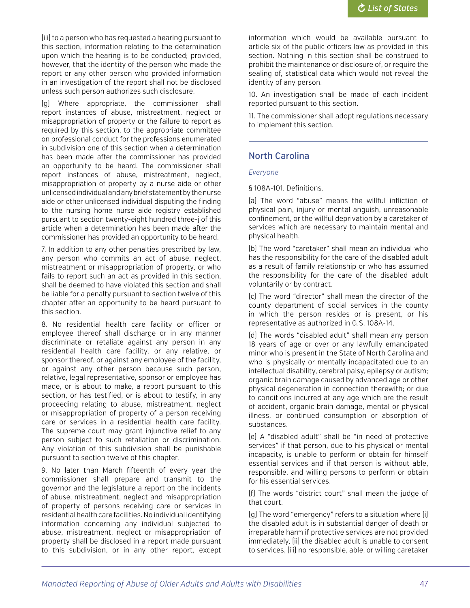(iii) to a person who has requested a hearing pursuant to this section, information relating to the determination upon which the hearing is to be conducted; provided, however, that the identity of the person who made the report or any other person who provided information in an investigation of the report shall not be disclosed unless such person authorizes such disclosure.

(g) Where appropriate, the commissioner shall report instances of abuse, mistreatment, neglect or misappropriation of property or the failure to report as required by this section, to the appropriate committee on professional conduct for the professions enumerated in subdivision one of this section when a determination has been made after the commissioner has provided an opportunity to be heard. The commissioner shall report instances of abuse, mistreatment, neglect, misappropriation of property by a nurse aide or other unlicensed individual and any brief statement by the nurse aide or other unlicensed individual disputing the finding to the nursing home nurse aide registry established pursuant to section twenty-eight hundred three-j of this article when a determination has been made after the commissioner has provided an opportunity to be heard.

7. In addition to any other penalties prescribed by law, any person who commits an act of abuse, neglect, mistreatment or misappropriation of property, or who fails to report such an act as provided in this section, shall be deemed to have violated this section and shall be liable for a penalty pursuant to section twelve of this chapter after an opportunity to be heard pursuant to this section.

8. No residential health care facility or officer or employee thereof shall discharge or in any manner discriminate or retaliate against any person in any residential health care facility, or any relative, or sponsor thereof, or against any employee of the facility, or against any other person because such person, relative, legal representative, sponsor or employee has made, or is about to make, a report pursuant to this section, or has testified, or is about to testify, in any proceeding relating to abuse, mistreatment, neglect or misappropriation of property of a person receiving care or services in a residential health care facility. The supreme court may grant injunctive relief to any person subject to such retaliation or discrimination. Any violation of this subdivision shall be punishable pursuant to section twelve of this chapter.

9. No later than March fifteenth of every year the commissioner shall prepare and transmit to the governor and the legislature a report on the incidents of abuse, mistreatment, neglect and misappropriation of property of persons receiving care or services in residential health care facilities. No individual identifying information concerning any individual subjected to abuse, mistreatment, neglect or misappropriation of property shall be disclosed in a report made pursuant to this subdivision, or in any other report, except information which would be available pursuant to article six of the public officers law as provided in this section. Nothing in this section shall be construed to prohibit the maintenance or disclosure of, or require the sealing of, statistical data which would not reveal the identity of any person.

10. An investigation shall be made of each incident reported pursuant to this section.

11. The commissioner shall adopt regulations necessary to implement this section.

# North Carolina

*Everyone*

§ 108A-101. Definitions.

(a) The word "abuse" means the willful infliction of physical pain, injury or mental anguish, unreasonable confinement, or the willful deprivation by a caretaker of services which are necessary to maintain mental and physical health.

(b) The word "caretaker" shall mean an individual who has the responsibility for the care of the disabled adult as a result of family relationship or who has assumed the responsibility for the care of the disabled adult voluntarily or by contract.

(c) The word "director" shall mean the director of the county department of social services in the county in which the person resides or is present, or his representative as authorized in G.S. 108A-14.

(d) The words "disabled adult" shall mean any person 18 years of age or over or any lawfully emancipated minor who is present in the State of North Carolina and who is physically or mentally incapacitated due to an intellectual disability, cerebral palsy, epilepsy or autism; organic brain damage caused by advanced age or other physical degeneration in connection therewith; or due to conditions incurred at any age which are the result of accident, organic brain damage, mental or physical illness, or continued consumption or absorption of substances.

(e) A "disabled adult" shall be "in need of protective services" if that person, due to his physical or mental incapacity, is unable to perform or obtain for himself essential services and if that person is without able, responsible, and willing persons to perform or obtain for his essential services.

(f) The words "district court" shall mean the judge of that court.

(g) The word "emergency" refers to a situation where (i) the disabled adult is in substantial danger of death or irreparable harm if protective services are not provided immediately, (ii) the disabled adult is unable to consent to services, (iii) no responsible, able, or willing caretaker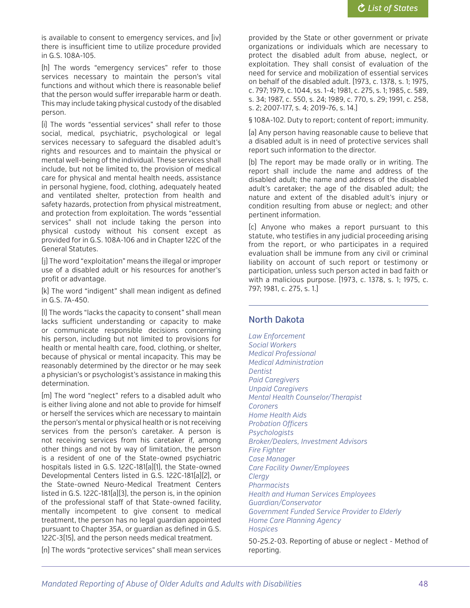is available to consent to emergency services, and (iv) there is insufficient time to utilize procedure provided in G.S. 108A-105.

(h) The words "emergency services" refer to those services necessary to maintain the person's vital functions and without which there is reasonable belief that the person would suffer irreparable harm or death. This may include taking physical custody of the disabled person.

(i) The words "essential services" shall refer to those social, medical, psychiatric, psychological or legal services necessary to safeguard the disabled adult's rights and resources and to maintain the physical or mental well-being of the individual. These services shall include, but not be limited to, the provision of medical care for physical and mental health needs, assistance in personal hygiene, food, clothing, adequately heated and ventilated shelter, protection from health and safety hazards, protection from physical mistreatment, and protection from exploitation. The words "essential services" shall not include taking the person into physical custody without his consent except as provided for in G.S. 108A-106 and in Chapter 122C of the General Statutes.

(j) The word "exploitation" means the illegal or improper use of a disabled adult or his resources for another's profit or advantage.

(k) The word "indigent" shall mean indigent as defined in G.S. 7A-450.

(l) The words "lacks the capacity to consent" shall mean lacks sufficient understanding or capacity to make or communicate responsible decisions concerning his person, including but not limited to provisions for health or mental health care, food, clothing, or shelter, because of physical or mental incapacity. This may be reasonably determined by the director or he may seek a physician's or psychologist's assistance in making this determination.

(m) The word "neglect" refers to a disabled adult who is either living alone and not able to provide for himself or herself the services which are necessary to maintain the person's mental or physical health or is not receiving services from the person's caretaker. A person is not receiving services from his caretaker if, among other things and not by way of limitation, the person is a resident of one of the State-owned psychiatric hospitals listed in G.S. 122C-181(a)(1), the State-owned Developmental Centers listed in G.S. 122C-181(a)(2), or the State-owned Neuro-Medical Treatment Centers listed in G.S. 122C-181(a)(3), the person is, in the opinion of the professional staff of that State-owned facility, mentally incompetent to give consent to medical treatment, the person has no legal guardian appointed pursuant to Chapter 35A, or guardian as defined in G.S. 122C-3(15), and the person needs medical treatment.

(n) The words "protective services" shall mean services

provided by the State or other government or private organizations or individuals which are necessary to protect the disabled adult from abuse, neglect, or exploitation. They shall consist of evaluation of the need for service and mobilization of essential services on behalf of the disabled adult. (1973, c. 1378, s. 1; 1975, c. 797; 1979, c. 1044, ss. 1-4; 1981, c. 275, s. 1; 1985, c. 589, s. 34; 1987, c. 550, s. 24; 1989, c. 770, s. 29; 1991, c. 258, s. 2; 2007-177, s. 4; 2019-76, s. 14.)

§ 108A-102. Duty to report; content of report; immunity.

(a) Any person having reasonable cause to believe that a disabled adult is in need of protective services shall report such information to the director.

(b) The report may be made orally or in writing. The report shall include the name and address of the disabled adult; the name and address of the disabled adult's caretaker; the age of the disabled adult; the nature and extent of the disabled adult's injury or condition resulting from abuse or neglect; and other pertinent information.

(c) Anyone who makes a report pursuant to this statute, who testifies in any judicial proceeding arising from the report, or who participates in a required evaluation shall be immune from any civil or criminal liability on account of such report or testimony or participation, unless such person acted in bad faith or with a malicious purpose. (1973, c. 1378, s. 1; 1975, c. 797; 1981, c. 275, s. 1.)

## North Dakota

*Law Enforcement Social Workers Medical Professional Medical Administration Dentist Paid Caregivers Unpaid Caregivers Mental Health Counselor/Therapist Coroners Home Health Aids Probation Officers Psychologists Broker/Dealers, Investment Advisors Fire Fighter Case Manager Care Facility Owner/Employees Clergy Pharmacists Health and Human Services Employees Guardian/Conservator Government Funded Service Provider to Elderly Home Care Planning Agency Hospices* 

50-25.2-03. Reporting of abuse or neglect - Method of reporting.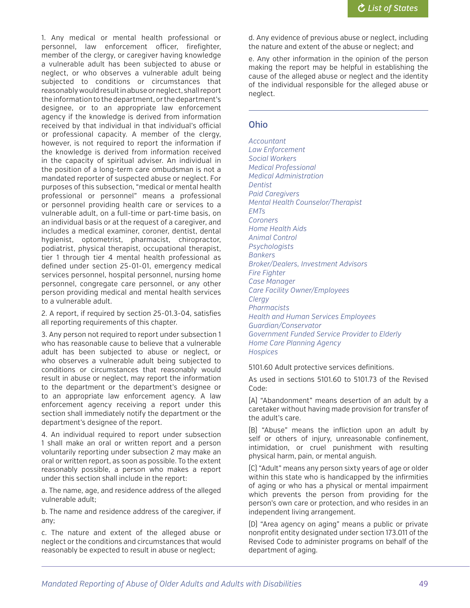1. Any medical or mental health professional or personnel, law enforcement officer, firefighter, member of the clergy, or caregiver having knowledge a vulnerable adult has been subjected to abuse or neglect, or who observes a vulnerable adult being subjected to conditions or circumstances that reasonably would result in abuse or neglect, shall report the information to the department, or the department's designee, or to an appropriate law enforcement agency if the knowledge is derived from information received by that individual in that individual's official or professional capacity. A member of the clergy, however, is not required to report the information if the knowledge is derived from information received in the capacity of spiritual adviser. An individual in the position of a long-term care ombudsman is not a mandated reporter of suspected abuse or neglect. For purposes of this subsection, "medical or mental health professional or personnel" means a professional or personnel providing health care or services to a vulnerable adult, on a full-time or part-time basis, on an individual basis or at the request of a caregiver, and includes a medical examiner, coroner, dentist, dental hygienist, optometrist, pharmacist, chiropractor, podiatrist, physical therapist, occupational therapist, tier 1 through tier 4 mental health professional as defined under section 25-01-01, emergency medical services personnel, hospital personnel, nursing home personnel, congregate care personnel, or any other person providing medical and mental health services to a vulnerable adult.

2. A report, if required by section 25-01.3-04, satisfies all reporting requirements of this chapter.

3. Any person not required to report under subsection 1 who has reasonable cause to believe that a vulnerable adult has been subjected to abuse or neglect, or who observes a vulnerable adult being subjected to conditions or circumstances that reasonably would result in abuse or neglect, may report the information to the department or the department's designee or to an appropriate law enforcement agency. A law enforcement agency receiving a report under this section shall immediately notify the department or the department's designee of the report.

4. An individual required to report under subsection 1 shall make an oral or written report and a person voluntarily reporting under subsection 2 may make an oral or written report, as soon as possible. To the extent reasonably possible, a person who makes a report under this section shall include in the report:

a. The name, age, and residence address of the alleged vulnerable adult;

b. The name and residence address of the caregiver, if any;

c. The nature and extent of the alleged abuse or neglect or the conditions and circumstances that would reasonably be expected to result in abuse or neglect;

d. Any evidence of previous abuse or neglect, including the nature and extent of the abuse or neglect; and

e. Any other information in the opinion of the person making the report may be helpful in establishing the cause of the alleged abuse or neglect and the identity of the individual responsible for the alleged abuse or neglect.

## Ohio

*Accountant Law Enforcement Social Workers Medical Professional Medical Administration Dentist Paid Caregivers Mental Health Counselor/Therapist EMTs Coroners Home Health Aids Animal Control Psychologists Bankers Broker/Dealers, Investment Advisors Fire Fighter Case Manager Care Facility Owner/Employees Clergy Pharmacists Health and Human Services Employees Guardian/Conservator Government Funded Service Provider to Elderly Home Care Planning Agency Hospices* 

5101.60 Adult protective services definitions.

As used in sections 5101.60 to 5101.73 of the Revised Code:

(A) "Abandonment" means desertion of an adult by a caretaker without having made provision for transfer of the adult's care.

(B) "Abuse" means the infliction upon an adult by self or others of injury, unreasonable confinement, intimidation, or cruel punishment with resulting physical harm, pain, or mental anguish.

(C) "Adult" means any person sixty years of age or older within this state who is handicapped by the infirmities of aging or who has a physical or mental impairment which prevents the person from providing for the person's own care or protection, and who resides in an independent living arrangement.

(D) "Area agency on aging" means a public or private nonprofit entity designated under section 173.011 of the Revised Code to administer programs on behalf of the department of aging.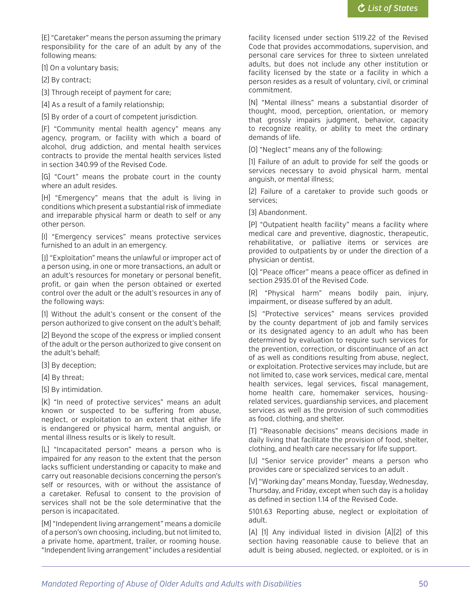(E) "Caretaker" means the person assuming the primary responsibility for the care of an adult by any of the following means:

(1) On a voluntary basis;

(2) By contract;

(3) Through receipt of payment for care;

(4) As a result of a family relationship;

(5) By order of a court of competent jurisdiction.

(F) "Community mental health agency" means any agency, program, or facility with which a board of alcohol, drug addiction, and mental health services contracts to provide the mental health services listed in section 340.99 of the Revised Code.

(G) "Court" means the probate court in the county where an adult resides.

(H) "Emergency" means that the adult is living in conditions which present a substantial risk of immediate and irreparable physical harm or death to self or any other person.

(I) "Emergency services" means protective services furnished to an adult in an emergency.

(J) "Exploitation" means the unlawful or improper act of a person using, in one or more transactions, an adult or an adult's resources for monetary or personal benefit, profit, or gain when the person obtained or exerted control over the adult or the adult's resources in any of the following ways:

(1) Without the adult's consent or the consent of the person authorized to give consent on the adult's behalf;

(2) Beyond the scope of the express or implied consent of the adult or the person authorized to give consent on the adult's behalf;

(3) By deception;

(4) By threat;

(5) By intimidation.

(K) "In need of protective services" means an adult known or suspected to be suffering from abuse, neglect, or exploitation to an extent that either life is endangered or physical harm, mental anguish, or mental illness results or is likely to result.

(L) "Incapacitated person" means a person who is impaired for any reason to the extent that the person lacks sufficient understanding or capacity to make and carry out reasonable decisions concerning the person's self or resources, with or without the assistance of a caretaker. Refusal to consent to the provision of services shall not be the sole determinative that the person is incapacitated.

(M) "Independent living arrangement" means a domicile of a person's own choosing, including, but not limited to, a private home, apartment, trailer, or rooming house. "Independent living arrangement" includes a residential

facility licensed under section 5119.22 of the Revised Code that provides accommodations, supervision, and personal care services for three to sixteen unrelated adults, but does not include any other institution or facility licensed by the state or a facility in which a person resides as a result of voluntary, civil, or criminal commitment.

(N) "Mental illness" means a substantial disorder of thought, mood, perception, orientation, or memory that grossly impairs judgment, behavior, capacity to recognize reality, or ability to meet the ordinary demands of life.

(O) "Neglect" means any of the following:

(1) Failure of an adult to provide for self the goods or services necessary to avoid physical harm, mental anguish, or mental illness;

(2) Failure of a caretaker to provide such goods or services;

(3) Abandonment.

(P) "Outpatient health facility" means a facility where medical care and preventive, diagnostic, therapeutic, rehabilitative, or palliative items or services are provided to outpatients by or under the direction of a physician or dentist.

(Q) "Peace officer" means a peace officer as defined in section 2935.01 of the Revised Code.

(R) "Physical harm" means bodily pain, injury, impairment, or disease suffered by an adult.

(S) "Protective services" means services provided by the county department of job and family services or its designated agency to an adult who has been determined by evaluation to require such services for the prevention, correction, or discontinuance of an act of as well as conditions resulting from abuse, neglect, or exploitation. Protective services may include, but are not limited to, case work services, medical care, mental health services, legal services, fiscal management, home health care, homemaker services, housingrelated services, guardianship services, and placement services as well as the provision of such commodities as food, clothing, and shelter.

(T) "Reasonable decisions" means decisions made in daily living that facilitate the provision of food, shelter, clothing, and health care necessary for life support.

(U) "Senior service provider" means a person who provides care or specialized services to an adult .

(V) "Working day" means Monday, Tuesday, Wednesday, Thursday, and Friday, except when such day is a holiday as defined in section 1.14 of the Revised Code.

5101.63 Reporting abuse, neglect or exploitation of adult.

(A) (1) Any individual listed in division (A)(2) of this section having reasonable cause to believe that an adult is being abused, neglected, or exploited, or is in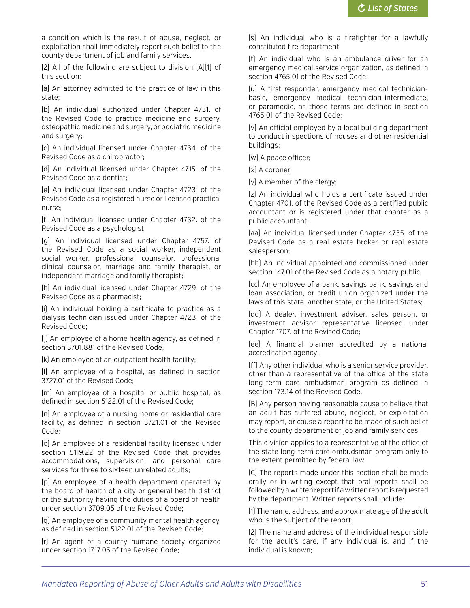a condition which is the result of abuse, neglect, or exploitation shall immediately report such belief to the county department of job and family services.

(2) All of the following are subject to division (A)(1) of this section:

(a) An attorney admitted to the practice of law in this state;

(b) An individual authorized under Chapter 4731. of the Revised Code to practice medicine and surgery, osteopathic medicine and surgery, or podiatric medicine and surgery;

(c) An individual licensed under Chapter 4734. of the Revised Code as a chiropractor;

(d) An individual licensed under Chapter 4715. of the Revised Code as a dentist;

(e) An individual licensed under Chapter 4723. of the Revised Code as a registered nurse or licensed practical nurse;

(f) An individual licensed under Chapter 4732. of the Revised Code as a psychologist;

(g) An individual licensed under Chapter 4757. of the Revised Code as a social worker, independent social worker, professional counselor, professional clinical counselor, marriage and family therapist, or independent marriage and family therapist;

(h) An individual licensed under Chapter 4729. of the Revised Code as a pharmacist;

(i) An individual holding a certificate to practice as a dialysis technician issued under Chapter 4723. of the Revised Code;

(j) An employee of a home health agency, as defined in section 3701.881 of the Revised Code;

(k) An employee of an outpatient health facility;

(l) An employee of a hospital, as defined in section 3727.01 of the Revised Code;

(m) An employee of a hospital or public hospital, as defined in section 5122.01 of the Revised Code;

(n) An employee of a nursing home or residential care facility, as defined in section 3721.01 of the Revised Code;

(o) An employee of a residential facility licensed under section 5119.22 of the Revised Code that provides accommodations, supervision, and personal care services for three to sixteen unrelated adults;

(p) An employee of a health department operated by the board of health of a city or general health district or the authority having the duties of a board of health under section 3709.05 of the Revised Code;

(q) An employee of a community mental health agency, as defined in section 5122.01 of the Revised Code;

(r) An agent of a county humane society organized under section 1717.05 of the Revised Code;

(s) An individual who is a firefighter for a lawfully constituted fire department;

(t) An individual who is an ambulance driver for an emergency medical service organization, as defined in section 4765.01 of the Revised Code;

(u) A first responder, emergency medical technicianbasic, emergency medical technician-intermediate, or paramedic, as those terms are defined in section 4765.01 of the Revised Code;

(v) An official employed by a local building department to conduct inspections of houses and other residential buildings;

(w) A peace officer;

(x) A coroner;

(y) A member of the clergy;

(z) An individual who holds a certificate issued under Chapter 4701. of the Revised Code as a certified public accountant or is registered under that chapter as a public accountant;

(aa) An individual licensed under Chapter 4735. of the Revised Code as a real estate broker or real estate salesperson;

(bb) An individual appointed and commissioned under section 147.01 of the Revised Code as a notary public;

(cc) An employee of a bank, savings bank, savings and loan association, or credit union organized under the laws of this state, another state, or the United States;

(dd) A dealer, investment adviser, sales person, or investment advisor representative licensed under Chapter 1707. of the Revised Code;

(ee) A financial planner accredited by a national accreditation agency;

(ff) Any other individual who is a senior service provider, other than a representative of the office of the state long-term care ombudsman program as defined in section 173.14 of the Revised Code.

(B) Any person having reasonable cause to believe that an adult has suffered abuse, neglect, or exploitation may report, or cause a report to be made of such belief to the county department of job and family services.

This division applies to a representative of the office of the state long-term care ombudsman program only to the extent permitted by federal law.

(C) The reports made under this section shall be made orally or in writing except that oral reports shall be followed by a written report if a written report is requested by the department. Written reports shall include:

(1) The name, address, and approximate age of the adult who is the subject of the report;

(2) The name and address of the individual responsible for the adult's care, if any individual is, and if the individual is known;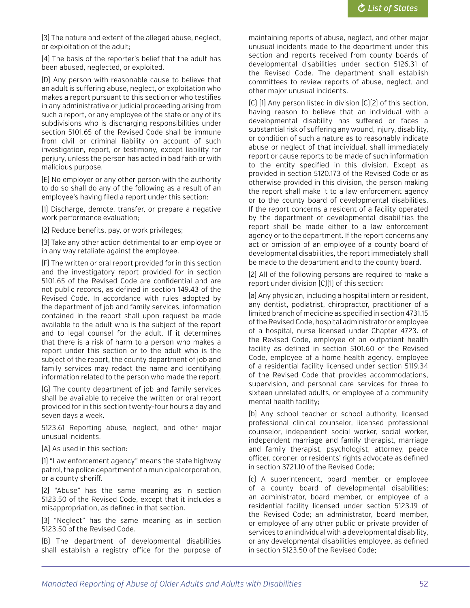(3) The nature and extent of the alleged abuse, neglect, or exploitation of the adult;

(4) The basis of the reporter's belief that the adult has been abused, neglected, or exploited.

(D) Any person with reasonable cause to believe that an adult is suffering abuse, neglect, or exploitation who makes a report pursuant to this section or who testifies in any administrative or judicial proceeding arising from such a report, or any employee of the state or any of its subdivisions who is discharging responsibilities under section 5101.65 of the Revised Code shall be immune from civil or criminal liability on account of such investigation, report, or testimony, except liability for perjury, unless the person has acted in bad faith or with malicious purpose.

(E) No employer or any other person with the authority to do so shall do any of the following as a result of an employee's having filed a report under this section:

(1) Discharge, demote, transfer, or prepare a negative work performance evaluation;

(2) Reduce benefits, pay, or work privileges;

(3) Take any other action detrimental to an employee or in any way retaliate against the employee.

(F) The written or oral report provided for in this section and the investigatory report provided for in section 5101.65 of the Revised Code are confidential and are not public records, as defined in section 149.43 of the Revised Code. In accordance with rules adopted by the department of job and family services, information contained in the report shall upon request be made available to the adult who is the subject of the report and to legal counsel for the adult. If it determines that there is a risk of harm to a person who makes a report under this section or to the adult who is the subject of the report, the county department of job and family services may redact the name and identifying information related to the person who made the report.

(G) The county department of job and family services shall be available to receive the written or oral report provided for in this section twenty-four hours a day and seven days a week.

5123.61 Reporting abuse, neglect, and other major unusual incidents.

(A) As used in this section:

(1) "Law enforcement agency" means the state highway patrol, the police department of a municipal corporation, or a county sheriff.

(2) "Abuse" has the same meaning as in section 5123.50 of the Revised Code, except that it includes a misappropriation, as defined in that section.

(3) "Neglect" has the same meaning as in section 5123.50 of the Revised Code.

(B) The department of developmental disabilities shall establish a registry office for the purpose of maintaining reports of abuse, neglect, and other major unusual incidents made to the department under this section and reports received from county boards of developmental disabilities under section 5126.31 of the Revised Code. The department shall establish committees to review reports of abuse, neglect, and other major unusual incidents.

(C) (1) Any person listed in division (C)(2) of this section, having reason to believe that an individual with a developmental disability has suffered or faces a substantial risk of suffering any wound, injury, disability, or condition of such a nature as to reasonably indicate abuse or neglect of that individual, shall immediately report or cause reports to be made of such information to the entity specified in this division. Except as provided in section 5120.173 of the Revised Code or as otherwise provided in this division, the person making the report shall make it to a law enforcement agency or to the county board of developmental disabilities. If the report concerns a resident of a facility operated by the department of developmental disabilities the report shall be made either to a law enforcement agency or to the department. If the report concerns any act or omission of an employee of a county board of developmental disabilities, the report immediately shall be made to the department and to the county board.

(2) All of the following persons are required to make a report under division (C)(1) of this section:

(a) Any physician, including a hospital intern or resident, any dentist, podiatrist, chiropractor, practitioner of a limited branch of medicine as specified in section 4731.15 of the Revised Code, hospital administrator or employee of a hospital, nurse licensed under Chapter 4723. of the Revised Code, employee of an outpatient health facility as defined in section 5101.60 of the Revised Code, employee of a home health agency, employee of a residential facility licensed under section 5119.34 of the Revised Code that provides accommodations, supervision, and personal care services for three to sixteen unrelated adults, or employee of a community mental health facility;

(b) Any school teacher or school authority, licensed professional clinical counselor, licensed professional counselor, independent social worker, social worker, independent marriage and family therapist, marriage and family therapist, psychologist, attorney, peace officer, coroner, or residents' rights advocate as defined in section 3721.10 of the Revised Code;

(c) A superintendent, board member, or employee of a county board of developmental disabilities; an administrator, board member, or employee of a residential facility licensed under section 5123.19 of the Revised Code; an administrator, board member, or employee of any other public or private provider of services to an individual with a developmental disability, or any developmental disabilities employee, as defined in section 5123.50 of the Revised Code;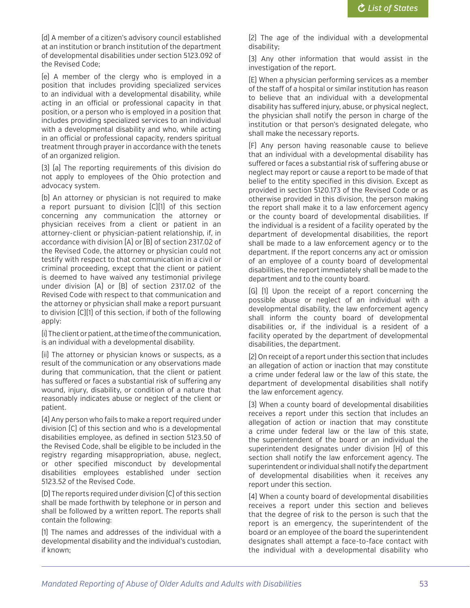(d) A member of a citizen's advisory council established at an institution or branch institution of the department of developmental disabilities under section 5123.092 of the Revised Code;

(e) A member of the clergy who is employed in a position that includes providing specialized services to an individual with a developmental disability, while acting in an official or professional capacity in that position, or a person who is employed in a position that includes providing specialized services to an individual with a developmental disability and who, while acting in an official or professional capacity, renders spiritual treatment through prayer in accordance with the tenets of an organized religion.

(3) (a) The reporting requirements of this division do not apply to employees of the Ohio protection and advocacy system.

(b) An attorney or physician is not required to make a report pursuant to division (C)(1) of this section concerning any communication the attorney or physician receives from a client or patient in an attorney-client or physician-patient relationship, if, in accordance with division (A) or (B) of section 2317.02 of the Revised Code, the attorney or physician could not testify with respect to that communication in a civil or criminal proceeding, except that the client or patient is deemed to have waived any testimonial privilege under division (A) or (B) of section 2317.02 of the Revised Code with respect to that communication and the attorney or physician shall make a report pursuant to division (C)(1) of this section, if both of the following apply:

(i) The client or patient, at the time of the communication, is an individual with a developmental disability.

(ii) The attorney or physician knows or suspects, as a result of the communication or any observations made during that communication, that the client or patient has suffered or faces a substantial risk of suffering any wound, injury, disability, or condition of a nature that reasonably indicates abuse or neglect of the client or patient.

(4) Any person who fails to make a report required under division (C) of this section and who is a developmental disabilities employee, as defined in section 5123.50 of the Revised Code, shall be eligible to be included in the registry regarding misappropriation, abuse, neglect, or other specified misconduct by developmental disabilities employees established under section 5123.52 of the Revised Code.

(D) The reports required under division (C) of this section shall be made forthwith by telephone or in person and shall be followed by a written report. The reports shall contain the following:

(1) The names and addresses of the individual with a developmental disability and the individual's custodian, if known;

(2) The age of the individual with a developmental disability;

(3) Any other information that would assist in the investigation of the report.

(E) When a physician performing services as a member of the staff of a hospital or similar institution has reason to believe that an individual with a developmental disability has suffered injury, abuse, or physical neglect, the physician shall notify the person in charge of the institution or that person's designated delegate, who shall make the necessary reports.

(F) Any person having reasonable cause to believe that an individual with a developmental disability has suffered or faces a substantial risk of suffering abuse or neglect may report or cause a report to be made of that belief to the entity specified in this division. Except as provided in section 5120.173 of the Revised Code or as otherwise provided in this division, the person making the report shall make it to a law enforcement agency or the county board of developmental disabilities. If the individual is a resident of a facility operated by the department of developmental disabilities, the report shall be made to a law enforcement agency or to the department. If the report concerns any act or omission of an employee of a county board of developmental disabilities, the report immediately shall be made to the department and to the county board.

(G) (1) Upon the receipt of a report concerning the possible abuse or neglect of an individual with a developmental disability, the law enforcement agency shall inform the county board of developmental disabilities or, if the individual is a resident of a facility operated by the department of developmental disabilities, the department.

(2) On receipt of a report under this section that includes an allegation of action or inaction that may constitute a crime under federal law or the law of this state, the department of developmental disabilities shall notify the law enforcement agency.

(3) When a county board of developmental disabilities receives a report under this section that includes an allegation of action or inaction that may constitute a crime under federal law or the law of this state, the superintendent of the board or an individual the superintendent designates under division (H) of this section shall notify the law enforcement agency. The superintendent or individual shall notify the department of developmental disabilities when it receives any report under this section.

(4) When a county board of developmental disabilities receives a report under this section and believes that the degree of risk to the person is such that the report is an emergency, the superintendent of the board or an employee of the board the superintendent designates shall attempt a face-to-face contact with the individual with a developmental disability who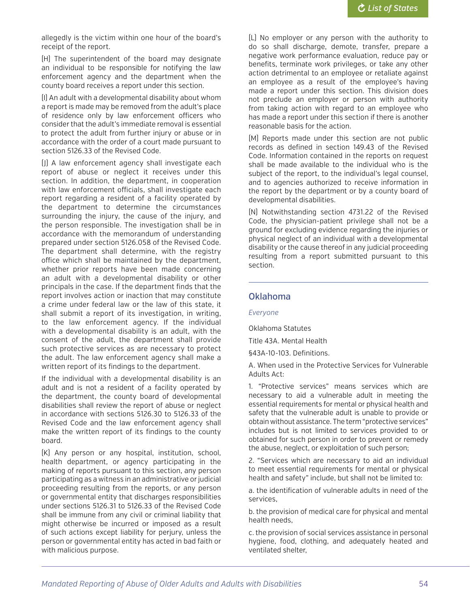allegedly is the victim within one hour of the board's receipt of the report.

(H) The superintendent of the board may designate an individual to be responsible for notifying the law enforcement agency and the department when the county board receives a report under this section.

(I) An adult with a developmental disability about whom a report is made may be removed from the adult's place of residence only by law enforcement officers who consider that the adult's immediate removal is essential to protect the adult from further injury or abuse or in accordance with the order of a court made pursuant to section 5126.33 of the Revised Code.

(J) A law enforcement agency shall investigate each report of abuse or neglect it receives under this section. In addition, the department, in cooperation with law enforcement officials, shall investigate each report regarding a resident of a facility operated by the department to determine the circumstances surrounding the injury, the cause of the injury, and the person responsible. The investigation shall be in accordance with the memorandum of understanding prepared under section 5126.058 of the Revised Code. The department shall determine, with the registry office which shall be maintained by the department, whether prior reports have been made concerning an adult with a developmental disability or other principals in the case. If the department finds that the report involves action or inaction that may constitute a crime under federal law or the law of this state, it shall submit a report of its investigation, in writing, to the law enforcement agency. If the individual with a developmental disability is an adult, with the consent of the adult, the department shall provide such protective services as are necessary to protect the adult. The law enforcement agency shall make a written report of its findings to the department.

If the individual with a developmental disability is an adult and is not a resident of a facility operated by the department, the county board of developmental disabilities shall review the report of abuse or neglect in accordance with sections 5126.30 to 5126.33 of the Revised Code and the law enforcement agency shall make the written report of its findings to the county board.

(K) Any person or any hospital, institution, school, health department, or agency participating in the making of reports pursuant to this section, any person participating as a witness in an administrative or judicial proceeding resulting from the reports, or any person or governmental entity that discharges responsibilities under sections 5126.31 to 5126.33 of the Revised Code shall be immune from any civil or criminal liability that might otherwise be incurred or imposed as a result of such actions except liability for perjury, unless the person or governmental entity has acted in bad faith or with malicious purpose.

(L) No employer or any person with the authority to do so shall discharge, demote, transfer, prepare a negative work performance evaluation, reduce pay or benefits, terminate work privileges, or take any other action detrimental to an employee or retaliate against an employee as a result of the employee's having made a report under this section. This division does not preclude an employer or person with authority from taking action with regard to an employee who has made a report under this section if there is another reasonable basis for the action.

(M) Reports made under this section are not public records as defined in section 149.43 of the Revised Code. Information contained in the reports on request shall be made available to the individual who is the subject of the report, to the individual's legal counsel, and to agencies authorized to receive information in the report by the department or by a county board of developmental disabilities.

(N) Notwithstanding section 4731.22 of the Revised Code, the physician-patient privilege shall not be a ground for excluding evidence regarding the injuries or physical neglect of an individual with a developmental disability or the cause thereof in any judicial proceeding resulting from a report submitted pursuant to this section.

# Oklahoma

*Everyone*

Oklahoma Statutes

Title 43A. Mental Health

§43A-10-103. Definitions.

A. When used in the Protective Services for Vulnerable Adults Act:

1. "Protective services" means services which are necessary to aid a vulnerable adult in meeting the essential requirements for mental or physical health and safety that the vulnerable adult is unable to provide or obtain without assistance. The term "protective services" includes but is not limited to services provided to or obtained for such person in order to prevent or remedy the abuse, neglect, or exploitation of such person;

2. "Services which are necessary to aid an individual to meet essential requirements for mental or physical health and safety" include, but shall not be limited to:

a. the identification of vulnerable adults in need of the services,

b. the provision of medical care for physical and mental health needs,

c. the provision of social services assistance in personal hygiene, food, clothing, and adequately heated and ventilated shelter,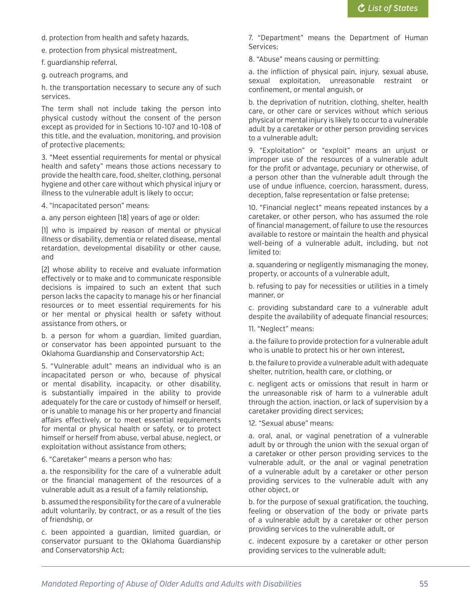- d. protection from health and safety hazards,
- e. protection from physical mistreatment,
- f. guardianship referral,
- g. outreach programs, and

h. the transportation necessary to secure any of such services.

The term shall not include taking the person into physical custody without the consent of the person except as provided for in Sections 10-107 and 10-108 of this title, and the evaluation, monitoring, and provision of protective placements;

3. "Meet essential requirements for mental or physical health and safety" means those actions necessary to provide the health care, food, shelter, clothing, personal hygiene and other care without which physical injury or illness to the vulnerable adult is likely to occur;

4. "Incapacitated person" means:

a. any person eighteen (18) years of age or older:

(1) who is impaired by reason of mental or physical illness or disability, dementia or related disease, mental retardation, developmental disability or other cause, and

(2) whose ability to receive and evaluate information effectively or to make and to communicate responsible decisions is impaired to such an extent that such person lacks the capacity to manage his or her financial resources or to meet essential requirements for his or her mental or physical health or safety without assistance from others, or

b. a person for whom a guardian, limited guardian, or conservator has been appointed pursuant to the Oklahoma Guardianship and Conservatorship Act;

5. "Vulnerable adult" means an individual who is an incapacitated person or who, because of physical or mental disability, incapacity, or other disability, is substantially impaired in the ability to provide adequately for the care or custody of himself or herself, or is unable to manage his or her property and financial affairs effectively, or to meet essential requirements for mental or physical health or safety, or to protect himself or herself from abuse, verbal abuse, neglect, or exploitation without assistance from others;

6. "Caretaker" means a person who has:

a. the responsibility for the care of a vulnerable adult or the financial management of the resources of a vulnerable adult as a result of a family relationship,

b. assumed the responsibility for the care of a vulnerable adult voluntarily, by contract, or as a result of the ties of friendship, or

c. been appointed a guardian, limited guardian, or conservator pursuant to the Oklahoma Guardianship and Conservatorship Act;

7. "Department" means the Department of Human Services;

8. "Abuse" means causing or permitting:

a. the infliction of physical pain, injury, sexual abuse, sexual exploitation, unreasonable restraint or confinement, or mental anguish, or

b. the deprivation of nutrition, clothing, shelter, health care, or other care or services without which serious physical or mental injury is likely to occur to a vulnerable adult by a caretaker or other person providing services to a vulnerable adult;

9. "Exploitation" or "exploit" means an unjust or improper use of the resources of a vulnerable adult for the profit or advantage, pecuniary or otherwise, of a person other than the vulnerable adult through the use of undue influence, coercion, harassment, duress, deception, false representation or false pretense;

10. "Financial neglect" means repeated instances by a caretaker, or other person, who has assumed the role of financial management, of failure to use the resources available to restore or maintain the health and physical well-being of a vulnerable adult, including, but not limited to:

a. squandering or negligently mismanaging the money, property, or accounts of a vulnerable adult,

b. refusing to pay for necessities or utilities in a timely manner, or

c. providing substandard care to a vulnerable adult despite the availability of adequate financial resources;

11. "Neglect" means:

a. the failure to provide protection for a vulnerable adult who is unable to protect his or her own interest,

b. the failure to provide a vulnerable adult with adequate shelter, nutrition, health care, or clothing, or

c. negligent acts or omissions that result in harm or the unreasonable risk of harm to a vulnerable adult through the action, inaction, or lack of supervision by a caretaker providing direct services;

12. "Sexual abuse" means:

a. oral, anal, or vaginal penetration of a vulnerable adult by or through the union with the sexual organ of a caretaker or other person providing services to the vulnerable adult, or the anal or vaginal penetration of a vulnerable adult by a caretaker or other person providing services to the vulnerable adult with any other object, or

b. for the purpose of sexual gratification, the touching, feeling or observation of the body or private parts of a vulnerable adult by a caretaker or other person providing services to the vulnerable adult, or

c. indecent exposure by a caretaker or other person providing services to the vulnerable adult;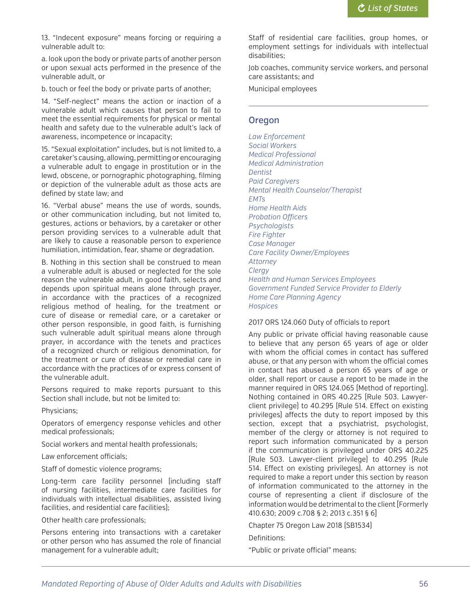13. "Indecent exposure" means forcing or requiring a vulnerable adult to:

a. look upon the body or private parts of another person or upon sexual acts performed in the presence of the vulnerable adult, or

b. touch or feel the body or private parts of another;

14. "Self-neglect" means the action or inaction of a vulnerable adult which causes that person to fail to meet the essential requirements for physical or mental health and safety due to the vulnerable adult's lack of awareness, incompetence or incapacity;

15. "Sexual exploitation" includes, but is not limited to, a caretaker's causing, allowing, permitting or encouraging a vulnerable adult to engage in prostitution or in the lewd, obscene, or pornographic photographing, filming or depiction of the vulnerable adult as those acts are defined by state law; and

16. "Verbal abuse" means the use of words, sounds, or other communication including, but not limited to, gestures, actions or behaviors, by a caretaker or other person providing services to a vulnerable adult that are likely to cause a reasonable person to experience humiliation, intimidation, fear, shame or degradation.

B. Nothing in this section shall be construed to mean a vulnerable adult is abused or neglected for the sole reason the vulnerable adult, in good faith, selects and depends upon spiritual means alone through prayer, in accordance with the practices of a recognized religious method of healing, for the treatment or cure of disease or remedial care, or a caretaker or other person responsible, in good faith, is furnishing such vulnerable adult spiritual means alone through prayer, in accordance with the tenets and practices of a recognized church or religious denomination, for the treatment or cure of disease or remedial care in accordance with the practices of or express consent of the vulnerable adult.

Persons required to make reports pursuant to this Section shall include, but not be limited to:

Physicians;

Operators of emergency response vehicles and other medical professionals;

Social workers and mental health professionals;

Law enforcement officials;

Staff of domestic violence programs;

Long-term care facility personnel (including staff of nursing facilities, intermediate care facilities for individuals with intellectual disabilities, assisted living facilities, and residential care facilities);

Other health care professionals;

Persons entering into transactions with a caretaker or other person who has assumed the role of financial management for a vulnerable adult;

Staff of residential care facilities, group homes, or employment settings for individuals with intellectual disabilities;

Job coaches, community service workers, and personal care assistants; and

Municipal employees

## **Oregon**

*Law Enforcement Social Workers Medical Professional Medical Administration Dentist Paid Caregivers Mental Health Counselor/Therapist EMTs Home Health Aids Probation Officers Psychologists Fire Fighter Case Manager Care Facility Owner/Employees Attorney Clergy Health and Human Services Employees Government Funded Service Provider to Elderly Home Care Planning Agency Hospices* 

2017 ORS 124.060 Duty of officials to report

Any public or private official having reasonable cause to believe that any person 65 years of age or older with whom the official comes in contact has suffered abuse, or that any person with whom the official comes in contact has abused a person 65 years of age or older, shall report or cause a report to be made in the manner required in ORS 124.065 (Method of reporting). Nothing contained in ORS 40.225 (Rule 503. Lawyerclient privilege) to 40.295 (Rule 514. Effect on existing privileges) affects the duty to report imposed by this section, except that a psychiatrist, psychologist, member of the clergy or attorney is not required to report such information communicated by a person if the communication is privileged under ORS 40.225 (Rule 503. Lawyer-client privilege) to 40.295 (Rule 514. Effect on existing privileges). An attorney is not required to make a report under this section by reason of information communicated to the attorney in the course of representing a client if disclosure of the information would be detrimental to the client [Formerly 410.630; 2009 c.708 § 2; 2013 c.351 § 6]

Chapter 75 Oregon Law 2018 (SB1534)

Definitions:

"Public or private official" means: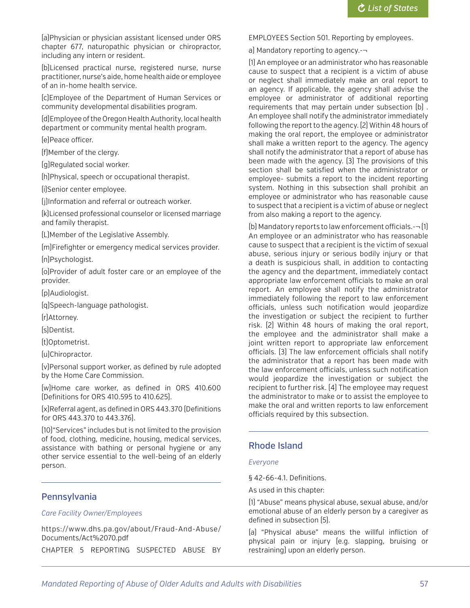(a)Physician or physician assistant licensed under ORS chapter 677, naturopathic physician or chiropractor, including any intern or resident.

(b)Licensed practical nurse, registered nurse, nurse practitioner, nurse's aide, home health aide or employee of an in-home health service.

(c)Employee of the Department of Human Services or community developmental disabilities program.

(d)Employee of the Oregon Health Authority, local health department or community mental health program.

(e)Peace officer.

(f)Member of the clergy.

(g)Regulated social worker.

(h)Physical, speech or occupational therapist.

(i)Senior center employee.

(j)Information and referral or outreach worker.

(k)Licensed professional counselor or licensed marriage and family therapist.

(L)Member of the Legislative Assembly.

(m)Firefighter or emergency medical services provider.

(n)Psychologist.

(o)Provider of adult foster care or an employee of the provider.

(p)Audiologist.

(q)Speech-language pathologist.

(r)Attorney.

(s)Dentist.

(t)Optometrist.

(u)Chiropractor.

(v)Personal support worker, as defined by rule adopted by the Home Care Commission.

(w)Home care worker, as defined in ORS 410.600 (Definitions for ORS 410.595 to 410.625).

(x)Referral agent, as defined in ORS 443.370 (Definitions for ORS 443.370 to 443.376).

(10)"Services" includes but is not limited to the provision of food, clothing, medicine, housing, medical services, assistance with bathing or personal hygiene or any other service essential to the well-being of an elderly person.

## **Pennsylvania**

## *Care Facility Owner/Employees*

https://www.dhs.pa.gov/about/Fraud-And-Abuse/ Documents/Act%2070.pdf

CHAPTER 5 REPORTING SUSPECTED ABUSE BY

EMPLOYEES Section 501. Reporting by employees.

a) Mandatory reporting to agency.-¬

(1) An employee or an administrator who has reasonable cause to suspect that a recipient is a victim of abuse or neglect shall immediately make an oral report to an agency. If applicable, the agency shall advise the employee or administrator of additional reporting requirements that may pertain under subsection (b) . An employee shall notify the administrator immediately following the report to the agency. (2) Within 48 hours of making the oral report, the employee or administrator shall make a written report to the agency. The agency shall notify the administrator that a report of abuse has been made with the agency. (3) The provisions of this section shall be satisfied when the administrator or employee- submits a report to the incident reporting system. Nothing in this subsection shall prohibit an employee or administrator who has reasonable cause to suspect that a recipient is a victim of abuse or neglect from also making a report to the agency.

(b) Mandatory reports to law enforcement officials. $-\eta$ [1] An employee or an administrator who has reasonable cause to suspect that a recipient is the victim of sexual abuse, serious injury or serious bodily injury or that a death is suspicious shall, in addition to contacting the agency and the department, immediately contact appropriate law enforcement officials to make an oral report. An employee shall notify the administrator immediately following the report to law enforcement officials, unless such notification would jeopardize the investigation or subject the recipient to further risk. (2) Within 48 hours of making the oral report, the employee and the administrator shall make a joint written report to appropriate law enforcement officials. (3) The law enforcement officials shall notify the administrator that a report has been made with the law enforcement officials, unless such notification would jeopardize the investigation or subject the recipient to further risk. (4) The employee may request the administrator to make or to assist the employee to make the oral and written reports to law enforcement officials required by this subsection.

# Rhode Island

### *Everyone*

§ 42-66-4.1. Definitions.

As used in this chapter:

(1) "Abuse" means physical abuse, sexual abuse, and/or emotional abuse of an elderly person by a caregiver as defined in subsection (5).

(a) "Physical abuse" means the willful infliction of physical pain or injury (e.g. slapping, bruising or restraining) upon an elderly person.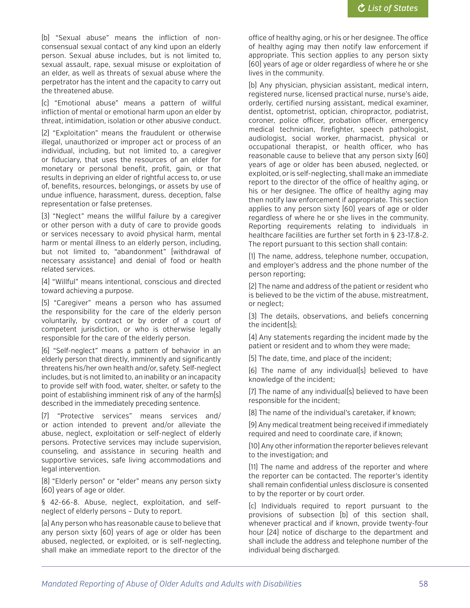(b) "Sexual abuse" means the infliction of nonconsensual sexual contact of any kind upon an elderly person. Sexual abuse includes, but is not limited to, sexual assault, rape, sexual misuse or exploitation of an elder, as well as threats of sexual abuse where the perpetrator has the intent and the capacity to carry out the threatened abuse.

(c) "Emotional abuse" means a pattern of willful infliction of mental or emotional harm upon an elder by threat, intimidation, isolation or other abusive conduct.

(2) "Exploitation" means the fraudulent or otherwise illegal, unauthorized or improper act or process of an individual, including, but not limited to, a caregiver or fiduciary, that uses the resources of an elder for monetary or personal benefit, profit, gain, or that results in depriving an elder of rightful access to, or use of, benefits, resources, belongings, or assets by use of undue influence, harassment, duress, deception, false representation or false pretenses.

(3) "Neglect" means the willful failure by a caregiver or other person with a duty of care to provide goods or services necessary to avoid physical harm, mental harm or mental illness to an elderly person, including, but not limited to, "abandonment" (withdrawal of necessary assistance) and denial of food or health related services.

(4) "Willful" means intentional, conscious and directed toward achieving a purpose.

(5) "Caregiver" means a person who has assumed the responsibility for the care of the elderly person voluntarily, by contract or by order of a court of competent jurisdiction, or who is otherwise legally responsible for the care of the elderly person.

(6) "Self-neglect" means a pattern of behavior in an elderly person that directly, imminently and significantly threatens his/her own health and/or, safety. Self-neglect includes, but is not limited to, an inability or an incapacity to provide self with food, water, shelter, or safety to the point of establishing imminent risk of any of the harm(s) described in the immediately preceding sentence.

(7) "Protective services" means services and/ or action intended to prevent and/or alleviate the abuse, neglect, exploitation or self-neglect of elderly persons. Protective services may include supervision, counseling, and assistance in securing health and supportive services, safe living accommodations and legal intervention.

(8) "Elderly person" or "elder" means any person sixty (60) years of age or older.

§ 42-66-8. Abuse, neglect, exploitation, and selfneglect of elderly persons – Duty to report.

(a) Any person who has reasonable cause to believe that any person sixty (60) years of age or older has been abused, neglected, or exploited, or is self-neglecting, shall make an immediate report to the director of the office of healthy aging, or his or her designee. The office of healthy aging may then notify law enforcement if appropriate. This section applies to any person sixty (60) years of age or older regardless of where he or she lives in the community.

(b) Any physician, physician assistant, medical intern, registered nurse, licensed practical nurse, nurse's aide, orderly, certified nursing assistant, medical examiner, dentist, optometrist, optician, chiropractor, podiatrist, coroner, police officer, probation officer, emergency medical technician, firefighter, speech pathologist, audiologist, social worker, pharmacist, physical or occupational therapist, or health officer, who has reasonable cause to believe that any person sixty (60) years of age or older has been abused, neglected, or exploited, or is self-neglecting, shall make an immediate report to the director of the office of healthy aging, or his or her designee. The office of healthy aging may then notify law enforcement if appropriate. This section applies to any person sixty (60) years of age or older regardless of where he or she lives in the community. Reporting requirements relating to individuals in healthcare facilities are further set forth in § 23-17.8-2. The report pursuant to this section shall contain:

(1) The name, address, telephone number, occupation, and employer's address and the phone number of the person reporting;

(2) The name and address of the patient or resident who is believed to be the victim of the abuse, mistreatment, or neglect;

(3) The details, observations, and beliefs concerning the incident(s);

(4) Any statements regarding the incident made by the patient or resident and to whom they were made;

(5) The date, time, and place of the incident;

(6) The name of any individual(s) believed to have knowledge of the incident;

(7) The name of any individual(s) believed to have been responsible for the incident;

(8) The name of the individual's caretaker, if known;

(9) Any medical treatment being received if immediately required and need to coordinate care, if known;

(10) Any other information the reporter believes relevant to the investigation; and

(11) The name and address of the reporter and where the reporter can be contacted. The reporter's identity shall remain confidential unless disclosure is consented to by the reporter or by court order.

(c) Individuals required to report pursuant to the provisions of subsection (b) of this section shall, whenever practical and if known, provide twenty-four hour (24) notice of discharge to the department and shall include the address and telephone number of the individual being discharged.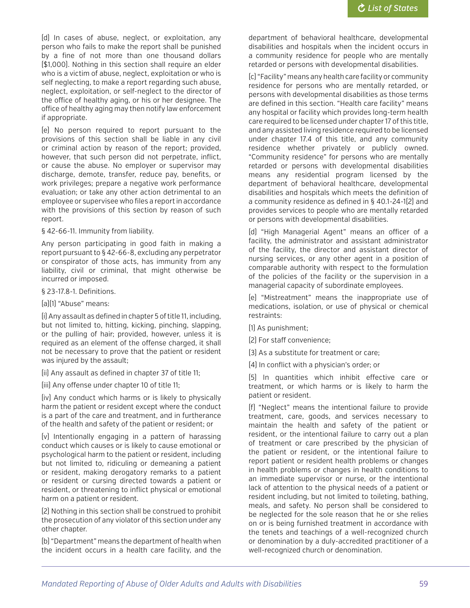(d) In cases of abuse, neglect, or exploitation, any person who fails to make the report shall be punished by a fine of not more than one thousand dollars (\$1,000). Nothing in this section shall require an elder who is a victim of abuse, neglect, exploitation or who is self neglecting, to make a report regarding such abuse, neglect, exploitation, or self-neglect to the director of the office of healthy aging, or his or her designee. The office of healthy aging may then notify law enforcement if appropriate.

(e) No person required to report pursuant to the provisions of this section shall be liable in any civil or criminal action by reason of the report; provided, however, that such person did not perpetrate, inflict, or cause the abuse. No employer or supervisor may discharge, demote, transfer, reduce pay, benefits, or work privileges; prepare a negative work performance evaluation; or take any other action detrimental to an employee or supervisee who files a report in accordance with the provisions of this section by reason of such report.

§ 42-66-11. Immunity from liability.

Any person participating in good faith in making a report pursuant to § 42-66-8, excluding any perpetrator or conspirator of those acts, has immunity from any liability, civil or criminal, that might otherwise be incurred or imposed.

§ 23-17.8-1. Definitions.

(a)(1) "Abuse" means:

(i) Any assault as defined in chapter 5 of title 11, including, but not limited to, hitting, kicking, pinching, slapping, or the pulling of hair; provided, however, unless it is required as an element of the offense charged, it shall not be necessary to prove that the patient or resident was injured by the assault;

(ii) Any assault as defined in chapter 37 of title 11;

(iii) Any offense under chapter 10 of title 11;

(iv) Any conduct which harms or is likely to physically harm the patient or resident except where the conduct is a part of the care and treatment, and in furtherance of the health and safety of the patient or resident; or

(v) Intentionally engaging in a pattern of harassing conduct which causes or is likely to cause emotional or psychological harm to the patient or resident, including but not limited to, ridiculing or demeaning a patient or resident, making derogatory remarks to a patient or resident or cursing directed towards a patient or resident, or threatening to inflict physical or emotional harm on a patient or resident.

(2) Nothing in this section shall be construed to prohibit the prosecution of any violator of this section under any other chapter.

(b) "Department" means the department of health when the incident occurs in a health care facility, and the

department of behavioral healthcare, developmental disabilities and hospitals when the incident occurs in a community residence for people who are mentally retarded or persons with developmental disabilities.

(c) "Facility" means any health care facility or community residence for persons who are mentally retarded, or persons with developmental disabilities as those terms are defined in this section. "Health care facility" means any hospital or facility which provides long-term health care required to be licensed under chapter 17 of this title, and any assisted living residence required to be licensed under chapter 17.4 of this title, and any community residence whether privately or publicly owned. "Community residence" for persons who are mentally retarded or persons with developmental disabilities means any residential program licensed by the department of behavioral healthcare, developmental disabilities and hospitals which meets the definition of a community residence as defined in § 40.1-24-1(2) and provides services to people who are mentally retarded or persons with developmental disabilities.

(d) "High Managerial Agent" means an officer of a facility, the administrator and assistant administrator of the facility, the director and assistant director of nursing services, or any other agent in a position of comparable authority with respect to the formulation of the policies of the facility or the supervision in a managerial capacity of subordinate employees.

(e) "Mistreatment" means the inappropriate use of medications, isolation, or use of physical or chemical restraints:

(1) As punishment;

(2) For staff convenience;

(3) As a substitute for treatment or care;

(4) In conflict with a physician's order; or

(5) In quantities which inhibit effective care or treatment, or which harms or is likely to harm the patient or resident.

(f) "Neglect" means the intentional failure to provide treatment, care, goods, and services necessary to maintain the health and safety of the patient or resident, or the intentional failure to carry out a plan of treatment or care prescribed by the physician of the patient or resident, or the intentional failure to report patient or resident health problems or changes in health problems or changes in health conditions to an immediate supervisor or nurse, or the intentional lack of attention to the physical needs of a patient or resident including, but not limited to toileting, bathing, meals, and safety. No person shall be considered to be neglected for the sole reason that he or she relies on or is being furnished treatment in accordance with the tenets and teachings of a well-recognized church or denomination by a duly-accredited practitioner of a well-recognized church or denomination.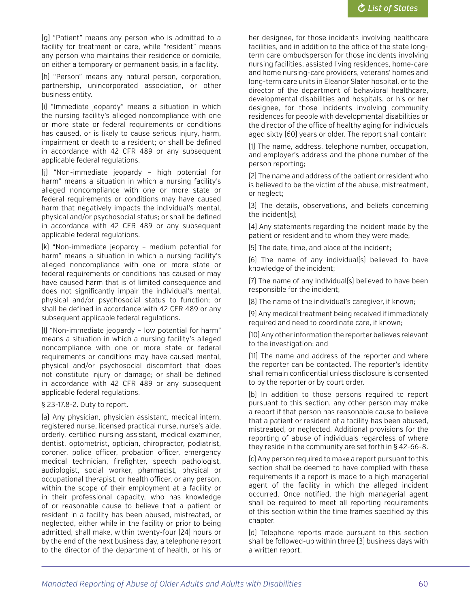(g) "Patient" means any person who is admitted to a facility for treatment or care, while "resident" means any person who maintains their residence or domicile, on either a temporary or permanent basis, in a facility.

(h) "Person" means any natural person, corporation, partnership, unincorporated association, or other business entity.

(i) "Immediate jeopardy" means a situation in which the nursing facility's alleged noncompliance with one or more state or federal requirements or conditions has caused, or is likely to cause serious injury, harm, impairment or death to a resident; or shall be defined in accordance with 42 CFR 489 or any subsequent applicable federal regulations.

(j) "Non-immediate jeopardy – high potential for harm" means a situation in which a nursing facility's alleged noncompliance with one or more state or federal requirements or conditions may have caused harm that negatively impacts the individual's mental, physical and/or psychosocial status; or shall be defined in accordance with 42 CFR 489 or any subsequent applicable federal regulations.

(k) "Non-immediate jeopardy – medium potential for harm" means a situation in which a nursing facility's alleged noncompliance with one or more state or federal requirements or conditions has caused or may have caused harm that is of limited consequence and does not significantly impair the individual's mental, physical and/or psychosocial status to function; or shall be defined in accordance with 42 CFR 489 or any subsequent applicable federal regulations.

(l) "Non-immediate jeopardy – low potential for harm" means a situation in which a nursing facility's alleged noncompliance with one or more state or federal requirements or conditions may have caused mental, physical and/or psychosocial discomfort that does not constitute injury or damage; or shall be defined in accordance with 42 CFR 489 or any subsequent applicable federal regulations.

### § 23-17.8-2. Duty to report.

(a) Any physician, physician assistant, medical intern, registered nurse, licensed practical nurse, nurse's aide, orderly, certified nursing assistant, medical examiner, dentist, optometrist, optician, chiropractor, podiatrist, coroner, police officer, probation officer, emergency medical technician, firefighter, speech pathologist, audiologist, social worker, pharmacist, physical or occupational therapist, or health officer, or any person, within the scope of their employment at a facility or in their professional capacity, who has knowledge of or reasonable cause to believe that a patient or resident in a facility has been abused, mistreated, or neglected, either while in the facility or prior to being admitted, shall make, within twenty-four (24) hours or by the end of the next business day, a telephone report to the director of the department of health, or his or

her designee, for those incidents involving healthcare facilities, and in addition to the office of the state longterm care ombudsperson for those incidents involving nursing facilities, assisted living residences, home-care and home nursing-care providers, veterans' homes and long-term care units in Eleanor Slater hospital, or to the director of the department of behavioral healthcare, developmental disabilities and hospitals, or his or her designee, for those incidents involving community residences for people with developmental disabilities or the director of the office of healthy aging for individuals aged sixty (60) years or older. The report shall contain:

(1) The name, address, telephone number, occupation, and employer's address and the phone number of the person reporting;

(2) The name and address of the patient or resident who is believed to be the victim of the abuse, mistreatment, or neglect;

(3) The details, observations, and beliefs concerning the incident(s);

(4) Any statements regarding the incident made by the patient or resident and to whom they were made;

(5) The date, time, and place of the incident;

(6) The name of any individual(s) believed to have knowledge of the incident;

(7) The name of any individual(s) believed to have been responsible for the incident;

(8) The name of the individual's caregiver, if known;

(9) Any medical treatment being received if immediately required and need to coordinate care, if known;

(10) Any other information the reporter believes relevant to the investigation; and

(11) The name and address of the reporter and where the reporter can be contacted. The reporter's identity shall remain confidential unless disclosure is consented to by the reporter or by court order.

(b) In addition to those persons required to report pursuant to this section, any other person may make a report if that person has reasonable cause to believe that a patient or resident of a facility has been abused, mistreated, or neglected. Additional provisions for the reporting of abuse of individuals regardless of where they reside in the community are set forth in § 42-66-8.

(c) Any person required to make a report pursuant to this section shall be deemed to have complied with these requirements if a report is made to a high managerial agent of the facility in which the alleged incident occurred. Once notified, the high managerial agent shall be required to meet all reporting requirements of this section within the time frames specified by this chapter.

(d) Telephone reports made pursuant to this section shall be followed-up within three (3) business days with a written report.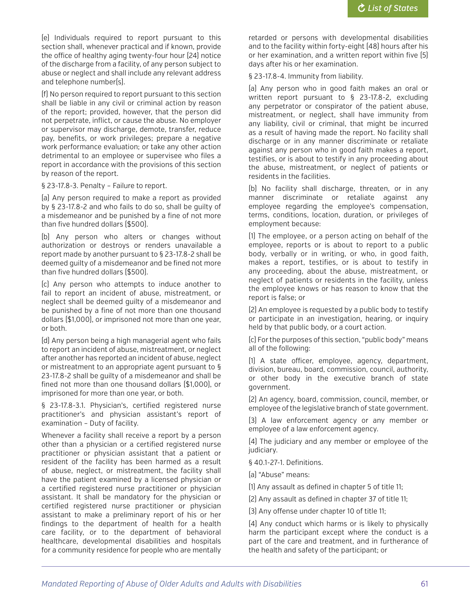(e) Individuals required to report pursuant to this section shall, whenever practical and if known, provide the office of healthy aging twenty-four hour (24) notice of the discharge from a facility, of any person subject to abuse or neglect and shall include any relevant address and telephone number(s).

(f) No person required to report pursuant to this section shall be liable in any civil or criminal action by reason of the report; provided, however, that the person did not perpetrate, inflict, or cause the abuse. No employer or supervisor may discharge, demote, transfer, reduce pay, benefits, or work privileges; prepare a negative work performance evaluation; or take any other action detrimental to an employee or supervisee who files a report in accordance with the provisions of this section by reason of the report.

§ 23-17.8-3. Penalty - Failure to report.

(a) Any person required to make a report as provided by § 23-17.8-2 and who fails to do so, shall be guilty of a misdemeanor and be punished by a fine of not more than five hundred dollars (\$500).

(b) Any person who alters or changes without authorization or destroys or renders unavailable a report made by another pursuant to § 23-17.8-2 shall be deemed guilty of a misdemeanor and be fined not more than five hundred dollars (\$500).

(c) Any person who attempts to induce another to fail to report an incident of abuse, mistreatment, or neglect shall be deemed guilty of a misdemeanor and be punished by a fine of not more than one thousand dollars (\$1,000), or imprisoned not more than one year, or both.

(d) Any person being a high managerial agent who fails to report an incident of abuse, mistreatment, or neglect after another has reported an incident of abuse, neglect or mistreatment to an appropriate agent pursuant to § 23-17.8-2 shall be guilty of a misdemeanor and shall be fined not more than one thousand dollars (\$1,000), or imprisoned for more than one year, or both.

§ 23-17.8-3.1. Physician's, certified registered nurse practitioner's and physician assistant's report of examination – Duty of facility.

Whenever a facility shall receive a report by a person other than a physician or a certified registered nurse practitioner or physician assistant that a patient or resident of the facility has been harmed as a result of abuse, neglect, or mistreatment, the facility shall have the patient examined by a licensed physician or a certified registered nurse practitioner or physician assistant. It shall be mandatory for the physician or certified registered nurse practitioner or physician assistant to make a preliminary report of his or her findings to the department of health for a health care facility, or to the department of behavioral healthcare, developmental disabilities and hospitals for a community residence for people who are mentally

retarded or persons with developmental disabilities and to the facility within forty-eight (48) hours after his or her examination, and a written report within five (5) days after his or her examination.

§ 23-17.8-4. Immunity from liability.

(a) Any person who in good faith makes an oral or written report pursuant to § 23-17.8-2, excluding any perpetrator or conspirator of the patient abuse, mistreatment, or neglect, shall have immunity from any liability, civil or criminal, that might be incurred as a result of having made the report. No facility shall discharge or in any manner discriminate or retaliate against any person who in good faith makes a report, testifies, or is about to testify in any proceeding about the abuse, mistreatment, or neglect of patients or residents in the facilities.

(b) No facility shall discharge, threaten, or in any manner discriminate or retaliate against any employee regarding the employee's compensation, terms, conditions, location, duration, or privileges of employment because:

(1) The employee, or a person acting on behalf of the employee, reports or is about to report to a public body, verbally or in writing, or who, in good faith, makes a report, testifies, or is about to testify in any proceeding, about the abuse, mistreatment, or neglect of patients or residents in the facility, unless the employee knows or has reason to know that the report is false; or

(2) An employee is requested by a public body to testify or participate in an investigation, hearing, or inquiry held by that public body, or a court action.

(c) For the purposes of this section, "public body" means all of the following:

(1) A state officer, employee, agency, department, division, bureau, board, commission, council, authority, or other body in the executive branch of state government.

(2) An agency, board, commission, council, member, or employee of the legislative branch of state government.

(3) A law enforcement agency or any member or employee of a law enforcement agency.

(4) The judiciary and any member or employee of the judiciary.

§ 40.1-27-1. Definitions.

(a) "Abuse" means:

(1) Any assault as defined in chapter 5 of title 11;

(2) Any assault as defined in chapter 37 of title 11;

(3) Any offense under chapter 10 of title 11;

(4) Any conduct which harms or is likely to physically harm the participant except where the conduct is a part of the care and treatment, and in furtherance of the health and safety of the participant; or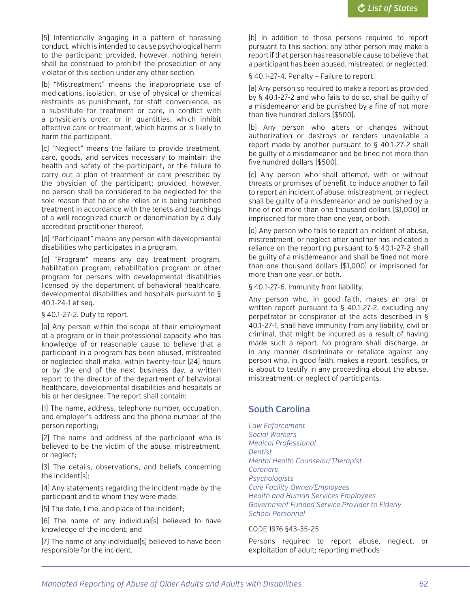(5) Intentionally engaging in a pattern of harassing conduct, which is intended to cause psychological harm to the participant; provided, however, nothing herein shall be construed to prohibit the prosecution of any violator of this section under any other section.

(b) "Mistreatment" means the inappropriate use of medications, isolation, or use of physical or chemical restraints as punishment, for staff convenience, as a substitute for treatment or care, in conflict with a physician's order, or in quantities, which inhibit effective care or treatment, which harms or is likely to harm the participant.

(c) "Neglect" means the failure to provide treatment, care, goods, and services necessary to maintain the health and safety of the participant, or the failure to carry out a plan of treatment or care prescribed by the physician of the participant; provided, however, no person shall be considered to be neglected for the sole reason that he or she relies or is being furnished treatment in accordance with the tenets and teachings of a well recognized church or denomination by a duly accredited practitioner thereof.

(d) "Participant" means any person with developmental disabilities who participates in a program.

(e) "Program" means any day treatment program, habilitation program, rehabilitation program or other program for persons with developmental disabilities licensed by the department of behavioral healthcare, developmental disabilities and hospitals pursuant to § 40.1-24-1 et seq.

§ 40.1-27-2. Duty to report.

(a) Any person within the scope of their employment at a program or in their professional capacity who has knowledge of or reasonable cause to believe that a participant in a program has been abused, mistreated or neglected shall make, within twenty-four (24) hours or by the end of the next business day, a written report to the director of the department of behavioral healthcare, developmental disabilities and hospitals or his or her designee. The report shall contain:

(1) The name, address, telephone number, occupation, and employer's address and the phone number of the person reporting;

(2) The name and address of the participant who is believed to be the victim of the abuse, mistreatment, or neglect;

(3) The details, observations, and beliefs concerning the incident(s);

(4) Any statements regarding the incident made by the participant and to whom they were made;

(5) The date, time, and place of the incident;

(6) The name of any individual(s) believed to have knowledge of the incident; and

(7) The name of any individual(s) believed to have been responsible for the incident.

(b) In addition to those persons required to report pursuant to this section, any other person may make a report if that person has reasonable cause to believe that a participant has been abused, mistreated, or neglected.

§ 40.1-27-4. Penalty - Failure to report.

(a) Any person so required to make a report as provided by § 40.1-27-2 and who fails to do so, shall be guilty of a misdemeanor and be punished by a fine of not more than five hundred dollars (\$500).

(b) Any person who alters or changes without authorization or destroys or renders unavailable a report made by another pursuant to § 40.1-27-2 shall be guilty of a misdemeanor and be fined not more than five hundred dollars (\$500).

(c) Any person who shall attempt, with or without threats or promises of benefit, to induce another to fail to report an incident of abuse, mistreatment, or neglect shall be guilty of a misdemeanor and be punished by a fine of not more than one thousand dollars (\$1,000) or imprisoned for more than one year, or both.

(d) Any person who fails to report an incident of abuse, mistreatment, or neglect after another has indicated a reliance on the reporting pursuant to § 40.1-27-2 shall be guilty of a misdemeanor and shall be fined not more than one thousand dollars (\$1,000) or imprisoned for more than one year, or both.

§ 40.1-27-6. Immunity from liability.

Any person who, in good faith, makes an oral or written report pursuant to § 40.1-27-2, excluding any perpetrator or conspirator of the acts described in § 40.1-27-1, shall have immunity from any liability, civil or criminal, that might be incurred as a result of having made such a report. No program shall discharge, or in any manner discriminate or retaliate against any person who, in good faith, makes a report, testifies, or is about to testify in any proceeding about the abuse, mistreatment, or neglect of participants.

# South Carolina

*Law Enforcement Social Workers Medical Professional Dentist Mental Health Counselor/Therapist Coroners Psychologists Care Facility Owner/Employees Health and Human Services Employees Government Funded Service Provider to Elderly School Personnel*

## CODE 1976 §43-35-25

Persons required to report abuse, neglect, or exploitation of adult; reporting methods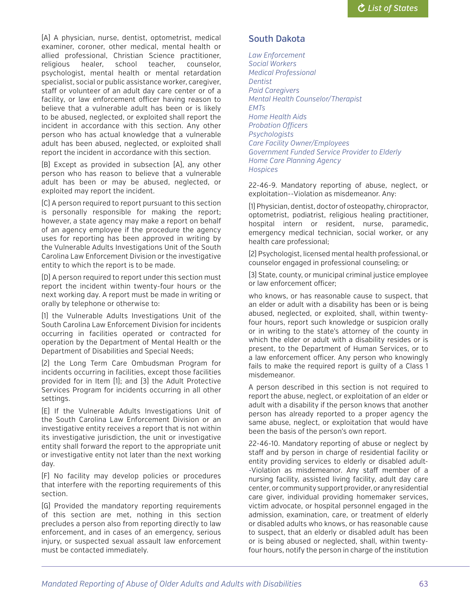(A) A physician, nurse, dentist, optometrist, medical examiner, coroner, other medical, mental health or allied professional, Christian Science practitioner, religious healer, school teacher, counselor, psychologist, mental health or mental retardation specialist, social or public assistance worker, caregiver, staff or volunteer of an adult day care center or of a facility, or law enforcement officer having reason to believe that a vulnerable adult has been or is likely to be abused, neglected, or exploited shall report the incident in accordance with this section. Any other person who has actual knowledge that a vulnerable adult has been abused, neglected, or exploited shall report the incident in accordance with this section.

(B) Except as provided in subsection (A), any other person who has reason to believe that a vulnerable adult has been or may be abused, neglected, or exploited may report the incident.

(C) A person required to report pursuant to this section is personally responsible for making the report; however, a state agency may make a report on behalf of an agency employee if the procedure the agency uses for reporting has been approved in writing by the Vulnerable Adults Investigations Unit of the South Carolina Law Enforcement Division or the investigative entity to which the report is to be made.

(D) A person required to report under this section must report the incident within twenty-four hours or the next working day. A report must be made in writing or orally by telephone or otherwise to:

(1) the Vulnerable Adults Investigations Unit of the South Carolina Law Enforcement Division for incidents occurring in facilities operated or contracted for operation by the Department of Mental Health or the Department of Disabilities and Special Needs;

(2) the Long Term Care Ombudsman Program for incidents occurring in facilities, except those facilities provided for in Item (1); and (3) the Adult Protective Services Program for incidents occurring in all other settings.

(E) If the Vulnerable Adults Investigations Unit of the South Carolina Law Enforcement Division or an investigative entity receives a report that is not within its investigative jurisdiction, the unit or investigative entity shall forward the report to the appropriate unit or investigative entity not later than the next working day.

(F) No facility may develop policies or procedures that interfere with the reporting requirements of this section.

(G) Provided the mandatory reporting requirements of this section are met, nothing in this section precludes a person also from reporting directly to law enforcement, and in cases of an emergency, serious injury, or suspected sexual assault law enforcement must be contacted immediately.

# South Dakota

*Law Enforcement Social Workers Medical Professional Dentist Paid Caregivers Mental Health Counselor/Therapist EMTs Home Health Aids Probation Officers Psychologists Care Facility Owner/Employees Government Funded Service Provider to Elderly Home Care Planning Agency Hospices*

22-46-9. Mandatory reporting of abuse, neglect, or exploitation--Violation as misdemeanor. Any:

(1) Physician, dentist, doctor of osteopathy, chiropractor, optometrist, podiatrist, religious healing practitioner, hospital intern or resident, nurse, paramedic, emergency medical technician, social worker, or any health care professional;

(2) Psychologist, licensed mental health professional, or counselor engaged in professional counseling; or

(3) State, county, or municipal criminal justice employee or law enforcement officer;

who knows, or has reasonable cause to suspect, that an elder or adult with a disability has been or is being abused, neglected, or exploited, shall, within twentyfour hours, report such knowledge or suspicion orally or in writing to the state's attorney of the county in which the elder or adult with a disability resides or is present, to the Department of Human Services, or to a law enforcement officer. Any person who knowingly fails to make the required report is guilty of a Class 1 misdemeanor.

A person described in this section is not required to report the abuse, neglect, or exploitation of an elder or adult with a disability if the person knows that another person has already reported to a proper agency the same abuse, neglect, or exploitation that would have been the basis of the person's own report.

22-46-10. Mandatory reporting of abuse or neglect by staff and by person in charge of residential facility or entity providing services to elderly or disabled adult- -Violation as misdemeanor. Any staff member of a nursing facility, assisted living facility, adult day care center, or community support provider, or any residential care giver, individual providing homemaker services, victim advocate, or hospital personnel engaged in the admission, examination, care, or treatment of elderly or disabled adults who knows, or has reasonable cause to suspect, that an elderly or disabled adult has been or is being abused or neglected, shall, within twentyfour hours, notify the person in charge of the institution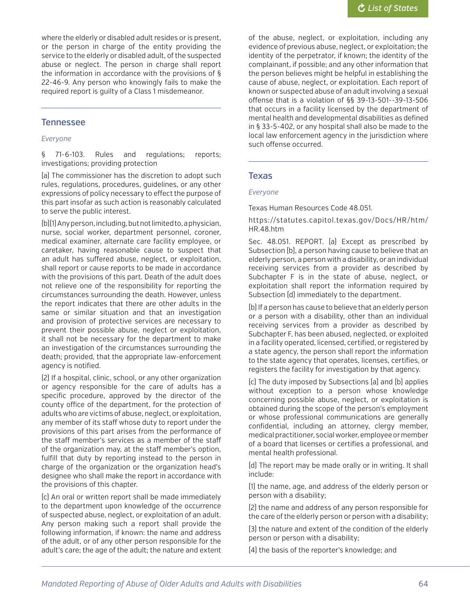where the elderly or disabled adult resides or is present, or the person in charge of the entity providing the service to the elderly or disabled adult, of the suspected abuse or neglect. The person in charge shall report the information in accordance with the provisions of § 22-46-9. Any person who knowingly fails to make the required report is guilty of a Class 1 misdemeanor.

# Tennessee

## *Everyone*

§ 71-6-103. Rules and regulations; reports; investigations; providing protection

(a) The commissioner has the discretion to adopt such rules, regulations, procedures, guidelines, or any other expressions of policy necessary to effect the purpose of this part insofar as such action is reasonably calculated to serve the public interest.

(b)(1) Any person, including, but not limited to, a physician, nurse, social worker, department personnel, coroner, medical examiner, alternate care facility employee, or caretaker, having reasonable cause to suspect that an adult has suffered abuse, neglect, or exploitation, shall report or cause reports to be made in accordance with the provisions of this part. Death of the adult does not relieve one of the responsibility for reporting the circumstances surrounding the death. However, unless the report indicates that there are other adults in the same or similar situation and that an investigation and provision of protective services are necessary to prevent their possible abuse, neglect or exploitation, it shall not be necessary for the department to make an investigation of the circumstances surrounding the death; provided, that the appropriate law-enforcement agency is notified.

(2) If a hospital, clinic, school, or any other organization or agency responsible for the care of adults has a specific procedure, approved by the director of the county office of the department, for the protection of adults who are victims of abuse, neglect, or exploitation, any member of its staff whose duty to report under the provisions of this part arises from the performance of the staff member's services as a member of the staff of the organization may, at the staff member's option, fulfill that duty by reporting instead to the person in charge of the organization or the organization head's designee who shall make the report in accordance with the provisions of this chapter.

(c) An oral or written report shall be made immediately to the department upon knowledge of the occurrence of suspected abuse, neglect, or exploitation of an adult. Any person making such a report shall provide the following information, if known: the name and address of the adult, or of any other person responsible for the adult's care; the age of the adult; the nature and extent of the abuse, neglect, or exploitation, including any evidence of previous abuse, neglect, or exploitation; the identity of the perpetrator, if known; the identity of the complainant, if possible; and any other information that the person believes might be helpful in establishing the cause of abuse, neglect, or exploitation. Each report of known or suspected abuse of an adult involving a sexual offense that is a violation of §§ 39-13-501--39-13-506 that occurs in a facility licensed by the department of mental health and developmental disabilities as defined in § 33-5-402, or any hospital shall also be made to the local law enforcement agency in the jurisdiction where such offense occurred.

# Texas

### *Everyone*

Texas Human Resources Code 48.051.

### https://statutes.capitol.texas.gov/Docs/HR/htm/ HR.48.htm

Sec. 48.051. REPORT. (a) Except as prescribed by Subsection (b), a person having cause to believe that an elderly person, a person with a disability, or an individual receiving services from a provider as described by Subchapter F is in the state of abuse, neglect, or exploitation shall report the information required by Subsection (d) immediately to the department.

(b) If a person has cause to believe that an elderly person or a person with a disability, other than an individual receiving services from a provider as described by Subchapter F, has been abused, neglected, or exploited in a facility operated, licensed, certified, or registered by a state agency, the person shall report the information to the state agency that operates, licenses, certifies, or registers the facility for investigation by that agency.

(c) The duty imposed by Subsections (a) and (b) applies without exception to a person whose knowledge concerning possible abuse, neglect, or exploitation is obtained during the scope of the person's employment or whose professional communications are generally confidential, including an attorney, clergy member, medical practitioner, social worker, employee or member of a board that licenses or certifies a professional, and mental health professional.

(d) The report may be made orally or in writing. It shall include:

(1) the name, age, and address of the elderly person or person with a disability;

(2) the name and address of any person responsible for the care of the elderly person or person with a disability;

(3) the nature and extent of the condition of the elderly person or person with a disability;

(4) the basis of the reporter's knowledge; and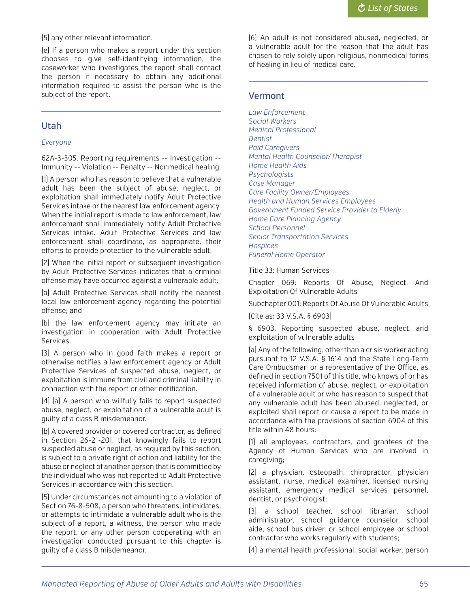(5) any other relevant information.

(e) If a person who makes a report under this section chooses to give self-identifying information, the caseworker who investigates the report shall contact the person if necessary to obtain any additional information required to assist the person who is the subject of the report.

## Utah

## *Everyone*

62A-3-305. Reporting requirements -- Investigation -- Immunity -- Violation -- Penalty -- Nonmedical healing.

(1) A person who has reason to believe that a vulnerable adult has been the subject of abuse, neglect, or exploitation shall immediately notify Adult Protective Services intake or the nearest law enforcement agency. When the initial report is made to law enforcement, law enforcement shall immediately notify Adult Protective Services intake. Adult Protective Services and law enforcement shall coordinate, as appropriate, their efforts to provide protection to the vulnerable adult.

(2) When the initial report or subsequent investigation by Adult Protective Services indicates that a criminal offense may have occurred against a vulnerable adult:

(a) Adult Protective Services shall notify the nearest local law enforcement agency regarding the potential offense; and

(b) the law enforcement agency may initiate an investigation in cooperation with Adult Protective Services.

(3) A person who in good faith makes a report or otherwise notifies a law enforcement agency or Adult Protective Services of suspected abuse, neglect, or exploitation is immune from civil and criminal liability in connection with the report or other notification.

(4) (a) A person who willfully fails to report suspected abuse, neglect, or exploitation of a vulnerable adult is guilty of a class B misdemeanor.

(b) A covered provider or covered contractor, as defined in Section 26-21-201, that knowingly fails to report suspected abuse or neglect, as required by this section, is subject to a private right of action and liability for the abuse or neglect of another person that is committed by the individual who was not reported to Adult Protective Services in accordance with this section.

(5) Under circumstances not amounting to a violation of Section 76-8-508, a person who threatens, intimidates, or attempts to intimidate a vulnerable adult who is the subject of a report, a witness, the person who made the report, or any other person cooperating with an investigation conducted pursuant to this chapter is guilty of a class B misdemeanor.

(6) An adult is not considered abused, neglected, or a vulnerable adult for the reason that the adult has chosen to rely solely upon religious, nonmedical forms of healing in lieu of medical care.

## Vermont

*Law Enforcement Social Workers Medical Professional Dentist Paid Caregivers Mental Health Counselor/Therapist Home Health Aids Psychologists Case Manager Care Facility Owner/Employees Health and Human Services Employees Government Funded Service Provider to Elderly Home Care Planning Agency School Personnel Senior Transportation Services Hospices Funeral Home Operator*

Title 33: Human Services

Chapter 069: Reports Of Abuse, Neglect, And Exploitation Of Vulnerable Adults

Subchapter 001: Reports Of Abuse Of Vulnerable Adults

(Cite as: 33 V.S.A. § 6903)

§ 6903. Reporting suspected abuse, neglect, and exploitation of vulnerable adults

(a) Any of the following, other than a crisis worker acting pursuant to 12 V.S.A. § 1614 and the State Long-Term Care Ombudsman or a representative of the Office, as defined in section 7501 of this title, who knows of or has received information of abuse, neglect, or exploitation of a vulnerable adult or who has reason to suspect that any vulnerable adult has been abused, neglected, or exploited shall report or cause a report to be made in accordance with the provisions of section 6904 of this title within 48 hours:

(1) all employees, contractors, and grantees of the Agency of Human Services who are involved in caregiving;

(2) a physician, osteopath, chiropractor, physician assistant, nurse, medical examiner, licensed nursing assistant, emergency medical services personnel, dentist, or psychologist;

(3) a school teacher, school librarian, school administrator, school guidance counselor, school aide, school bus driver, or school employee or school contractor who works regularly with students;

(4) a mental health professional, social worker, person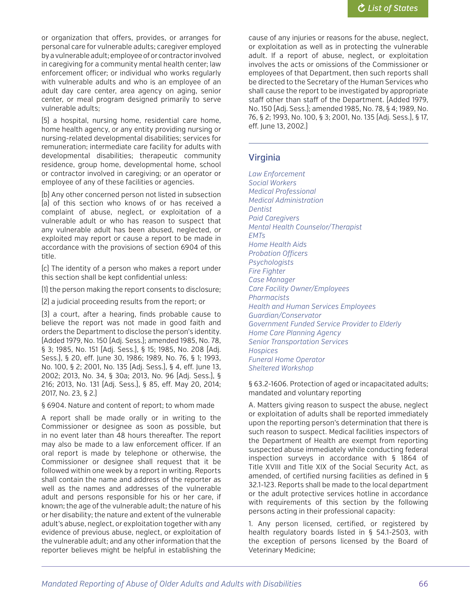or organization that offers, provides, or arranges for personal care for vulnerable adults; caregiver employed by a vulnerable adult; employee of or contractor involved in caregiving for a community mental health center; law enforcement officer; or individual who works regularly with vulnerable adults and who is an employee of an adult day care center, area agency on aging, senior center, or meal program designed primarily to serve vulnerable adults;

(5) a hospital, nursing home, residential care home, home health agency, or any entity providing nursing or nursing-related developmental disabilities; services for remuneration; intermediate care facility for adults with developmental disabilities; therapeutic community residence, group home, developmental home, school or contractor involved in caregiving; or an operator or employee of any of these facilities or agencies.

(b) Any other concerned person not listed in subsection (a) of this section who knows of or has received a complaint of abuse, neglect, or exploitation of a vulnerable adult or who has reason to suspect that any vulnerable adult has been abused, neglected, or exploited may report or cause a report to be made in accordance with the provisions of section 6904 of this title.

(c) The identity of a person who makes a report under this section shall be kept confidential unless:

(1) the person making the report consents to disclosure;

(2) a judicial proceeding results from the report; or

(3) a court, after a hearing, finds probable cause to believe the report was not made in good faith and orders the Department to disclose the person's identity. (Added 1979, No. 150 (Adj. Sess.); amended 1985, No. 78, § 3; 1985, No. 151 (Adj. Sess.), § 15; 1985, No. 208 (Adj. Sess.), § 20, eff. June 30, 1986; 1989, No. 76, § 1; 1993, No. 100, § 2; 2001, No. 135 (Adj. Sess.), § 4, eff. June 13, 2002; 2013, No. 34, § 30a; 2013, No. 96 (Adj. Sess.), § 216; 2013, No. 131 (Adj. Sess.), § 85, eff. May 20, 2014; 2017, No. 23, § 2.)

§ 6904. Nature and content of report; to whom made

A report shall be made orally or in writing to the Commissioner or designee as soon as possible, but in no event later than 48 hours thereafter. The report may also be made to a law enforcement officer. If an oral report is made by telephone or otherwise, the Commissioner or designee shall request that it be followed within one week by a report in writing. Reports shall contain the name and address of the reporter as well as the names and addresses of the vulnerable adult and persons responsible for his or her care, if known; the age of the vulnerable adult; the nature of his or her disability; the nature and extent of the vulnerable adult's abuse, neglect, or exploitation together with any evidence of previous abuse, neglect, or exploitation of the vulnerable adult; and any other information that the reporter believes might be helpful in establishing the cause of any injuries or reasons for the abuse, neglect, or exploitation as well as in protecting the vulnerable adult. If a report of abuse, neglect, or exploitation involves the acts or omissions of the Commissioner or employees of that Department, then such reports shall be directed to the Secretary of the Human Services who shall cause the report to be investigated by appropriate staff other than staff of the Department. (Added 1979, No. 150 (Adj. Sess.); amended 1985, No. 78, § 4; 1989, No. 76, § 2; 1993, No. 100, § 3; 2001, No. 135 (Adj. Sess.), § 17, eff. June 13, 2002.)

# Virginia

*Law Enforcement Social Workers Medical Professional Medical Administration Dentist Paid Caregivers Mental Health Counselor/Therapist EMTs Home Health Aids Probation Officers Psychologists Fire Fighter Case Manager Care Facility Owner/Employees Pharmacists Health and Human Services Employees Guardian/Conservator Government Funded Service Provider to Elderly Home Care Planning Agency Senior Transportation Services Hospices Funeral Home Operator Sheltered Workshop*

§ 63.2-1606. Protection of aged or incapacitated adults; mandated and voluntary reporting

A. Matters giving reason to suspect the abuse, neglect or exploitation of adults shall be reported immediately upon the reporting person's determination that there is such reason to suspect. Medical facilities inspectors of the Department of Health are exempt from reporting suspected abuse immediately while conducting federal inspection surveys in accordance with § 1864 of Title XVIII and Title XIX of the Social Security Act, as amended, of certified nursing facilities as defined in § 32.1-123. Reports shall be made to the local department or the adult protective services hotline in accordance with requirements of this section by the following persons acting in their professional capacity:

1. Any person licensed, certified, or registered by health regulatory boards listed in § 54.1-2503, with the exception of persons licensed by the Board of Veterinary Medicine;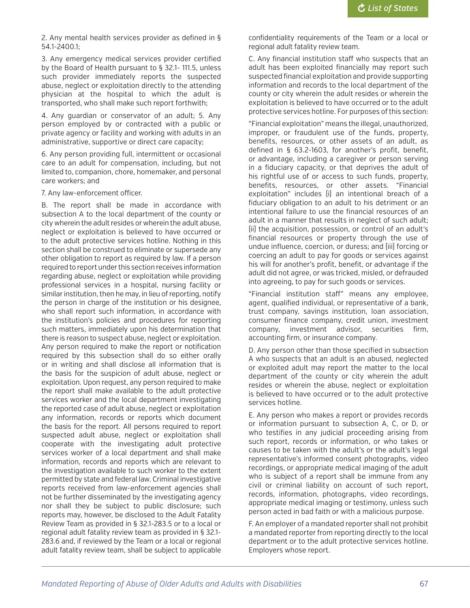2. Any mental health services provider as defined in § 54.1-2400.1;

3. Any emergency medical services provider certified by the Board of Health pursuant to § 32.1- 111.5, unless such provider immediately reports the suspected abuse, neglect or exploitation directly to the attending physician at the hospital to which the adult is transported, who shall make such report forthwith;

4. Any guardian or conservator of an adult; 5. Any person employed by or contracted with a public or private agency or facility and working with adults in an administrative, supportive or direct care capacity;

6. Any person providing full, intermittent or occasional care to an adult for compensation, including, but not limited to, companion, chore, homemaker, and personal care workers; and

7. Any law-enforcement officer.

B. The report shall be made in accordance with subsection A to the local department of the county or city wherein the adult resides or wherein the adult abuse, neglect or exploitation is believed to have occurred or to the adult protective services hotline. Nothing in this section shall be construed to eliminate or supersede any other obligation to report as required by law. If a person required to report under this section receives information regarding abuse, neglect or exploitation while providing professional services in a hospital, nursing facility or similar institution, then he may, in lieu of reporting, notify the person in charge of the institution or his designee, who shall report such information, in accordance with the institution's policies and procedures for reporting such matters, immediately upon his determination that there is reason to suspect abuse, neglect or exploitation. Any person required to make the report or notification required by this subsection shall do so either orally or in writing and shall disclose all information that is the basis for the suspicion of adult abuse, neglect or exploitation. Upon request, any person required to make the report shall make available to the adult protective services worker and the local department investigating the reported case of adult abuse, neglect or exploitation any information, records or reports which document the basis for the report. All persons required to report suspected adult abuse, neglect or exploitation shall cooperate with the investigating adult protective services worker of a local department and shall make information, records and reports which are relevant to the investigation available to such worker to the extent permitted by state and federal law. Criminal investigative reports received from law-enforcement agencies shall not be further disseminated by the investigating agency nor shall they be subject to public disclosure; such reports may, however, be disclosed to the Adult Fatality Review Team as provided in § 32.1-283.5 or to a local or regional adult fatality review team as provided in § 32.1- 283.6 and, if reviewed by the Team or a local or regional adult fatality review team, shall be subject to applicable

confidentiality requirements of the Team or a local or regional adult fatality review team.

C. Any financial institution staff who suspects that an adult has been exploited financially may report such suspected financial exploitation and provide supporting information and records to the local department of the county or city wherein the adult resides or wherein the exploitation is believed to have occurred or to the adult protective services hotline. For purposes of this section:

"Financial exploitation" means the illegal, unauthorized, improper, or fraudulent use of the funds, property, benefits, resources, or other assets of an adult, as defined in § 63.2-1603, for another's profit, benefit, or advantage, including a caregiver or person serving in a fiduciary capacity, or that deprives the adult of his rightful use of or access to such funds, property, benefits, resources, or other assets. "Financial exploitation" includes (i) an intentional breach of a fiduciary obligation to an adult to his detriment or an intentional failure to use the financial resources of an adult in a manner that results in neglect of such adult; (ii) the acquisition, possession, or control of an adult's financial resources or property through the use of undue influence, coercion, or duress; and (iii) forcing or coercing an adult to pay for goods or services against his will for another's profit, benefit, or advantage if the adult did not agree, or was tricked, misled, or defrauded into agreeing, to pay for such goods or services.

"Financial institution staff" means any employee, agent, qualified individual, or representative of a bank, trust company, savings institution, loan association, consumer finance company, credit union, investment company, investment advisor, securities firm, accounting firm, or insurance company.

D. Any person other than those specified in subsection A who suspects that an adult is an abused, neglected or exploited adult may report the matter to the local department of the county or city wherein the adult resides or wherein the abuse, neglect or exploitation is believed to have occurred or to the adult protective services hotline.

E. Any person who makes a report or provides records or information pursuant to subsection A, C, or D, or who testifies in any judicial proceeding arising from such report, records or information, or who takes or causes to be taken with the adult's or the adult's legal representative's informed consent photographs, video recordings, or appropriate medical imaging of the adult who is subject of a report shall be immune from any civil or criminal liability on account of such report, records, information, photographs, video recordings, appropriate medical imaging or testimony, unless such person acted in bad faith or with a malicious purpose.

F. An employer of a mandated reporter shall not prohibit a mandated reporter from reporting directly to the local department or to the adult protective services hotline. Employers whose report.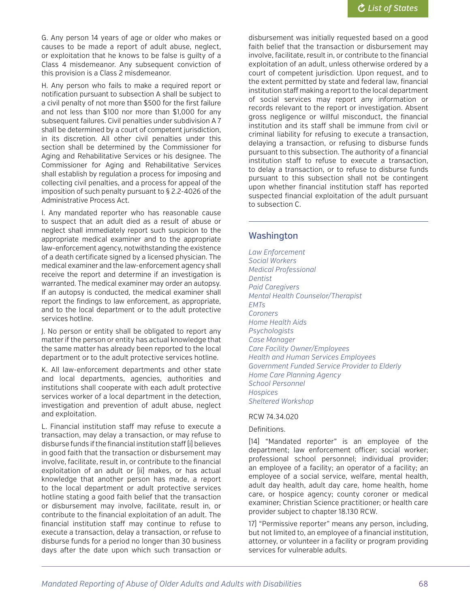G. Any person 14 years of age or older who makes or causes to be made a report of adult abuse, neglect, or exploitation that he knows to be false is guilty of a Class 4 misdemeanor. Any subsequent conviction of this provision is a Class 2 misdemeanor.

H. Any person who fails to make a required report or notification pursuant to subsection A shall be subject to a civil penalty of not more than \$500 for the first failure and not less than \$100 nor more than \$1,000 for any subsequent failures. Civil penalties under subdivision A 7 shall be determined by a court of competent jurisdiction, in its discretion. All other civil penalties under this section shall be determined by the Commissioner for Aging and Rehabilitative Services or his designee. The Commissioner for Aging and Rehabilitative Services shall establish by regulation a process for imposing and collecting civil penalties, and a process for appeal of the imposition of such penalty pursuant to § 2.2-4026 of the Administrative Process Act.

I. Any mandated reporter who has reasonable cause to suspect that an adult died as a result of abuse or neglect shall immediately report such suspicion to the appropriate medical examiner and to the appropriate law-enforcement agency, notwithstanding the existence of a death certificate signed by a licensed physician. The medical examiner and the law-enforcement agency shall receive the report and determine if an investigation is warranted. The medical examiner may order an autopsy. If an autopsy is conducted, the medical examiner shall report the findings to law enforcement, as appropriate, and to the local department or to the adult protective services hotline.

J. No person or entity shall be obligated to report any matter if the person or entity has actual knowledge that the same matter has already been reported to the local department or to the adult protective services hotline.

K. All law-enforcement departments and other state and local departments, agencies, authorities and institutions shall cooperate with each adult protective services worker of a local department in the detection, investigation and prevention of adult abuse, neglect and exploitation.

L. Financial institution staff may refuse to execute a transaction, may delay a transaction, or may refuse to disburse funds if the financial institution staff (i) believes in good faith that the transaction or disbursement may involve, facilitate, result in, or contribute to the financial exploitation of an adult or (ii) makes, or has actual knowledge that another person has made, a report to the local department or adult protective services hotline stating a good faith belief that the transaction or disbursement may involve, facilitate, result in, or contribute to the financial exploitation of an adult. The financial institution staff may continue to refuse to execute a transaction, delay a transaction, or refuse to disburse funds for a period no longer than 30 business days after the date upon which such transaction or

disbursement was initially requested based on a good faith belief that the transaction or disbursement may involve, facilitate, result in, or contribute to the financial exploitation of an adult, unless otherwise ordered by a court of competent jurisdiction. Upon request, and to the extent permitted by state and federal law, financial institution staff making a report to the local department of social services may report any information or records relevant to the report or investigation. Absent gross negligence or willful misconduct, the financial institution and its staff shall be immune from civil or criminal liability for refusing to execute a transaction, delaying a transaction, or refusing to disburse funds pursuant to this subsection. The authority of a financial institution staff to refuse to execute a transaction, to delay a transaction, or to refuse to disburse funds pursuant to this subsection shall not be contingent upon whether financial institution staff has reported suspected financial exploitation of the adult pursuant to subsection C.

## **Washington**

*Law Enforcement Social Workers Medical Professional Dentist Paid Caregivers Mental Health Counselor/Therapist EMTs Coroners Home Health Aids Psychologists Case Manager Care Facility Owner/Employees Health and Human Services Employees Government Funded Service Provider to Elderly Home Care Planning Agency School Personnel Hospices Sheltered Workshop*

### RCW 74.34.020

### Definitions.

(14) "Mandated reporter" is an employee of the department; law enforcement officer; social worker; professional school personnel; individual provider; an employee of a facility; an operator of a facility; an employee of a social service, welfare, mental health, adult day health, adult day care, home health, home care, or hospice agency; county coroner or medical examiner; Christian Science practitioner; or health care provider subject to chapter 18.130 RCW.

17) "Permissive reporter" means any person, including, but not limited to, an employee of a financial institution, attorney, or volunteer in a facility or program providing services for vulnerable adults.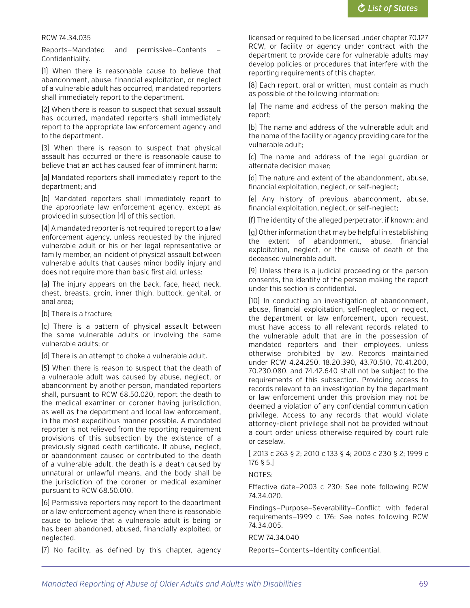### RCW 74.34.035

Reports-Mandated and permissive-Contents Confidentiality.

(1) When there is reasonable cause to believe that abandonment, abuse, financial exploitation, or neglect of a vulnerable adult has occurred, mandated reporters shall immediately report to the department.

(2) When there is reason to suspect that sexual assault has occurred, mandated reporters shall immediately report to the appropriate law enforcement agency and to the department.

(3) When there is reason to suspect that physical assault has occurred or there is reasonable cause to believe that an act has caused fear of imminent harm:

(a) Mandated reporters shall immediately report to the department; and

(b) Mandated reporters shall immediately report to the appropriate law enforcement agency, except as provided in subsection (4) of this section.

(4) A mandated reporter is not required to report to a law enforcement agency, unless requested by the injured vulnerable adult or his or her legal representative or family member, an incident of physical assault between vulnerable adults that causes minor bodily injury and does not require more than basic first aid, unless:

(a) The injury appears on the back, face, head, neck, chest, breasts, groin, inner thigh, buttock, genital, or anal area;

(b) There is a fracture;

(c) There is a pattern of physical assault between the same vulnerable adults or involving the same vulnerable adults; or

(d) There is an attempt to choke a vulnerable adult.

(5) When there is reason to suspect that the death of a vulnerable adult was caused by abuse, neglect, or abandonment by another person, mandated reporters shall, pursuant to RCW 68.50.020, report the death to the medical examiner or coroner having jurisdiction, as well as the department and local law enforcement, in the most expeditious manner possible. A mandated reporter is not relieved from the reporting requirement provisions of this subsection by the existence of a previously signed death certificate. If abuse, neglect, or abandonment caused or contributed to the death of a vulnerable adult, the death is a death caused by unnatural or unlawful means, and the body shall be the jurisdiction of the coroner or medical examiner pursuant to RCW 68.50.010.

(6) Permissive reporters may report to the department or a law enforcement agency when there is reasonable cause to believe that a vulnerable adult is being or has been abandoned, abused, financially exploited, or neglected.

(7) No facility, as defined by this chapter, agency

licensed or required to be licensed under chapter 70.127 RCW, or facility or agency under contract with the department to provide care for vulnerable adults may develop policies or procedures that interfere with the reporting requirements of this chapter.

(8) Each report, oral or written, must contain as much as possible of the following information:

(a) The name and address of the person making the report;

(b) The name and address of the vulnerable adult and the name of the facility or agency providing care for the vulnerable adult;

(c) The name and address of the legal guardian or alternate decision maker;

(d) The nature and extent of the abandonment, abuse, financial exploitation, neglect, or self-neglect;

(e) Any history of previous abandonment, abuse, financial exploitation, neglect, or self-neglect;

(f) The identity of the alleged perpetrator, if known; and

(g) Other information that may be helpful in establishing the extent of abandonment, abuse, financial exploitation, neglect, or the cause of death of the deceased vulnerable adult.

(9) Unless there is a judicial proceeding or the person consents, the identity of the person making the report under this section is confidential.

(10) In conducting an investigation of abandonment, abuse, financial exploitation, self-neglect, or neglect, the department or law enforcement, upon request, must have access to all relevant records related to the vulnerable adult that are in the possession of mandated reporters and their employees, unless otherwise prohibited by law. Records maintained under RCW 4.24.250, 18.20.390, 43.70.510, 70.41.200, 70.230.080, and 74.42.640 shall not be subject to the requirements of this subsection. Providing access to records relevant to an investigation by the department or law enforcement under this provision may not be deemed a violation of any confidential communication privilege. Access to any records that would violate attorney-client privilege shall not be provided without a court order unless otherwise required by court rule or caselaw.

[ 2013 c 263 § 2; 2010 c 133 § 4; 2003 c 230 § 2; 1999 c 176 § 5.]

NOTES:

Effective date—2003 c 230: See note following RCW 74.34.020.

Findings—Purpose—Severability—Conflict with federal requirements—1999 c 176: See notes following RCW 74.34.005.

RCW 74.34.040

Reports—Contents—Identity confidential.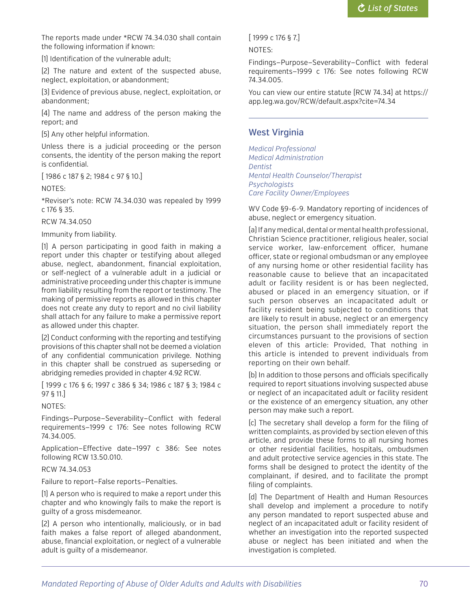The reports made under \*RCW 74.34.030 shall contain the following information if known:

(1) Identification of the vulnerable adult;

(2) The nature and extent of the suspected abuse, neglect, exploitation, or abandonment;

(3) Evidence of previous abuse, neglect, exploitation, or abandonment;

(4) The name and address of the person making the report; and

(5) Any other helpful information.

Unless there is a judicial proceeding or the person consents, the identity of the person making the report is confidential.

[ 1986 c 187 § 2; 1984 c 97 § 10.]

NOTES:

\*Reviser's note: RCW 74.34.030 was repealed by 1999 c 176 § 35.

RCW 74.34.050

Immunity from liability.

(1) A person participating in good faith in making a report under this chapter or testifying about alleged abuse, neglect, abandonment, financial exploitation, or self-neglect of a vulnerable adult in a judicial or administrative proceeding under this chapter is immune from liability resulting from the report or testimony. The making of permissive reports as allowed in this chapter does not create any duty to report and no civil liability shall attach for any failure to make a permissive report as allowed under this chapter.

(2) Conduct conforming with the reporting and testifying provisions of this chapter shall not be deemed a violation of any confidential communication privilege. Nothing in this chapter shall be construed as superseding or abridging remedies provided in chapter 4.92 RCW.

[ 1999 c 176 § 6; 1997 c 386 § 34; 1986 c 187 § 3; 1984 c 97 § 11.]

NOTES:

Findings—Purpose—Severability—Conflict with federal requirements—1999 c 176: See notes following RCW 74.34.005.

Application—Effective date—1997 c 386: See notes following RCW 13.50.010.

### RCW 74.34.053

Failure to report—False reports—Penalties.

(1) A person who is required to make a report under this chapter and who knowingly fails to make the report is guilty of a gross misdemeanor.

(2) A person who intentionally, maliciously, or in bad faith makes a false report of alleged abandonment, abuse, financial exploitation, or neglect of a vulnerable adult is guilty of a misdemeanor.

[ 1999 c 176 § 7.]

NOTES:

Findings—Purpose—Severability—Conflict with federal requirements—1999 c 176: See notes following RCW 74.34.005.

You can view our entire statute (RCW 74.34) at https:// app.leg.wa.gov/RCW/default.aspx?cite=74.34

# West Virginia

*Medical Professional Medical Administration Dentist Mental Health Counselor/Therapist Psychologists Care Facility Owner/Employees*

WV Code §9-6-9. Mandatory reporting of incidences of abuse, neglect or emergency situation.

(a) If any medical, dental or mental health professional, Christian Science practitioner, religious healer, social service worker, law-enforcement officer, humane officer, state or regional ombudsman or any employee of any nursing home or other residential facility has reasonable cause to believe that an incapacitated adult or facility resident is or has been neglected, abused or placed in an emergency situation, or if such person observes an incapacitated adult or facility resident being subjected to conditions that are likely to result in abuse, neglect or an emergency situation, the person shall immediately report the circumstances pursuant to the provisions of section eleven of this article: Provided, That nothing in this article is intended to prevent individuals from reporting on their own behalf.

(b) In addition to those persons and officials specifically required to report situations involving suspected abuse or neglect of an incapacitated adult or facility resident or the existence of an emergency situation, any other person may make such a report.

(c) The secretary shall develop a form for the filing of written complaints, as provided by section eleven of this article, and provide these forms to all nursing homes or other residential facilities, hospitals, ombudsmen and adult protective service agencies in this state. The forms shall be designed to protect the identity of the complainant, if desired, and to facilitate the prompt filing of complaints.

(d) The Department of Health and Human Resources shall develop and implement a procedure to notify any person mandated to report suspected abuse and neglect of an incapacitated adult or facility resident of whether an investigation into the reported suspected abuse or neglect has been initiated and when the investigation is completed.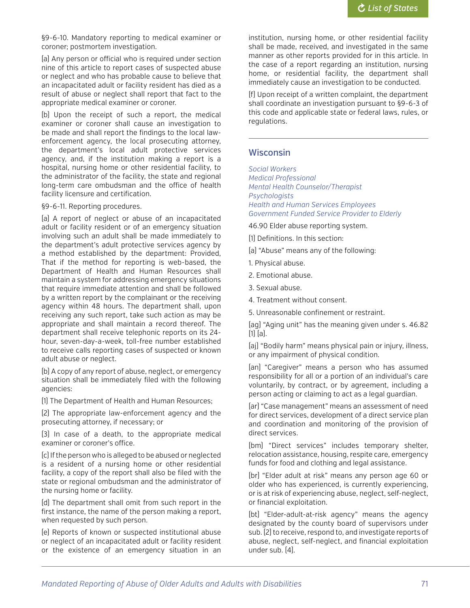§9-6-10. Mandatory reporting to medical examiner or coroner; postmortem investigation.

(a) Any person or official who is required under section nine of this article to report cases of suspected abuse or neglect and who has probable cause to believe that an incapacitated adult or facility resident has died as a result of abuse or neglect shall report that fact to the appropriate medical examiner or coroner.

(b) Upon the receipt of such a report, the medical examiner or coroner shall cause an investigation to be made and shall report the findings to the local lawenforcement agency, the local prosecuting attorney, the department's local adult protective services agency, and, if the institution making a report is a hospital, nursing home or other residential facility, to the administrator of the facility, the state and regional long-term care ombudsman and the office of health facility licensure and certification.

§9-6-11. Reporting procedures.

(a) A report of neglect or abuse of an incapacitated adult or facility resident or of an emergency situation involving such an adult shall be made immediately to the department's adult protective services agency by a method established by the department: Provided, That if the method for reporting is web-based, the Department of Health and Human Resources shall maintain a system for addressing emergency situations that require immediate attention and shall be followed by a written report by the complainant or the receiving agency within 48 hours. The department shall, upon receiving any such report, take such action as may be appropriate and shall maintain a record thereof. The department shall receive telephonic reports on its 24 hour, seven-day-a-week, toll-free number established to receive calls reporting cases of suspected or known adult abuse or neglect.

(b) A copy of any report of abuse, neglect, or emergency situation shall be immediately filed with the following agencies:

(1) The Department of Health and Human Resources;

(2) The appropriate law-enforcement agency and the prosecuting attorney, if necessary; or

(3) In case of a death, to the appropriate medical examiner or coroner's office.

(c) If the person who is alleged to be abused or neglected is a resident of a nursing home or other residential facility, a copy of the report shall also be filed with the state or regional ombudsman and the administrator of the nursing home or facility.

(d) The department shall omit from such report in the first instance, the name of the person making a report, when requested by such person.

(e) Reports of known or suspected institutional abuse or neglect of an incapacitated adult or facility resident or the existence of an emergency situation in an institution, nursing home, or other residential facility shall be made, received, and investigated in the same manner as other reports provided for in this article. In the case of a report regarding an institution, nursing home, or residential facility, the department shall immediately cause an investigation to be conducted.

(f) Upon receipt of a written complaint, the department shall coordinate an investigation pursuant to §9-6-3 of this code and applicable state or federal laws, rules, or regulations.

# Wisconsin

*Social Workers Medical Professional Mental Health Counselor/Therapist Psychologists Health and Human Services Employees Government Funded Service Provider to Elderly*

46.90 Elder abuse reporting system.

(1) Definitions. In this section:

(a) "Abuse" means any of the following:

- 1. Physical abuse.
- 2. Emotional abuse.
- 3. Sexual abuse.
- 4. Treatment without consent.

5. Unreasonable confinement or restraint.

(ag) "Aging unit" has the meaning given under s. 46.82  $[1]$   $[a]$ .

(aj) "Bodily harm" means physical pain or injury, illness, or any impairment of physical condition.

(an) "Caregiver" means a person who has assumed responsibility for all or a portion of an individual's care voluntarily, by contract, or by agreement, including a person acting or claiming to act as a legal guardian.

(ar) "Case management" means an assessment of need for direct services, development of a direct service plan and coordination and monitoring of the provision of direct services.

(bm) "Direct services" includes temporary shelter, relocation assistance, housing, respite care, emergency funds for food and clothing and legal assistance.

(br) "Elder adult at risk" means any person age 60 or older who has experienced, is currently experiencing, or is at risk of experiencing abuse, neglect, self-neglect, or financial exploitation.

(bt) "Elder-adult-at-risk agency" means the agency designated by the county board of supervisors under sub. (2) to receive, respond to, and investigate reports of abuse, neglect, self-neglect, and financial exploitation under sub. (4).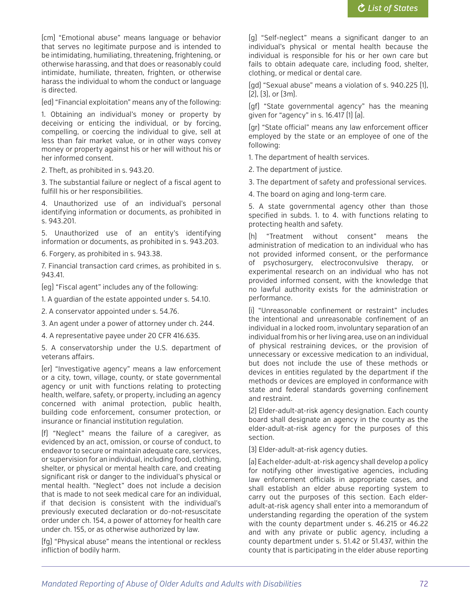(cm) "Emotional abuse" means language or behavior that serves no legitimate purpose and is intended to be intimidating, humiliating, threatening, frightening, or otherwise harassing, and that does or reasonably could intimidate, humiliate, threaten, frighten, or otherwise harass the individual to whom the conduct or language is directed.

(ed) "Financial exploitation" means any of the following:

1. Obtaining an individual's money or property by deceiving or enticing the individual, or by forcing, compelling, or coercing the individual to give, sell at less than fair market value, or in other ways convey money or property against his or her will without his or her informed consent.

2. Theft, as prohibited in s. 943.20.

3. The substantial failure or neglect of a fiscal agent to fulfill his or her responsibilities.

4. Unauthorized use of an individual's personal identifying information or documents, as prohibited in s. 943.201.

5. Unauthorized use of an entity's identifying information or documents, as prohibited in s. 943.203.

6. Forgery, as prohibited in s. 943.38.

7. Financial transaction card crimes, as prohibited in s. 943.41.

(eg) "Fiscal agent" includes any of the following:

1. A guardian of the estate appointed under s. 54.10.

2. A conservator appointed under s. 54.76.

3. An agent under a power of attorney under ch. 244.

4. A representative payee under 20 CFR 416.635.

5. A conservatorship under the U.S. department of veterans affairs.

(er) "Investigative agency" means a law enforcement or a city, town, village, county, or state governmental agency or unit with functions relating to protecting health, welfare, safety, or property, including an agency concerned with animal protection, public health, building code enforcement, consumer protection, or insurance or financial institution regulation.

(f) "Neglect" means the failure of a caregiver, as evidenced by an act, omission, or course of conduct, to endeavor to secure or maintain adequate care, services, or supervision for an individual, including food, clothing, shelter, or physical or mental health care, and creating significant risk or danger to the individual's physical or mental health. "Neglect" does not include a decision that is made to not seek medical care for an individual, if that decision is consistent with the individual's previously executed declaration or do-not-resuscitate order under ch. 154, a power of attorney for health care under ch. 155, or as otherwise authorized by law.

(fg) "Physical abuse" means the intentional or reckless infliction of bodily harm.

(g) "Self-neglect" means a significant danger to an individual's physical or mental health because the individual is responsible for his or her own care but fails to obtain adequate care, including food, shelter, clothing, or medical or dental care.

(gd) "Sexual abuse" means a violation of s. 940.225 (1), (2), (3), or (3m).

(gf) "State governmental agency" has the meaning given for "agency" in s. 16.417 (1) (a).

(gr) "State official" means any law enforcement officer employed by the state or an employee of one of the following:

1. The department of health services.

2. The department of justice.

3. The department of safety and professional services.

4. The board on aging and long-term care.

5. A state governmental agency other than those specified in subds. 1. to 4. with functions relating to protecting health and safety.

(h) "Treatment without consent" means the administration of medication to an individual who has not provided informed consent, or the performance of psychosurgery, electroconvulsive therapy, or experimental research on an individual who has not provided informed consent, with the knowledge that no lawful authority exists for the administration or performance.

(i) "Unreasonable confinement or restraint" includes the intentional and unreasonable confinement of an individual in a locked room, involuntary separation of an individual from his or her living area, use on an individual of physical restraining devices, or the provision of unnecessary or excessive medication to an individual, but does not include the use of these methods or devices in entities regulated by the department if the methods or devices are employed in conformance with state and federal standards governing confinement and restraint.

(2) Elder-adult-at-risk agency designation. Each county board shall designate an agency in the county as the elder-adult-at-risk agency for the purposes of this section.

(3) Elder-adult-at-risk agency duties.

(a) Each elder-adult-at-risk agency shall develop a policy for notifying other investigative agencies, including law enforcement officials in appropriate cases, and shall establish an elder abuse reporting system to carry out the purposes of this section. Each elderadult-at-risk agency shall enter into a memorandum of understanding regarding the operation of the system with the county department under s. 46.215 or 46.22 and with any private or public agency, including a county department under s. 51.42 or 51.437, within the county that is participating in the elder abuse reporting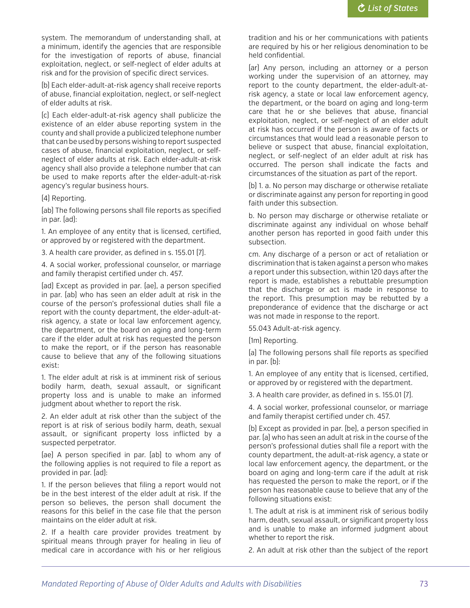system. The memorandum of understanding shall, at a minimum, identify the agencies that are responsible for the investigation of reports of abuse, financial exploitation, neglect, or self-neglect of elder adults at risk and for the provision of specific direct services.

(b) Each elder-adult-at-risk agency shall receive reports of abuse, financial exploitation, neglect, or self-neglect of elder adults at risk.

(c) Each elder-adult-at-risk agency shall publicize the existence of an elder abuse reporting system in the county and shall provide a publicized telephone number that can be used by persons wishing to report suspected cases of abuse, financial exploitation, neglect, or selfneglect of elder adults at risk. Each elder-adult-at-risk agency shall also provide a telephone number that can be used to make reports after the elder-adult-at-risk agency's regular business hours.

(4) Reporting.

(ab) The following persons shall file reports as specified in par. (ad):

1. An employee of any entity that is licensed, certified, or approved by or registered with the department.

3. A health care provider, as defined in s. 155.01 (7).

4. A social worker, professional counselor, or marriage and family therapist certified under ch. 457.

(ad) Except as provided in par. (ae), a person specified in par. (ab) who has seen an elder adult at risk in the course of the person's professional duties shall file a report with the county department, the elder-adult-atrisk agency, a state or local law enforcement agency, the department, or the board on aging and long-term care if the elder adult at risk has requested the person to make the report, or if the person has reasonable cause to believe that any of the following situations exist:

1. The elder adult at risk is at imminent risk of serious bodily harm, death, sexual assault, or significant property loss and is unable to make an informed judgment about whether to report the risk.

2. An elder adult at risk other than the subject of the report is at risk of serious bodily harm, death, sexual assault, or significant property loss inflicted by a suspected perpetrator.

(ae) A person specified in par. (ab) to whom any of the following applies is not required to file a report as provided in par. (ad):

1. If the person believes that filing a report would not be in the best interest of the elder adult at risk. If the person so believes, the person shall document the reasons for this belief in the case file that the person maintains on the elder adult at risk.

2. If a health care provider provides treatment by spiritual means through prayer for healing in lieu of medical care in accordance with his or her religious tradition and his or her communications with patients are required by his or her religious denomination to be held confidential.

(ar) Any person, including an attorney or a person working under the supervision of an attorney, may report to the county department, the elder-adult-atrisk agency, a state or local law enforcement agency, the department, or the board on aging and long-term care that he or she believes that abuse, financial exploitation, neglect, or self-neglect of an elder adult at risk has occurred if the person is aware of facts or circumstances that would lead a reasonable person to believe or suspect that abuse, financial exploitation, neglect, or self-neglect of an elder adult at risk has occurred. The person shall indicate the facts and circumstances of the situation as part of the report.

(b) 1. a. No person may discharge or otherwise retaliate or discriminate against any person for reporting in good faith under this subsection.

b. No person may discharge or otherwise retaliate or discriminate against any individual on whose behalf another person has reported in good faith under this subsection.

cm. Any discharge of a person or act of retaliation or discrimination that is taken against a person who makes a report under this subsection, within 120 days after the report is made, establishes a rebuttable presumption that the discharge or act is made in response to the report. This presumption may be rebutted by a preponderance of evidence that the discharge or act was not made in response to the report.

55.043 Adult-at-risk agency.

(1m) Reporting.

(a) The following persons shall file reports as specified in par. (b):

1. An employee of any entity that is licensed, certified, or approved by or registered with the department.

3. A health care provider, as defined in s. 155.01 (7).

4. A social worker, professional counselor, or marriage and family therapist certified under ch. 457.

(b) Except as provided in par. (be), a person specified in par. (a) who has seen an adult at risk in the course of the person's professional duties shall file a report with the county department, the adult-at-risk agency, a state or local law enforcement agency, the department, or the board on aging and long-term care if the adult at risk has requested the person to make the report, or if the person has reasonable cause to believe that any of the following situations exist:

1. The adult at risk is at imminent risk of serious bodily harm, death, sexual assault, or significant property loss and is unable to make an informed judgment about whether to report the risk.

2. An adult at risk other than the subject of the report